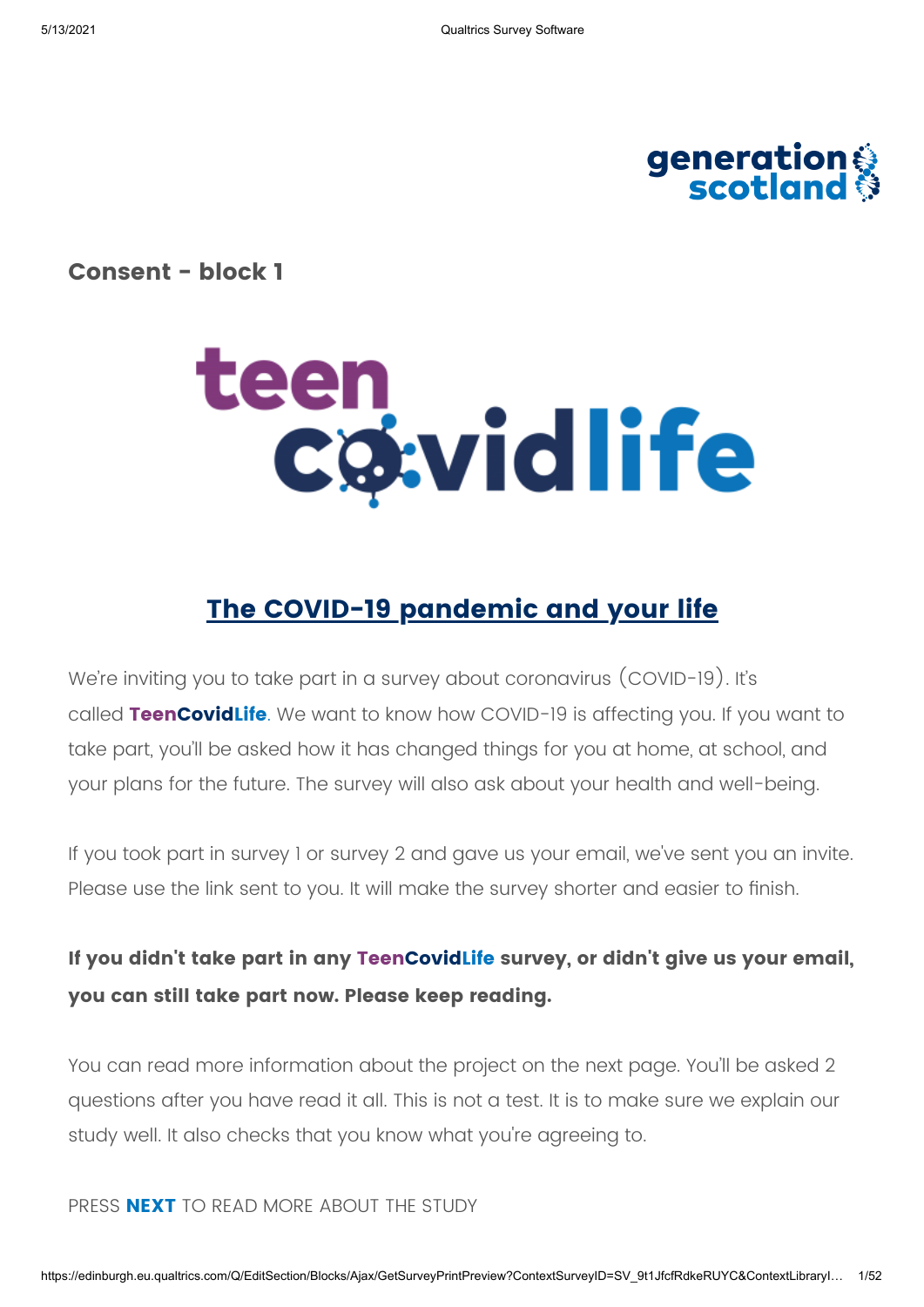

**Consent - block 1**



# **The COVID-19 pandemic and your life**

We're inviting you to take part in a survey about coronavirus (COVID-19). It's called **TeenCovidLife**. We want to know how COVID-19 is affecting you. If you want to take part, you'll be asked how it has changed things for you at home, at school, and your plans for the future. The survey will also ask about your health and well-being.

If you took part in survey 1 or survey 2 and gave us your email, we've sent you an invite. Please use the link sent to you. It will make the survey shorter and easier to finish.

## **If you didn't take part in any TeenCovidLife survey, or didn't give us your email, you can still take part now. Please keep reading.**

You can read more information about the project on the next page. You'll be asked 2 questions after you have read it all. This is not a test. It is to make sure we explain our study well. It also checks that you know what you're agreeing to.

PRESS **NEXT** TO READ MORE ABOUT THE STUDY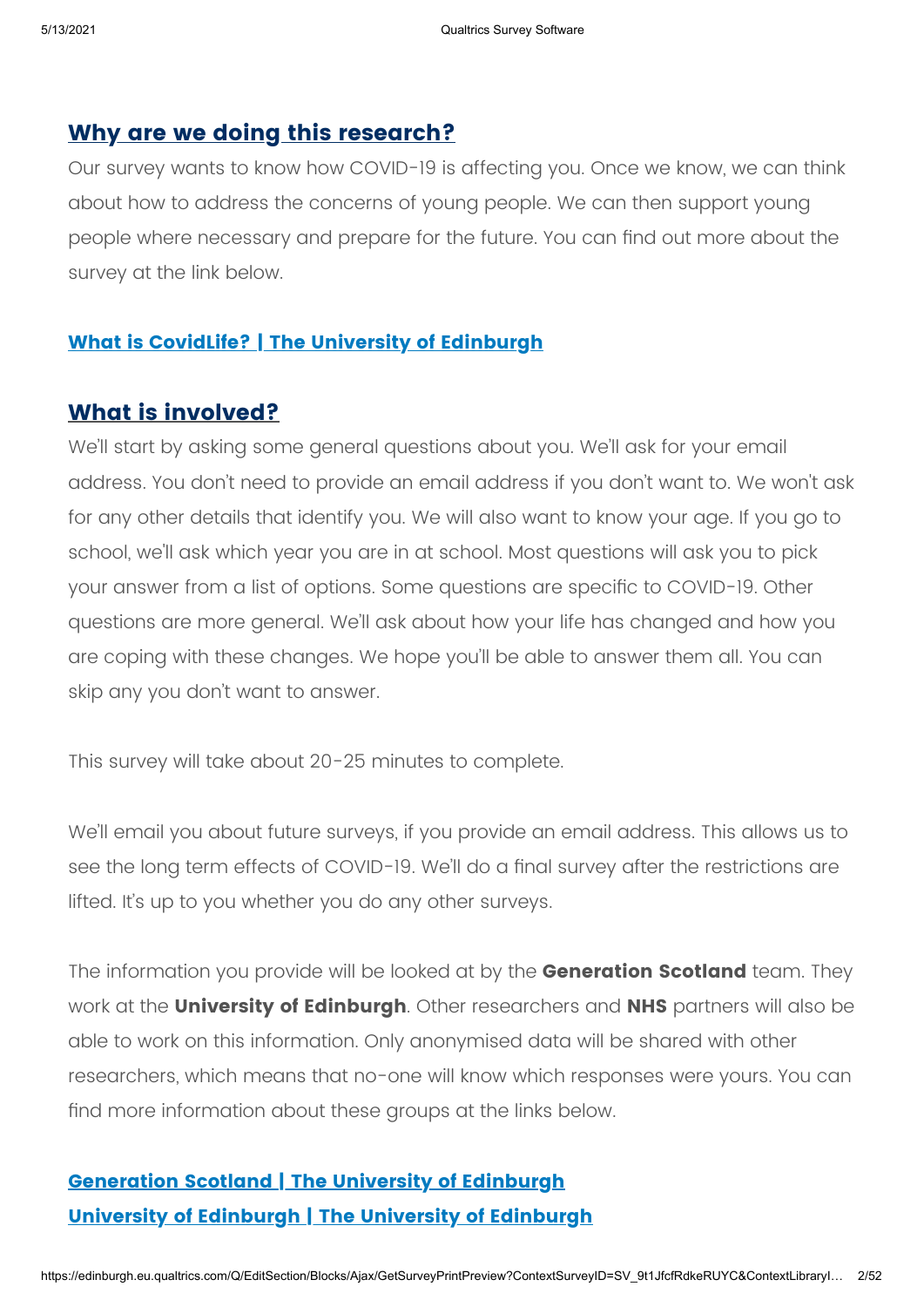### **Why are we doing this research?**

Our survey wants to know how COVID-19 is affecting you. Once we know, we can think about how to address the concerns of young people. We can then support young people where necessary and prepare for the future. You can find out more about the survey at the link below.

### **What is [CovidLife? |](https://www.ed.ac.uk/generation-scotland/generation-scotland-volunteers/covidlife-volunteers/what-is-covidlife) The University of Edinburgh**

### **What is involved?**

We'll start by asking some general questions about you. We'll ask for your email address. You don't need to provide an email address if you don't want to. We won't ask for any other details that identify you. We will also want to know your age. If you go to school, we'll ask which year you are in at school. Most questions will ask you to pick your answer from a list of options. Some questions are specific to COVID-19. Other questions are more general. We'll ask about how your life has changed and how you are coping with these changes. We hope you'll be able to answer them all. You can skip any you don't want to answer.

This survey will take about 20-25 minutes to complete.

We'll email you about future surveys, if you provide an email address. This allows us to see the long term effects of COVID-19. We'll do a final survey after the restrictions are lifted. It's up to you whether you do any other surveys.

The information you provide will be looked at by the **Generation Scotland** team. They work at the **University of Edinburgh**. Other researchers and **NHS** partners will also be able to work on this information. Only anonymised data will be shared with other researchers, which means that no-one will know which responses were yours. You can find more information about these groups at the links below.

# **[Generation](https://www.ed.ac.uk/generation-scotland/) Scotland | The University of Edinburgh University of [Edinburgh](https://www.ed.ac.uk/) | The University of Edinburgh**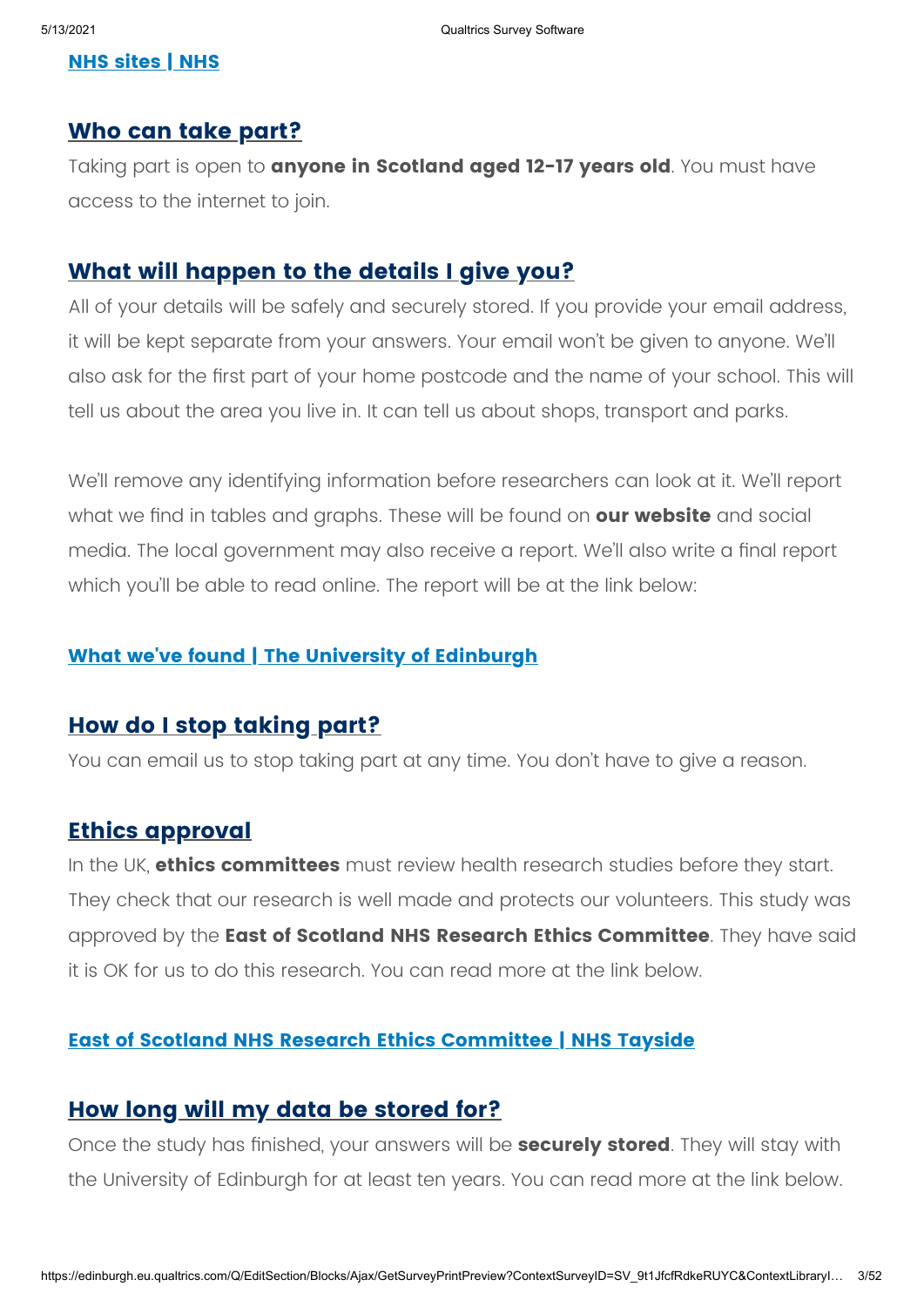### **NHS [sites](https://www.nhs.uk/nhs-sites/) | NHS**

### **Who can take part?**

Taking part is open to **anyone in Scotland aged 12-17 years old**. You must have access to the internet to join.

### **What will happen to the details I give you?**

All of your details will be safely and securely stored. If you provide your email address, it will be kept separate from your answers. Your email won't be given to anyone. We'll also ask for the first part of your home postcode and the name of your school. This will tell us about the area you live in. It can tell us about shops, transport and parks.

We'll remove any identifying information before researchers can look at it. We'll report what we find in tables and graphs. These will be found on **our website** and social media. The local government may also receive a report. We'll also write a final report which you'll be able to read online. The report will be at the link below:

### **What we've found | The University of [Edinburgh](https://www.ed.ac.uk/generation-scotland/what-found)**

### **How do I stop taking part?**

You can email us to stop taking part at any time. You don't have to give a reason.

### **Ethics approval**

In the UK, **ethics committees** must review health research studies before they start. They check that our research is well made and protects our volunteers. This study was approved by the **East of Scotland NHS Research Ethics Committee**. They have said it is OK for us to do this research. You can read more at the link below.

### **East of Scotland NHS Research Ethics [Committee](https://www.nhstayside.scot.nhs.uk/YourHealthBoard/TheBoardanditsCommittees/EastofScotlandResearchEthicsService/index.htm) | NHS Tayside**

### **How long will my data be stored for?**

Once the study has finished, your answers will be **securely stored**. They will stay with the University of Edinburgh for at least ten years. You can read more at the link below.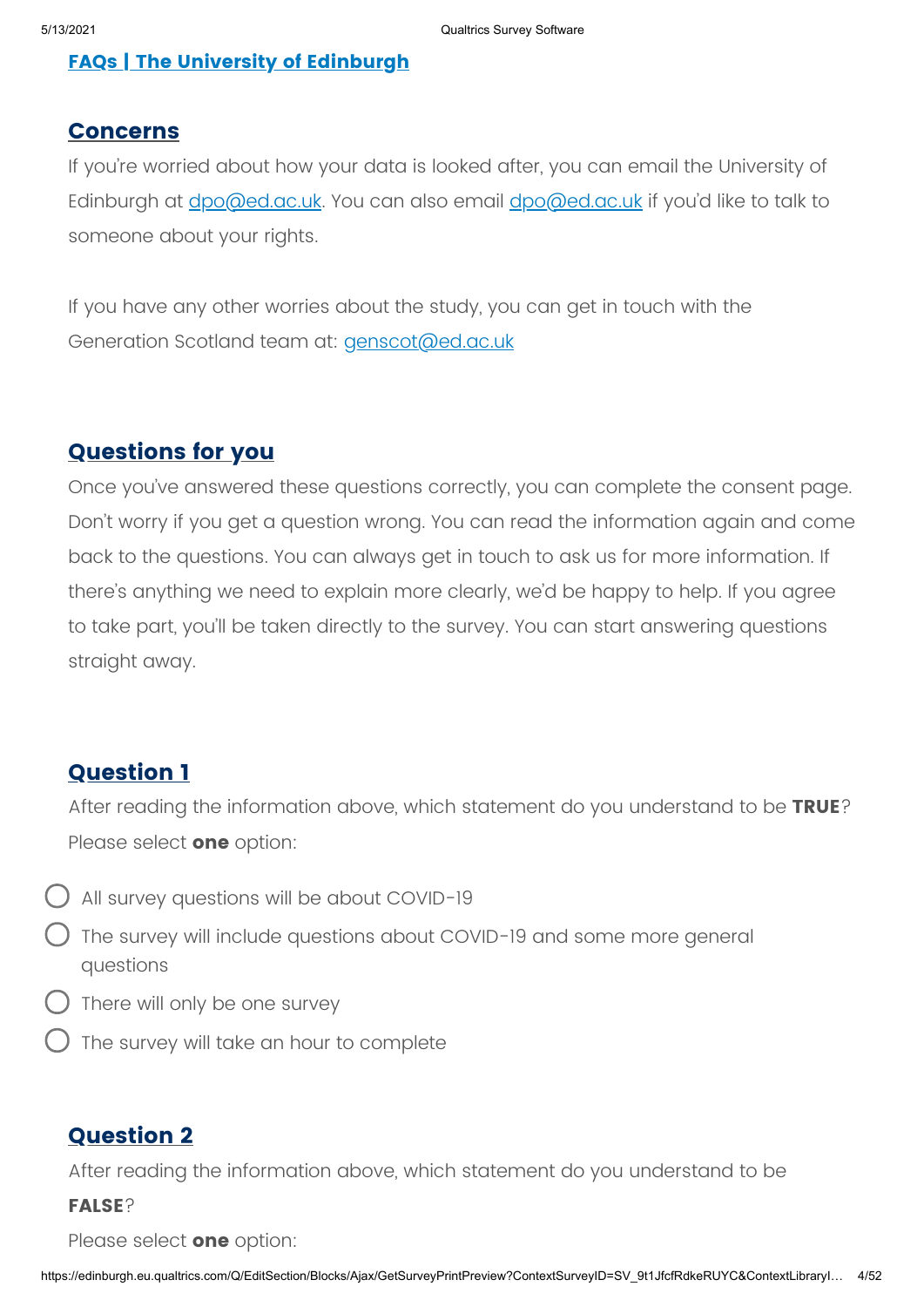### **FAQs | The University of [Edinburgh](https://www.ed.ac.uk/generation-scotland/generation-scotland-volunteers/covidlife-volunteers/faqs)**

### **Concerns**

If you're worried about how your data is looked after, you can email the University of Edinburgh at *[dpo@ed.ac.uk](mailto:dpo@ed.ac.uk)*. You can also email *dpo@ed.ac.uk* if you'd like to talk to someone about your rights.

If you have any other worries about the study, you can get in touch with the Generation Scotland team at: [genscot@ed.ac.uk](mailto:genscot@ed.ac.uk)

### **Questions for you**

Once you've answered these questions correctly, you can complete the consent page. Don't worry if you get a question wrong. You can read the information again and come back to the questions. You can always get in touch to ask us for more information. If there's anything we need to explain more clearly, we'd be happy to help. If you agree to take part, you'll be taken directly to the survey. You can start answering questions straight away.

### **Question 1**

After reading the information above, which statement do you understand to be **TRUE**? Please select **one** option:

- All survey questions will be about COVID-19
- The survey will include questions about COVID-19 and some more general questions
- There will only be one survey
- The survey will take an hour to complete

### **Question 2**

After reading the information above, which statement do you understand to be

### **FALSE**?

Please select **one** option: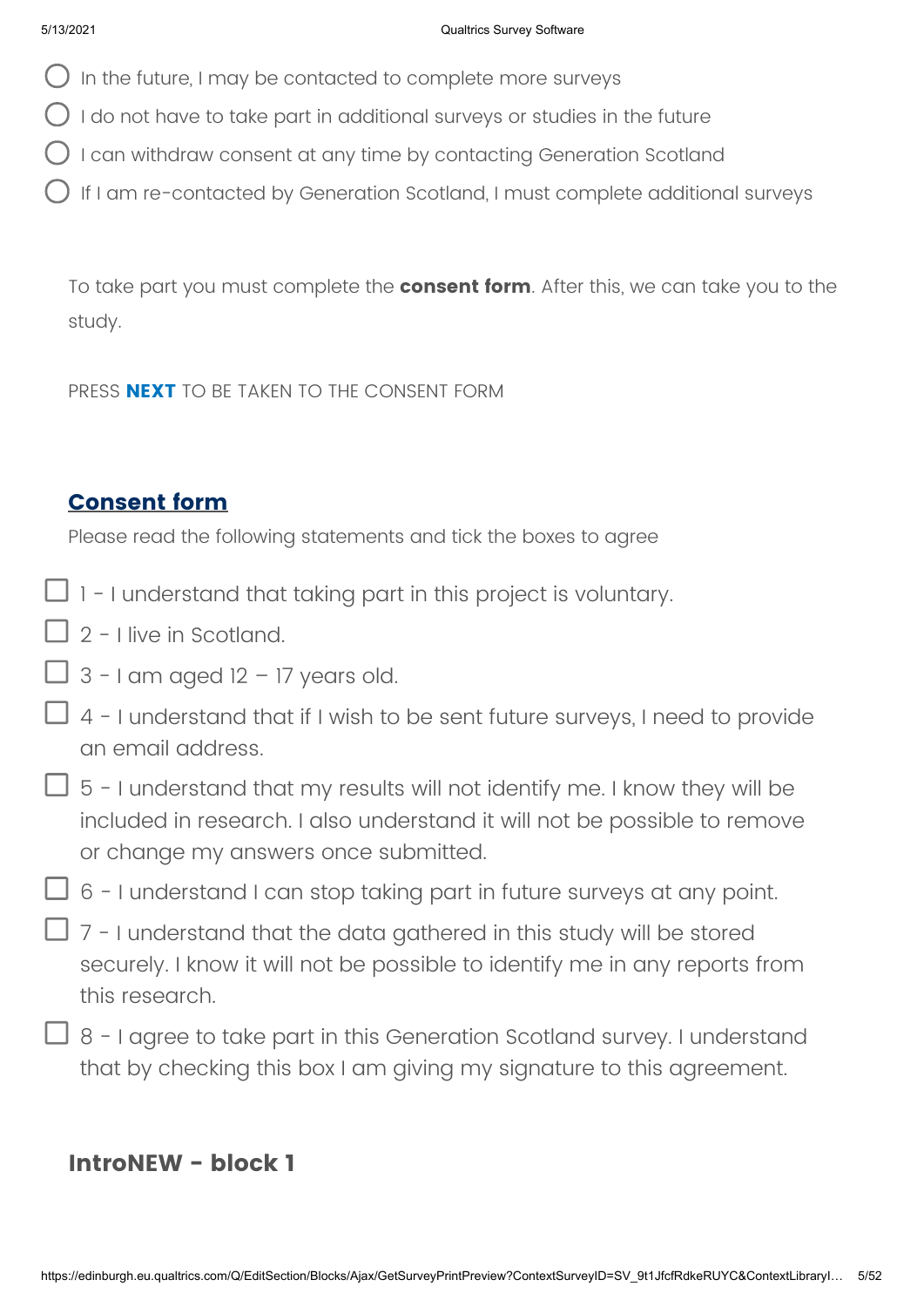- $\bigcirc$  In the future, I may be contacted to complete more surveys
- $\bigcirc$  I do not have to take part in additional surveys or studies in the future
- $\bigcap$  I can withdraw consent at any time by contacting Generation Scotland
- If I am re-contacted by Generation Scotland, I must complete additional surveys

To take part you must complete the **consent form**. After this, we can take you to the study.

PRESS **NEXT** TO BE TAKEN TO THE CONSENT FORM

### **Consent form**

Please read the following statements and tick the boxes to agree

- $\Box$  1 I understand that taking part in this project is voluntary.
- $\Box$  2 I live in Scotland.
- $\Box$  3 I am aged 12 17 years old.
- $\Box$  4 I understand that if I wish to be sent future surveys, I need to provide an email address.
- $\Box$  5 I understand that my results will not identify me. I know they will be included in research. I also understand it will not be possible to remove or change my answers once submitted.
- $\overline{\Box}$  6 I understand I can stop taking part in future surveys at any point.
- $\Box$  7 I understand that the data gathered in this study will be stored securely. I know it will not be possible to identify me in any reports from this research.
- $\Box$  8 I agree to take part in this Generation Scotland survey. I understand that by checking this box I am giving my signature to this agreement.

## **IntroNEW - block 1**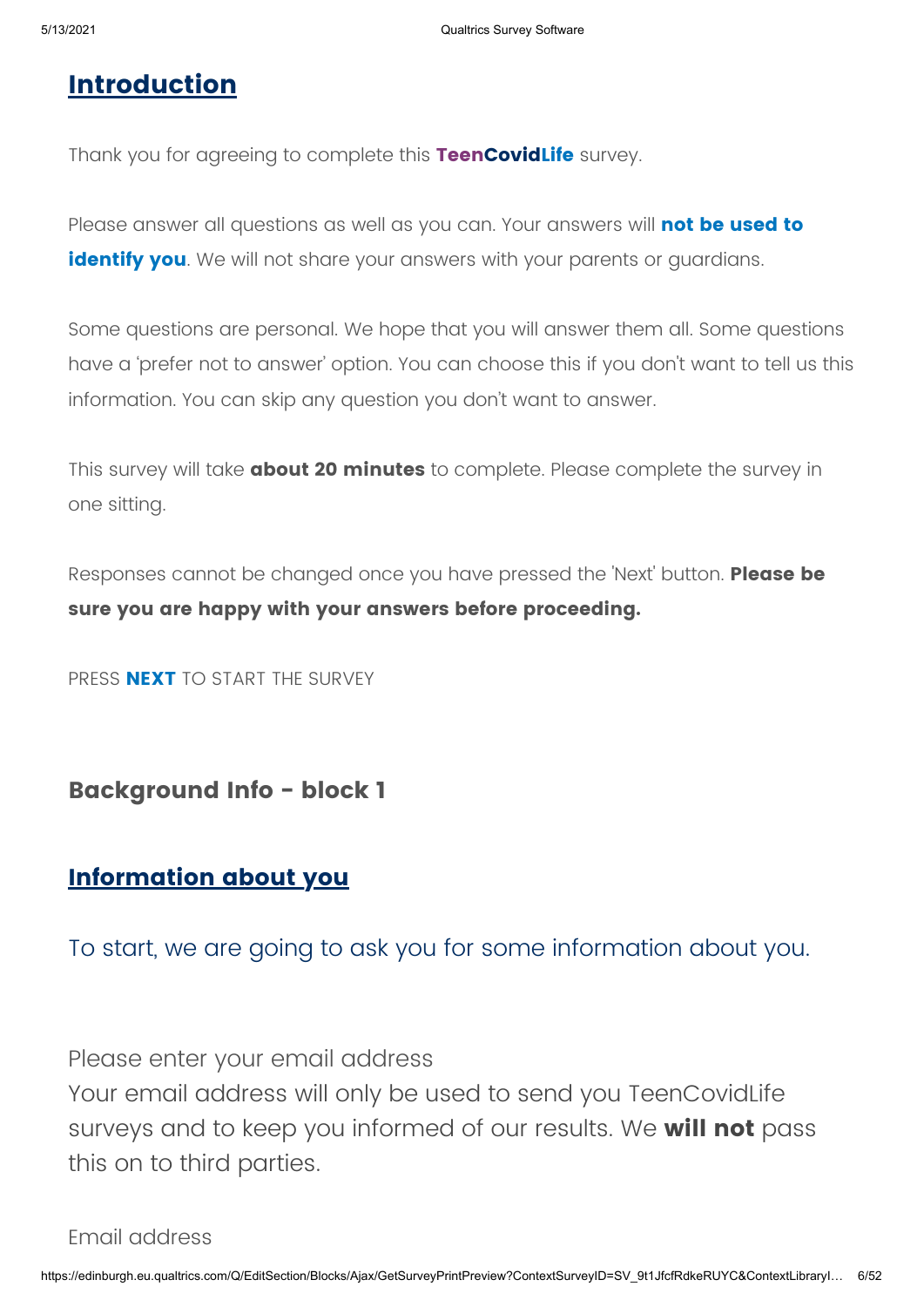## **Introduction**

Thank you for agreeing to complete this **TeenCovidLife** survey.

Please answer all questions as well as you can. Your answers will **not be used to identify you**. We will not share your answers with your parents or quardians.

Some questions are personal. We hope that you will answer them all. Some questions have a 'prefer not to answer' option. You can choose this if you don't want to tell us this information. You can skip any question you don't want to answer.

This survey will take **about 20 minutes** to complete. Please complete the survey in one sitting.

Responses cannot be changed once you have pressed the 'Next' button. **Please be sure you are happy with your answers before proceeding.**

PRESS **NEXT** TO START THE SURVEY

**Background Info - block 1**

### **Information about you**

To start, we are going to ask you for some information about you.

Please enter your email address

Your email address will only be used to send you TeenCovidLife surveys and to keep you informed of our results. We **will not** pass this on to third parties.

Email address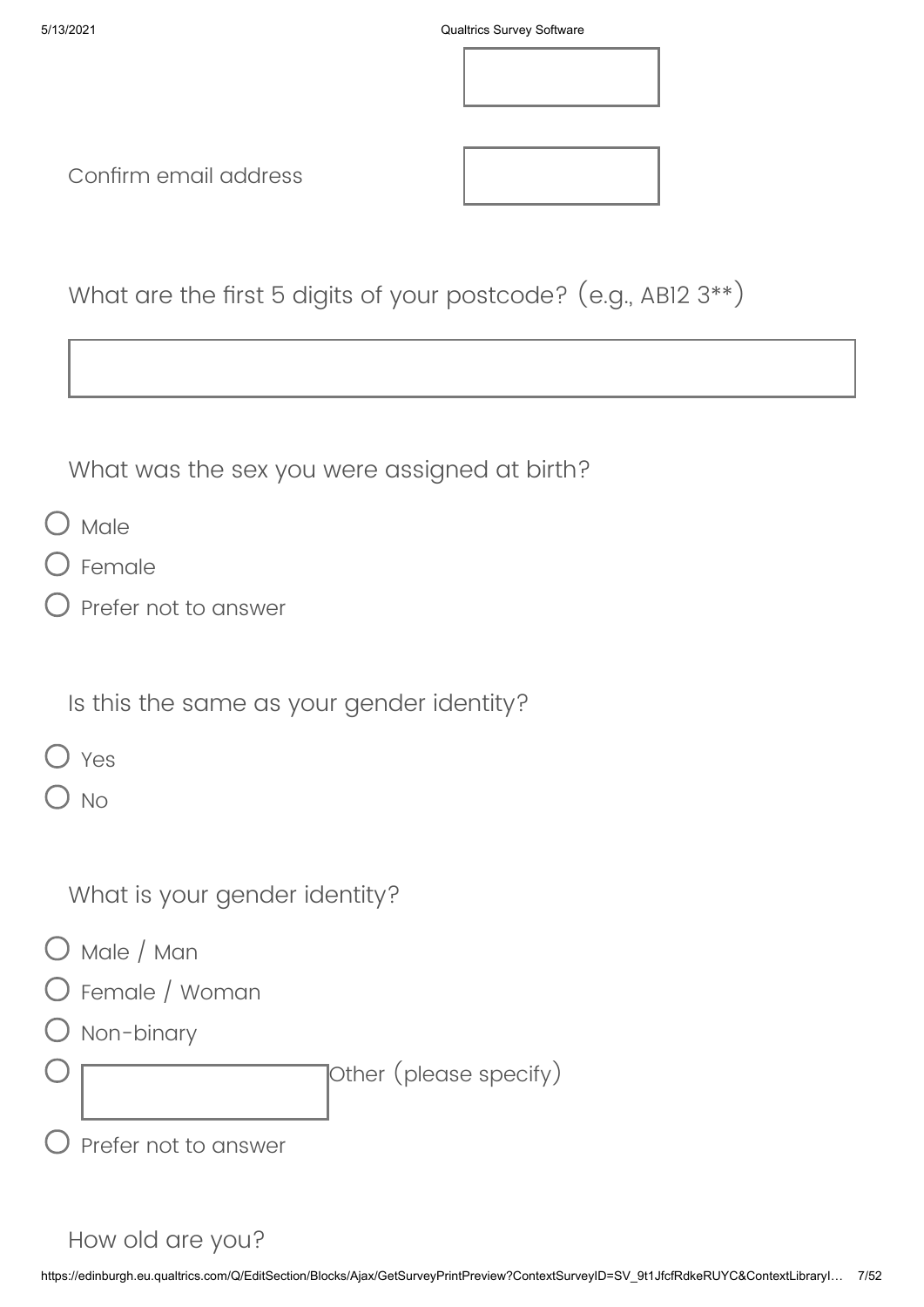

Confirm email address

| What are the first 5 digits of your postcode? $(e.g., AB12 3**)$ |  |
|------------------------------------------------------------------|--|
|------------------------------------------------------------------|--|

What was the sex you were assigned at birth?

- $\bigcirc$  Male
- Female
- Prefer not to answer

Is this the same as your gender identity?

|--|--|

 $\bigcirc$  No

What is your gender identity?

- O Male / Man
- Female / Woman
- O Non-binary

Other (please specify)

Prefer not to answer

### How old are you?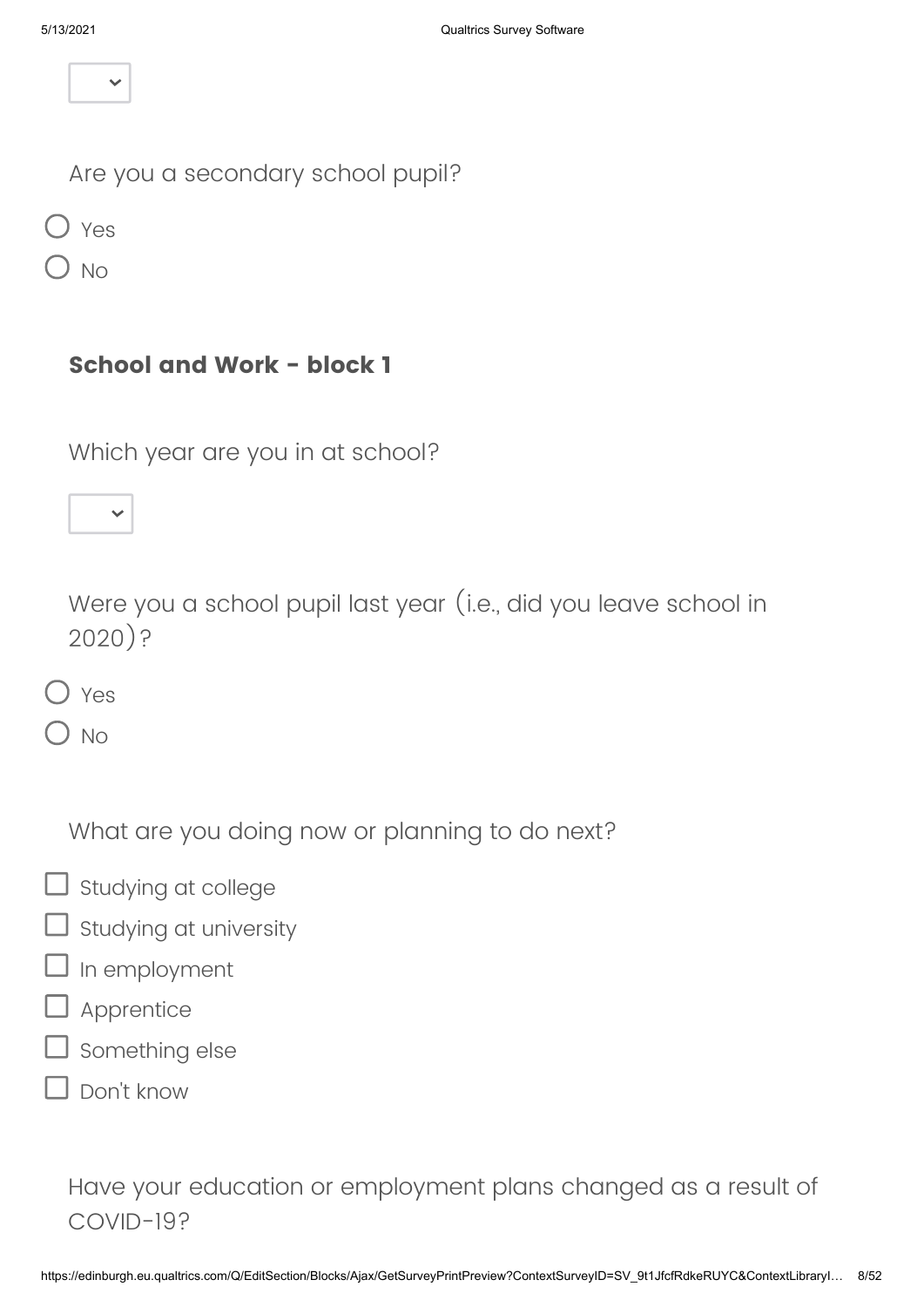Are you a secondary school pupil?

O Yes

No

### **School and Work - block 1**

Which year are you in at school?

2020)?

Yes

 $\overline{\phantom{a}}$  No

What are you doing now or planning to do next?

Were you a school pupil last year (i.e., did you leave school in

- $\Box$  Studying at college
- $\exists$  Studying at university
- In employment
- Apprentice
- **J** Something else
- Don't know

Have your education or employment plans changed as a result of COVID-19?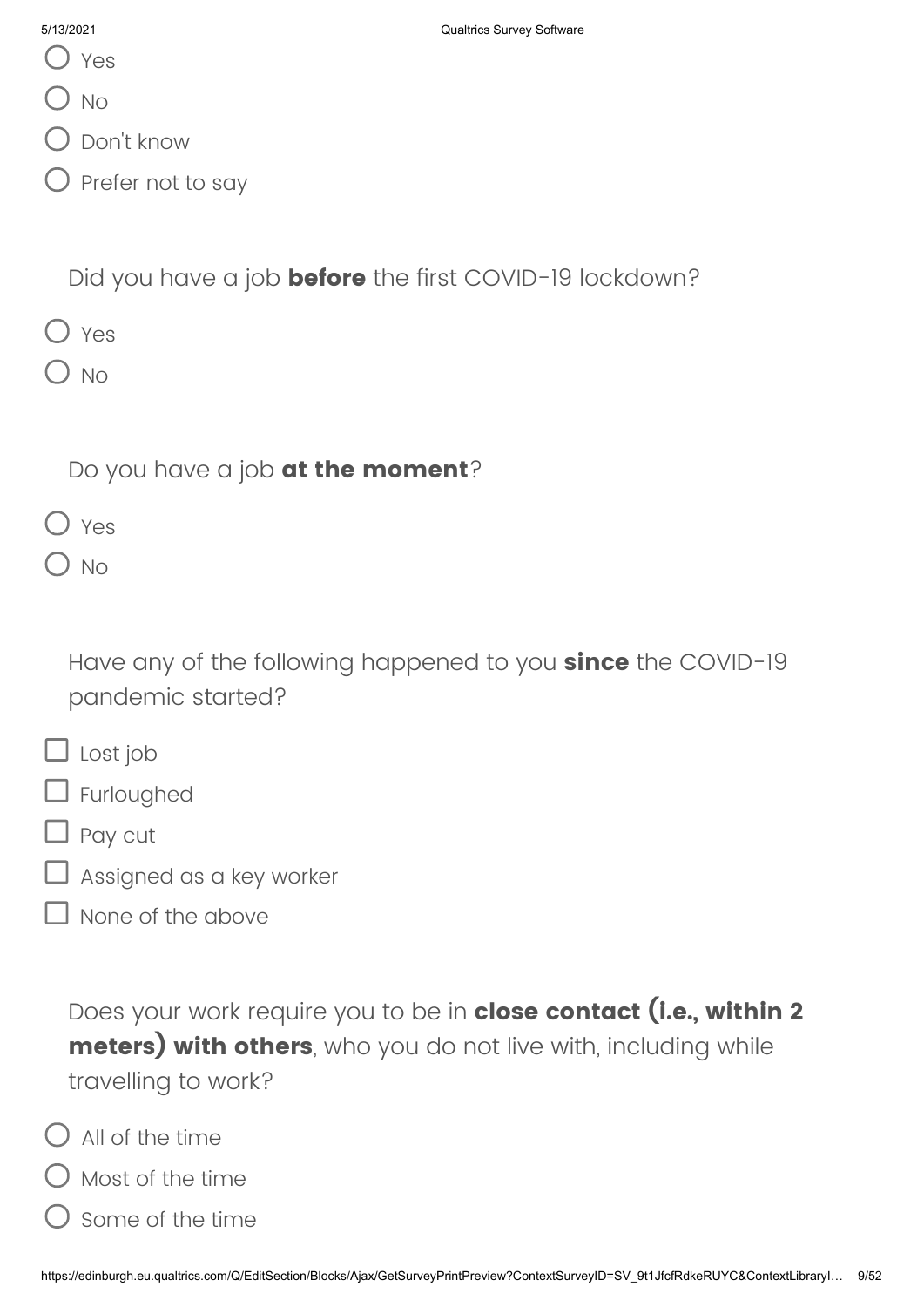- Yes
- $\bigcirc$  No
- $\bigcup$  Don't know
- $\big)$  Prefer not to say

Did you have a job **before** the first COVID-19 lockdown?

- $\bigcap$  Yes
- $\bigcap$  No

Do you have a job **at the moment**?

- O Yes
- $\bigcirc$  No

Have any of the following happened to you **since** the COVID-19 pandemic started?

- $\Box$  Lost job
- **D** Furloughed
- Pay cut
- Assigned as a key worker
- None of the above

Does your work require you to be in **close contact (i.e., within 2 meters) with others**, who you do not live with, including while travelling to work?

- $\bigcap$  All of the time
- $\bigcirc$  Most of the time
- Some of the time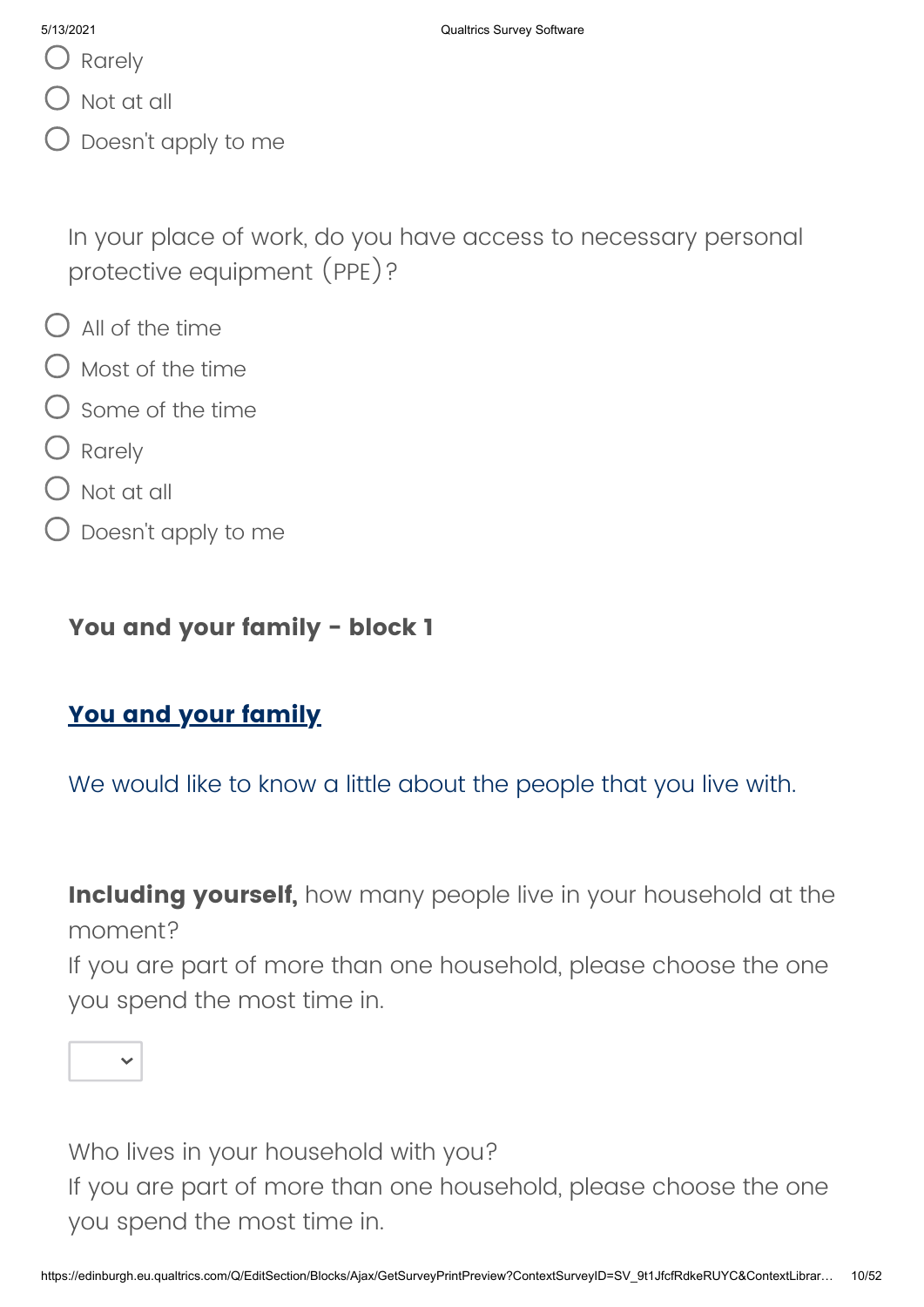- Q Rarely
- $\bigcirc$  Not at all
- $\mathcal D$  Doesn't apply to me

In your place of work, do you have access to necessary personal protective equipment (PPE)?

- $\bigcirc$  All of the time
- $\bigcap$  Most of the time
- $\bigcirc$  some of the time
- O Rarely
- Not at all
- $\bigcirc$  Doesn't apply to me

### **You and your family - block 1**

## **You and your family**

We would like to know a little about the people that you live with.

**Including yourself,** how many people live in your household at the moment?

If you are part of more than one household, please choose the one you spend the most time in.



Who lives in your household with you? If you are part of more than one household, please choose the one you spend the most time in.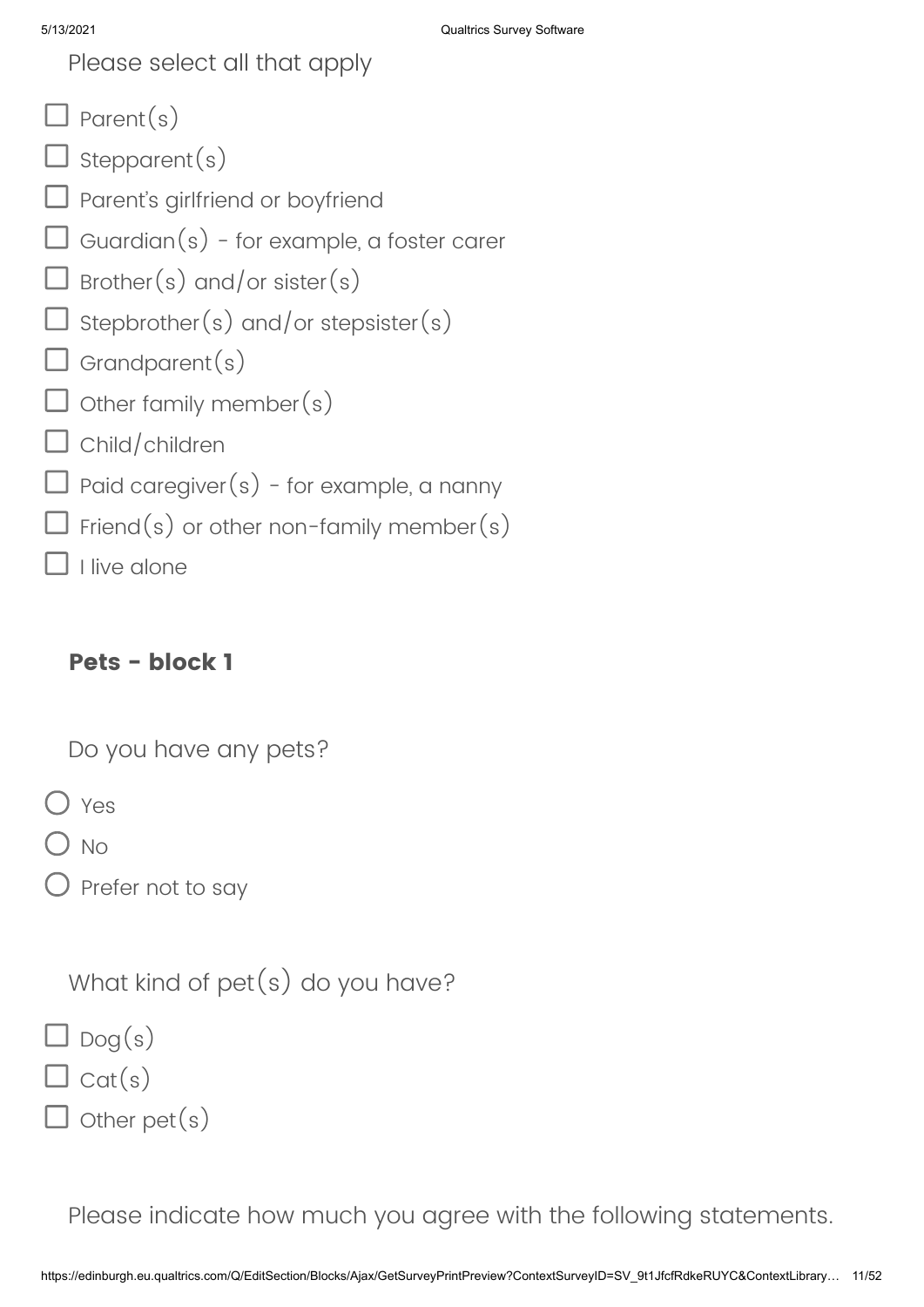Please select all that apply

- $\Box$  Parent(s)
- $\Box$  stepparent(s)
- $\square$  Parent's girlfriend or boyfriend
- $\Box$  Guardian $(s)$  for example, a foster carer
- $\Box$  Brother(s) and/or sister(s)
- $\sf J$  Stepbrother(s) and/or stepsister(s)
- $\Box$  Grandparent(s)
- $\Box$  other family member(s)
- $\Box$  Child/children
- $\overline{\mathsf{J}}$  Paid caregiver $(s)$  for example, a nanny
- $\exists$  Friend(s) or other non-family member(s)

I live alone

## **Pets - block 1**

Do you have any pets?

Yes

) No

 $\bigcirc$  Prefer not to say

What kind of pet(s) do you have?

 $\Box$  Dog(s)

 $\exists$  Cat(s)

 $J$  other pet(s)

Please indicate how much you agree with the following statements.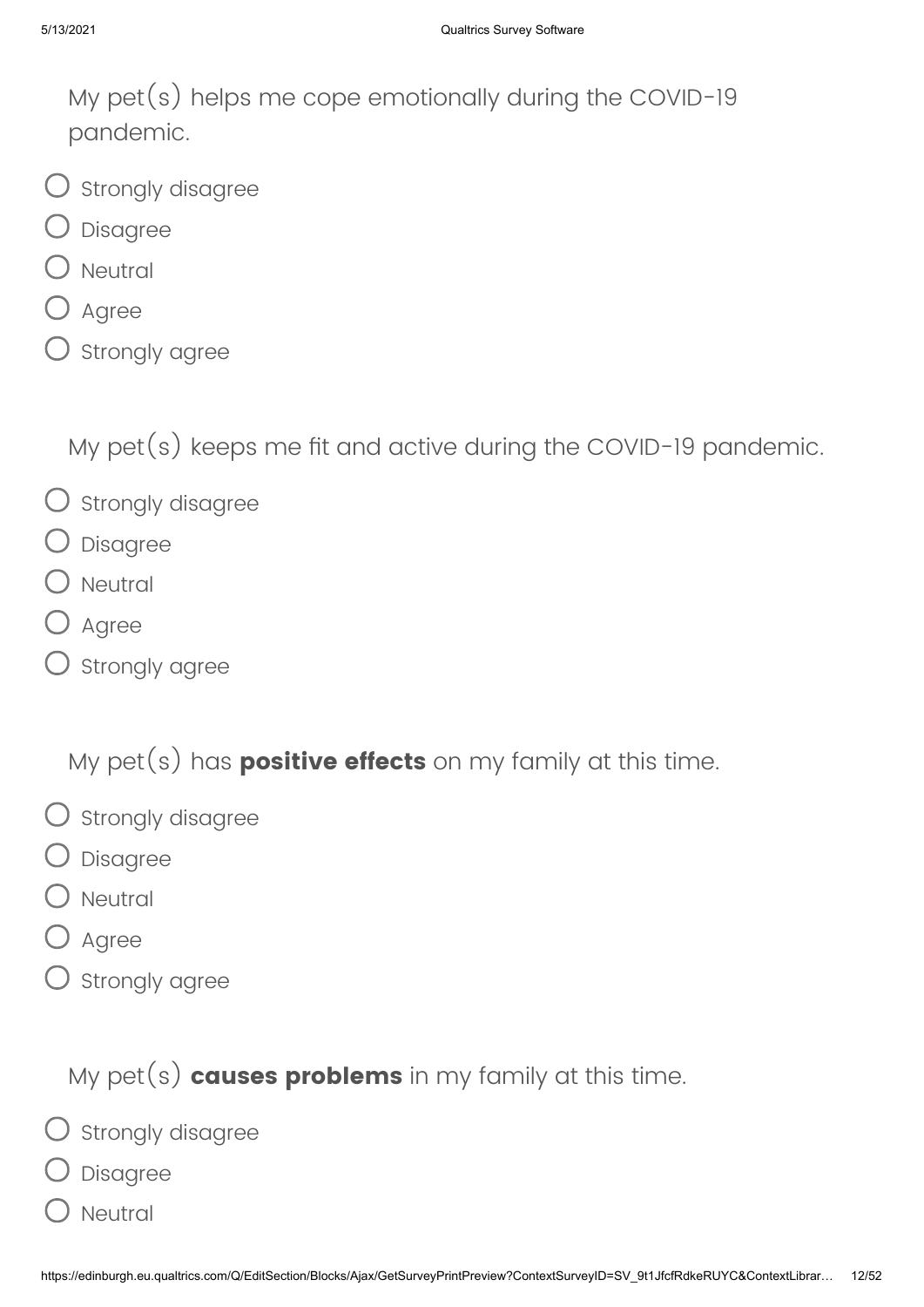My pet(s) helps me cope emotionally during the COVID-19 pandemic.

- $\bigcirc$  Strongly disagree
- Disagree
- Neutral
- Agree
- $\mathsf D$  strongly agree

My pet(s) keeps me fit and active during the COVID-19 pandemic.

- $\bigcirc$  Strongly disagree
- Disagree
- Neutral
- Agree
- ) Strongly agree

My pet(s) has **positive effects** on my family at this time.

- $\bigcirc$  strongly disagree
- Disagree
- **Neutral**
- ) Agree
- ) Strongly agree

My pet(s) **causes problems** in my family at this time.

- $\bigcirc$  strongly disagree
- Disagree
- **Neutral**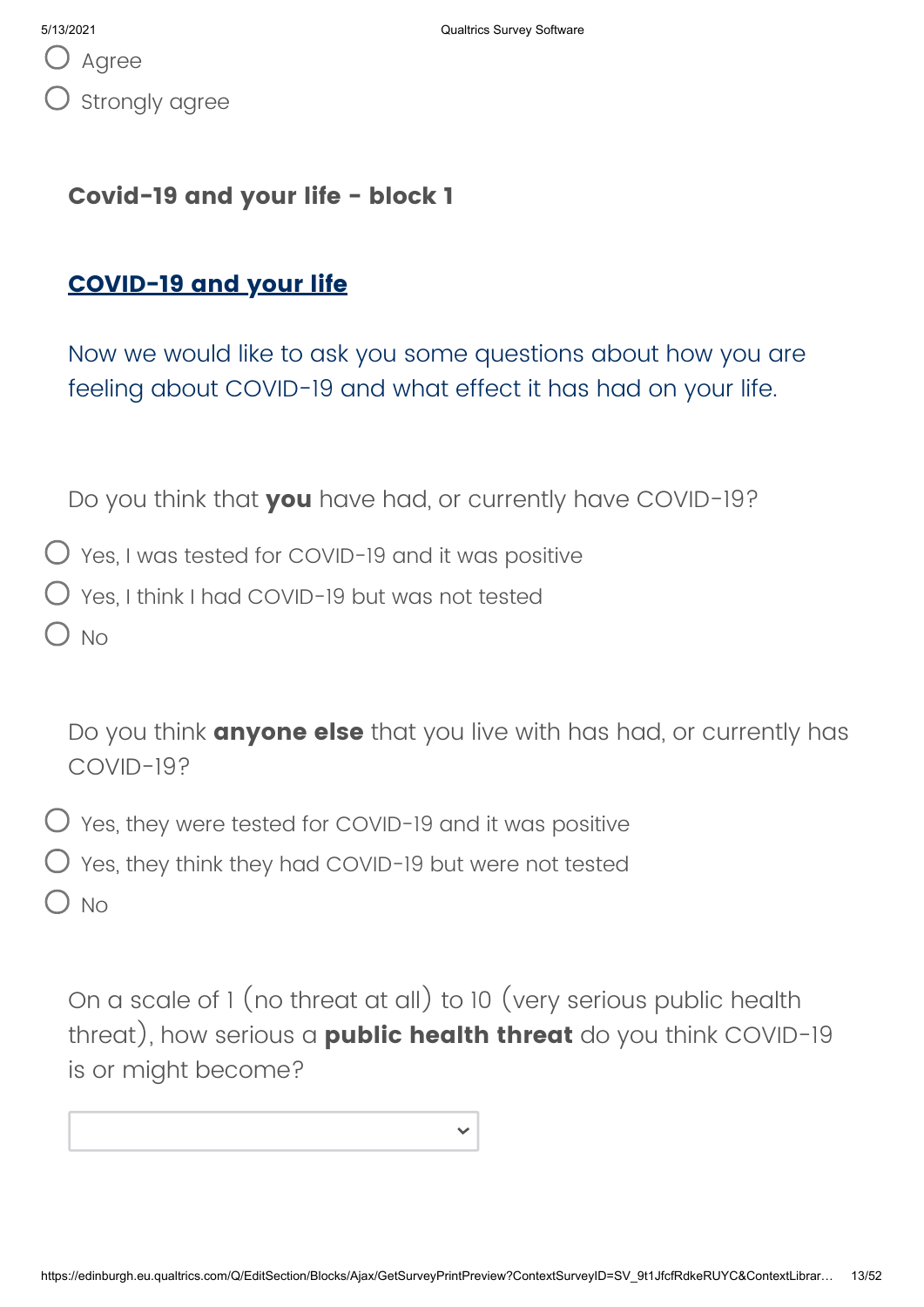### **Covid-19 and your life - block 1**

## **COVID-19 and your life**

Now we would like to ask you some questions about how you are feeling about COVID-19 and what effect it has had on your life.

Do you think that **you** have had, or currently have COVID-19?

 $\bigcirc$  Yes, I was tested for COVID-19 and it was positive

 $\bigcirc$  Yes, I think I had COVID-19 but was not tested

 $O$  No

Do you think **anyone else** that you live with has had, or currently has COVID-19?

- $\bigcirc$  Yes, they were tested for COVID-19 and it was positive
- $\bigcirc$  Yes, they think they had COVID-19 but were not tested

No

On a scale of 1 (no threat at all) to 10 (very serious public health threat), how serious a **public health threat** do you think COVID-19 is or might become?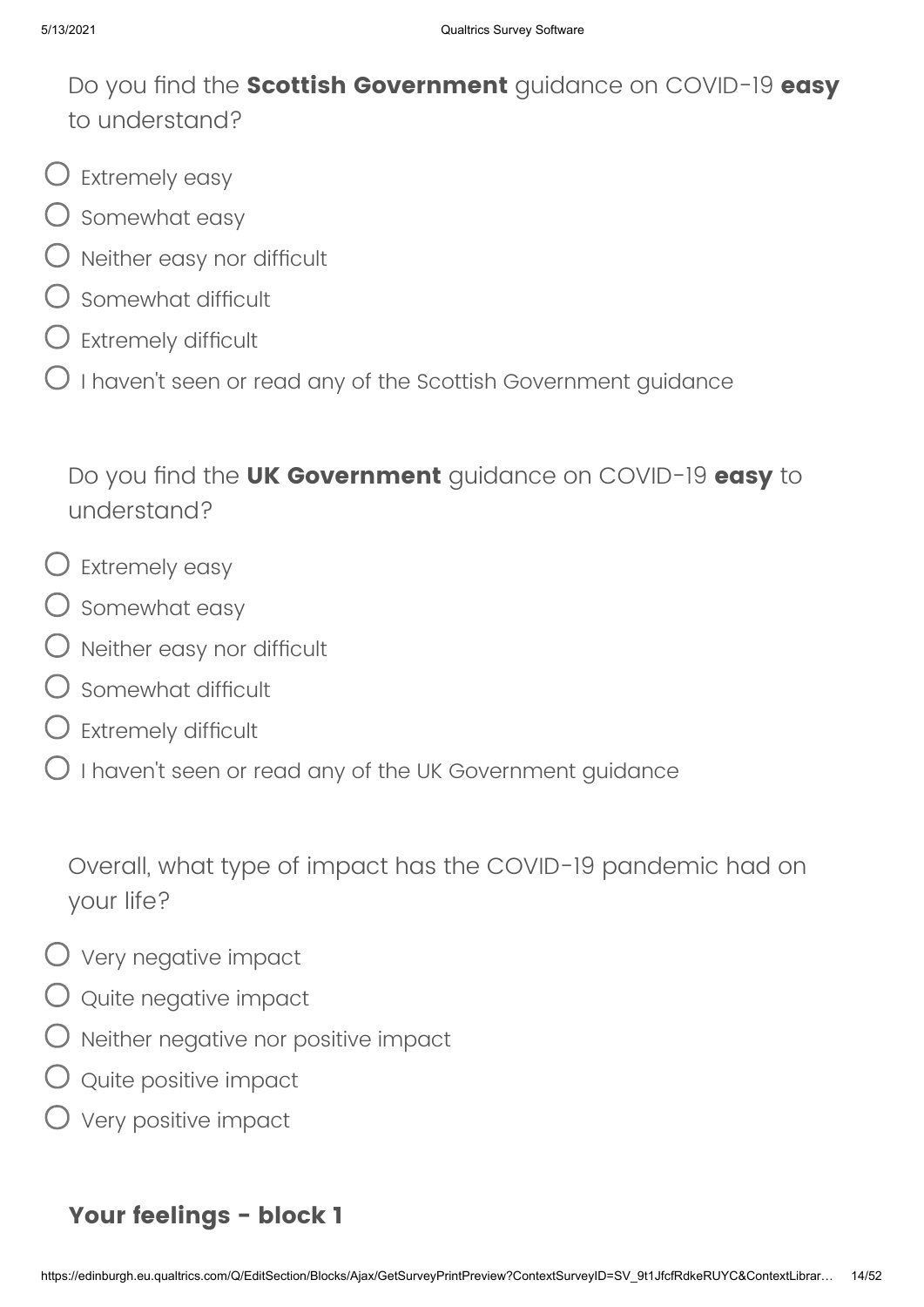Do you find the **Scottish Government** guidance on COVID-19 **easy** to understand?

- $\bigcup$  Extremely easy
- $\bigcirc$  somewhat easy
- $\bigcirc$  Neither easy nor difficult
- $\bigcirc$  Somewhat difficult
- $\bigcirc$  Extremely difficult
- $\bigcirc$  I haven't seen or read any of the Scottish Government guidance

Do you find the **UK Government** guidance on COVID-19 **easy** to understand?

- $\bigcirc$  Extremely easy
- $O$  Somewhat easy
- $\bigcirc$  Neither easy nor difficult
- Somewhat difficult
- $\bigcirc$  Extremely difficult
- $\bigcirc$  I haven't seen or read any of the UK Government guidance

Overall, what type of impact has the COVID-19 pandemic had on your life?

- Very negative impact
- $\bigcirc$  quite negative impact
- $\bigcirc$  Neither negative nor positive impact
- $\bigcirc$  Quite positive impact
- $\bigcirc$  Very positive impact

## **Your feelings - block 1**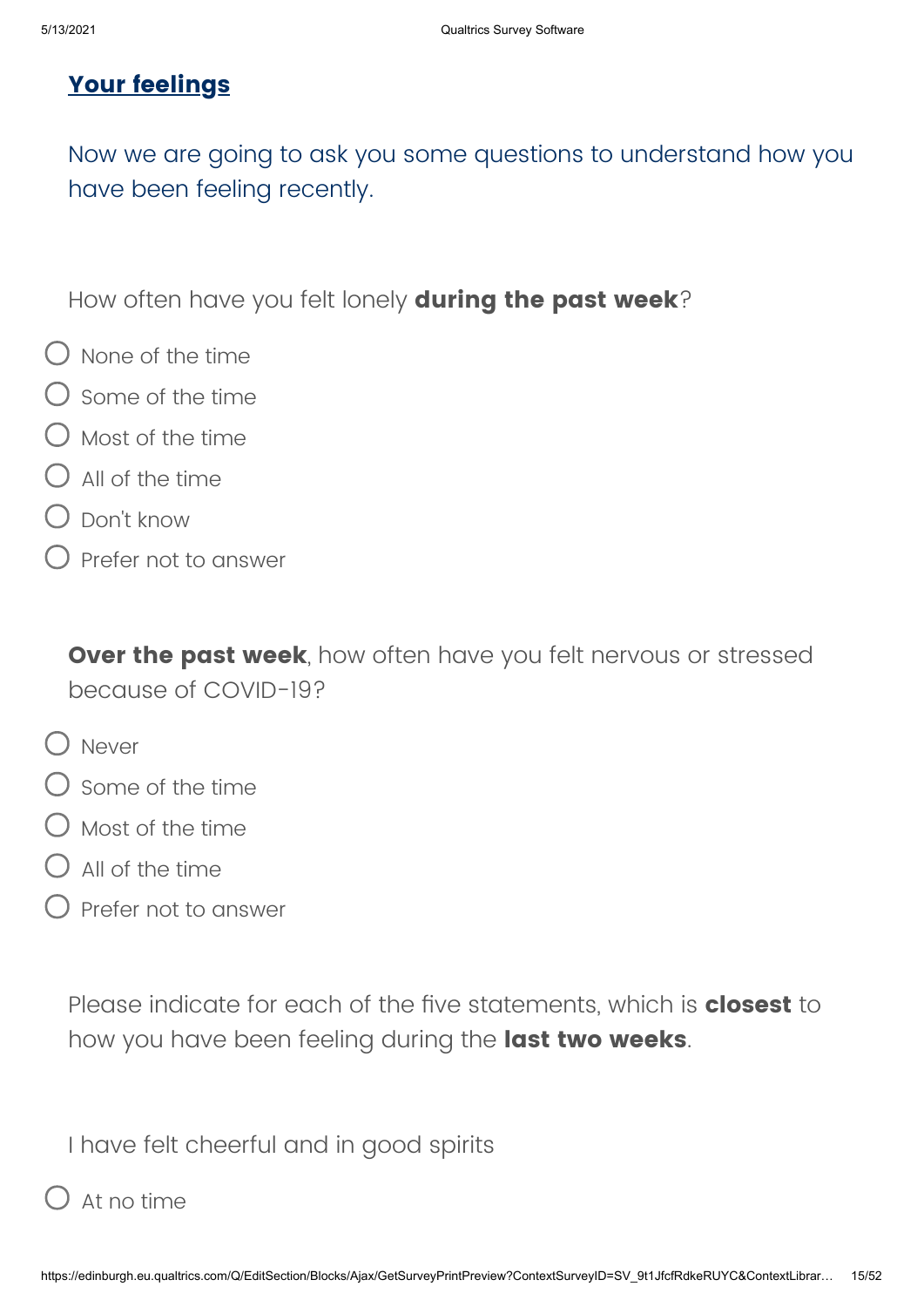# **Your feelings**

Now we are going to ask you some questions to understand how you have been feeling recently.

How often have you felt lonely **during the past week**?

- $\bigcirc$  None of the time
- $\bigcirc$  some of the time
- Most of the time
- $O$  All of the time
- Don't know
- Prefer not to answer

**Over the past week**, how often have you felt nervous or stressed because of COVID-19?

- O Never
- $\bigcirc$  Some of the time
- $\bigcap$  Most of the time
- All of the time
- Prefer not to answer

Please indicate for each of the five statements, which is **closest** to how you have been feeling during the **last two weeks**.

I have felt cheerful and in good spirits

## At no time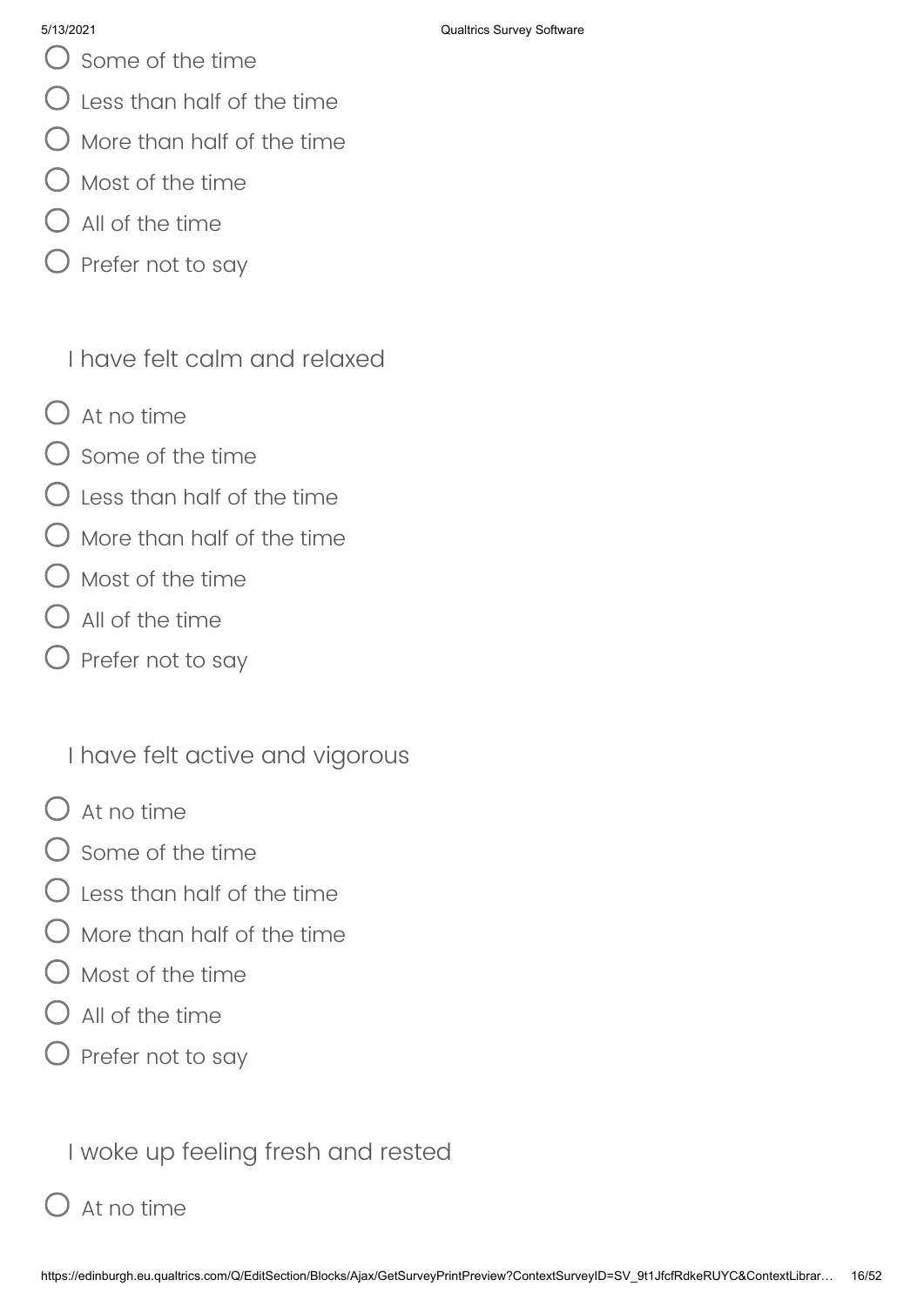- Some of the time
- Less than half of the time
- $\bigcirc$  More than half of the time
- Most of the time
- All of the time
- $\bigcirc$  Prefer not to say

I have felt calm and relaxed

- $O$  At no time
- $\bigcap$  Some of the time
- Less than half of the time
- More than half of the time
- Most of the time
- All of the time
- $\bigcirc$  Prefer not to say

I have felt active and vigorous

- $\bigcap$  At no time
- Some of the time
- $\ell$  Less than half of the time
- More than half of the time
- Most of the time
- All of the time
- $\bigcirc$  Prefer not to say

I woke up feeling fresh and rested

# At no time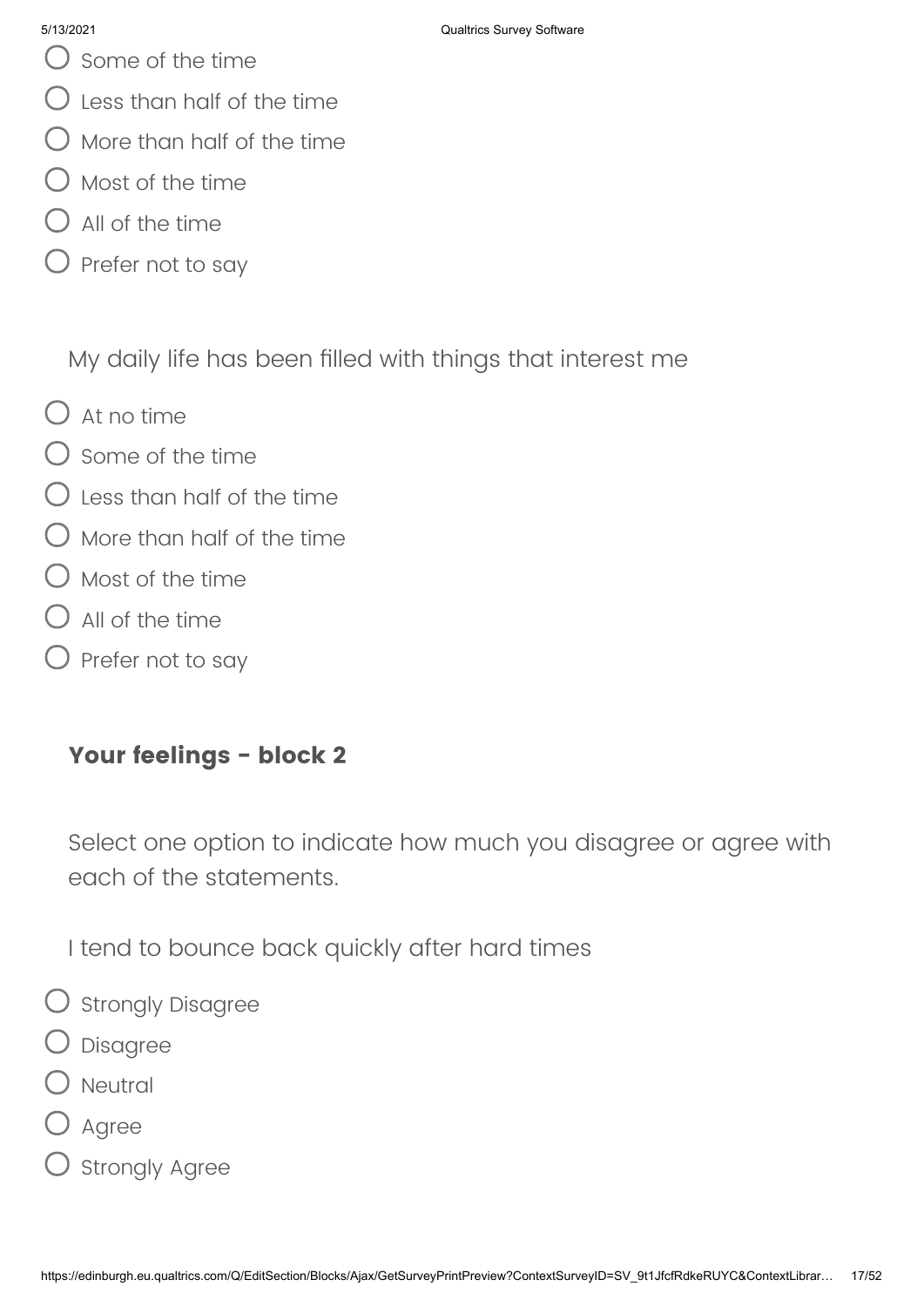- Some of the time
- $\bigcirc$  Less than half of the time
- $\bigcirc$  More than half of the time
- Most of the time
- All of the time
- $\bigcirc$  Prefer not to say

My daily life has been filled with things that interest me

- $O$  At no time
- $\bigcap$  Some of the time
- $\bigcirc$  Less than half of the time
- More than half of the time
- () Most of the time
- $\bigcup$  All of the time
- Prefer not to say

# **Your feelings - block 2**

Select one option to indicate how much you disagree or agree with each of the statements.

I tend to bounce back quickly after hard times

- O strongly Disagree
- Disagree
- Neutral
- Agree
- $\mathcal D$  Strongly Agree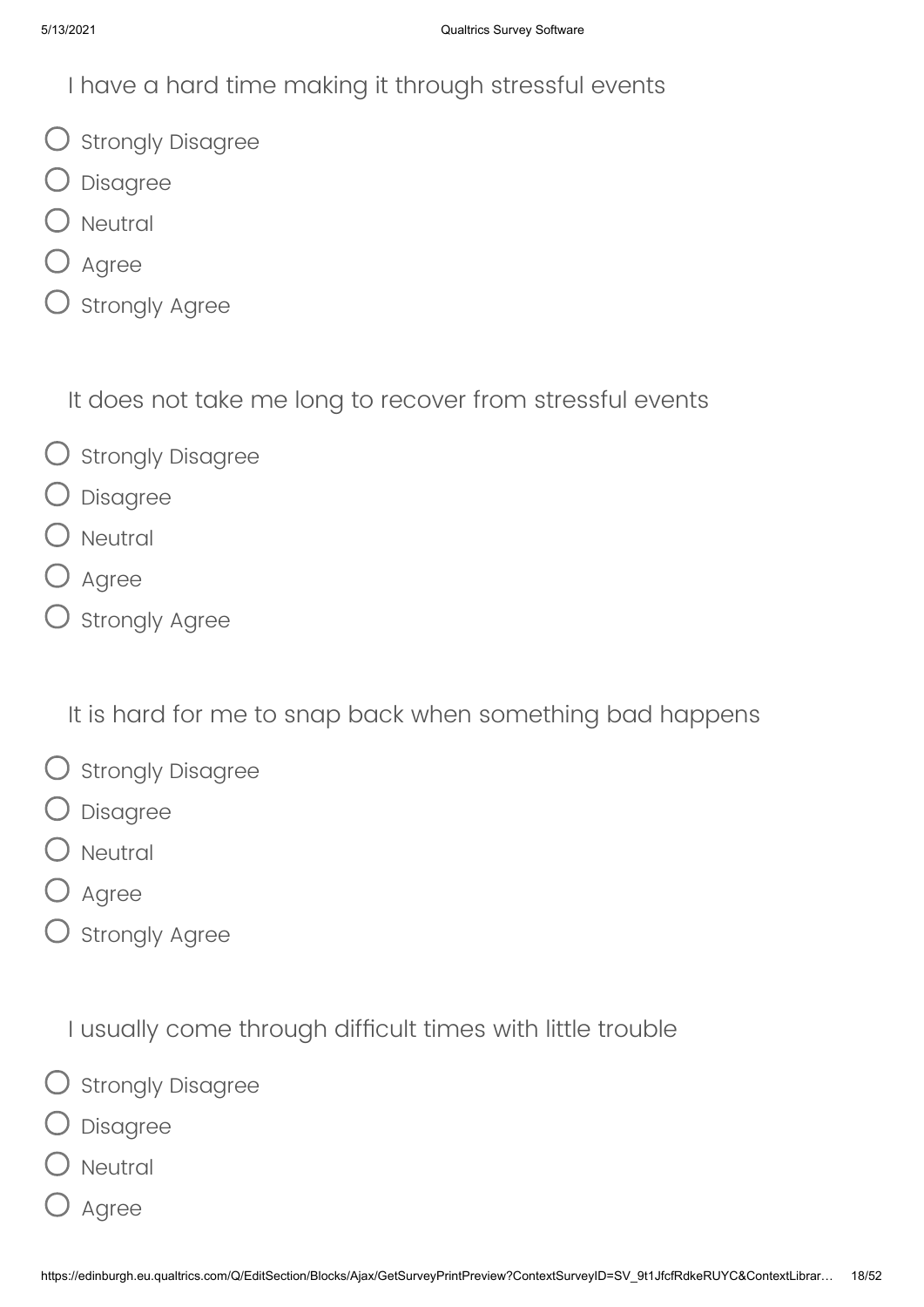I have a hard time making it through stressful events

- O Strongly Disagree
- Disagree
- ) Neutral
- $O$  Agree
- $\overline{\mathsf{C}}$  Strongly Agree

It does not take me long to recover from stressful events

- $\bigcirc$  Strongly Disagree
- Disagree
- ) Neutral
- **O** Agree
- $O$  Strongly Agree

It is hard for me to snap back when something bad happens

- $\bigcirc$  Strongly Disagree
- Disagree
- ) Neutral
- ) Agree
- $O$  Strongly Agree

I usually come through difficult times with little trouble

- O strongly Disagree
- Disagree
- ) Neutral
- Agree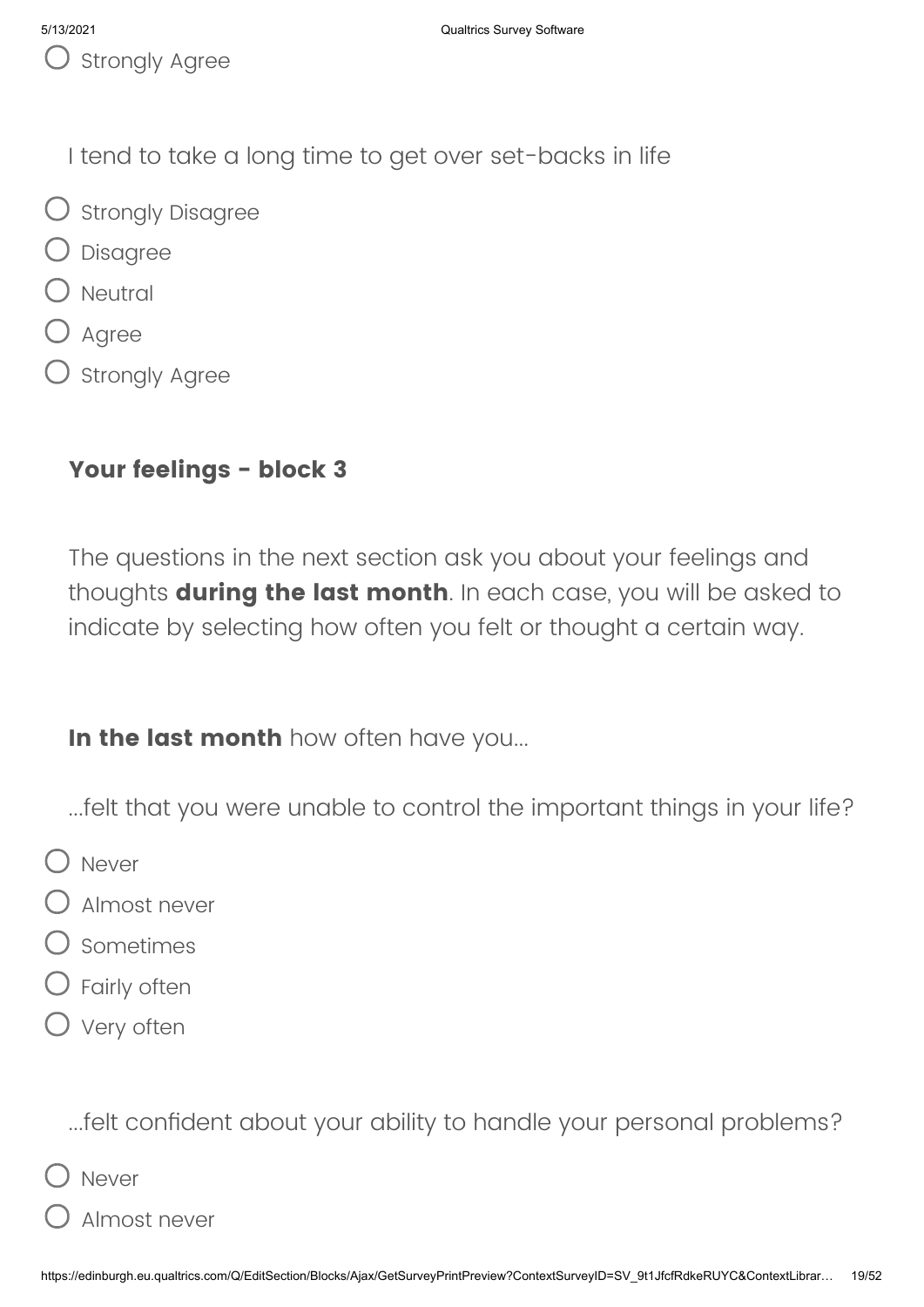I tend to take a long time to get over set-backs in life

- O Strongly Disagree
- Disagree
- $\bigcirc$  Neutral
- $O$  Agree
- ) Strongly Agree

# **Your feelings - block 3**

The questions in the next section ask you about your feelings and thoughts **during the last month**. In each case, you will be asked to indicate by selecting how often you felt or thought a certain way.

**In the last month** how often have you...

- ...felt that you were unable to control the important things in your life?
- O Never
- Almost never
- Sometimes
- Fairly often
- O Very often

...felt confident about your ability to handle your personal problems?

- Never
- Almost never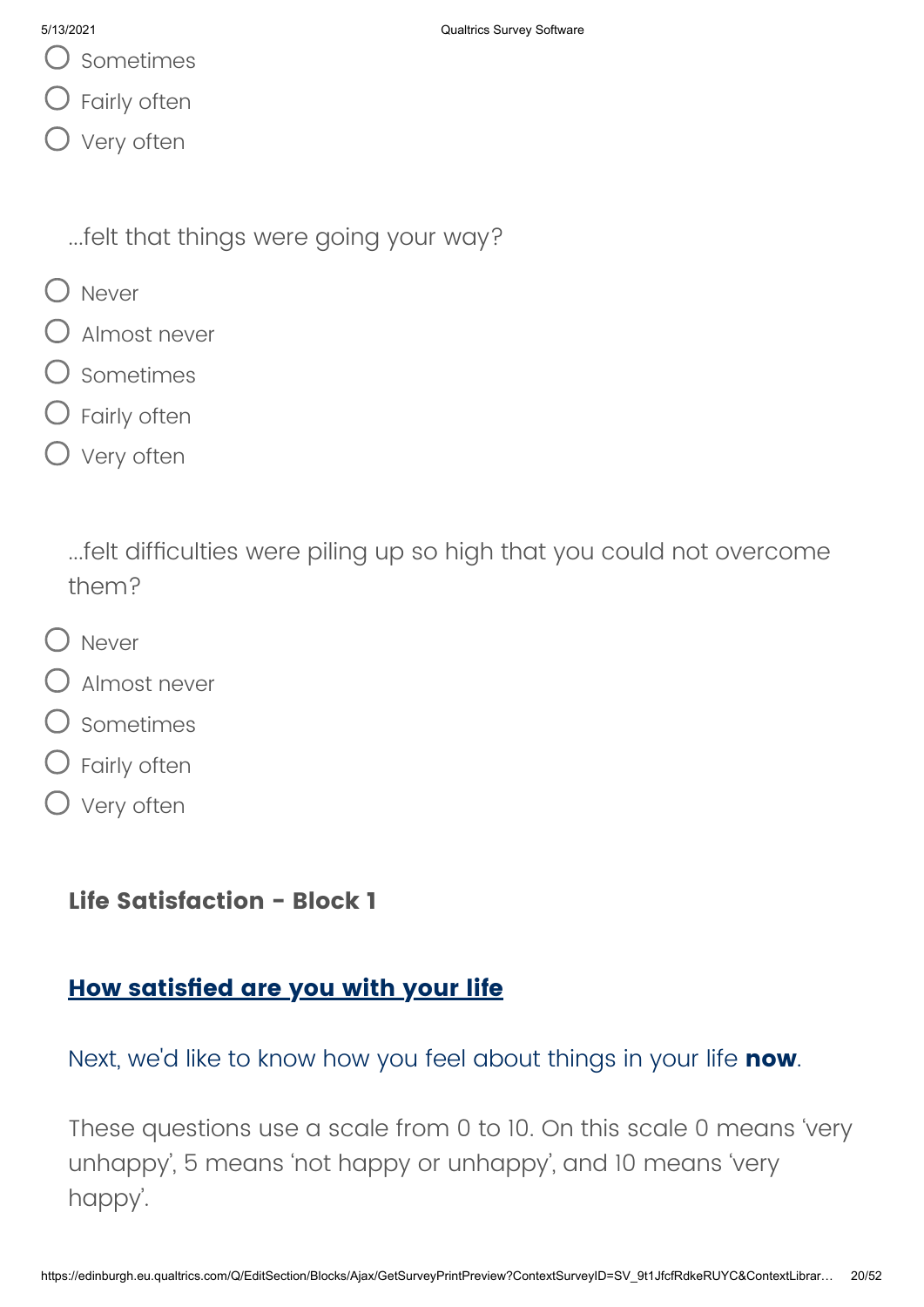- Sometimes
- Fairly often
- O Very often

...felt that things were going your way?

- O Never
- Almost never
- Sometimes
- Fairly often
- O Very often

...felt difficulties were piling up so high that you could not overcome them?

- O Never
- Almost never
- Sometimes
- Fairly often
- O Very often

## **Life Satisfaction - Block 1**

## **How satisfied are you with your life**

Next, we'd like to know how you feel about things in your life **now**.

These questions use a scale from 0 to 10. On this scale 0 means 'very unhappy', 5 means 'not happy or unhappy', and 10 means 'very happy'.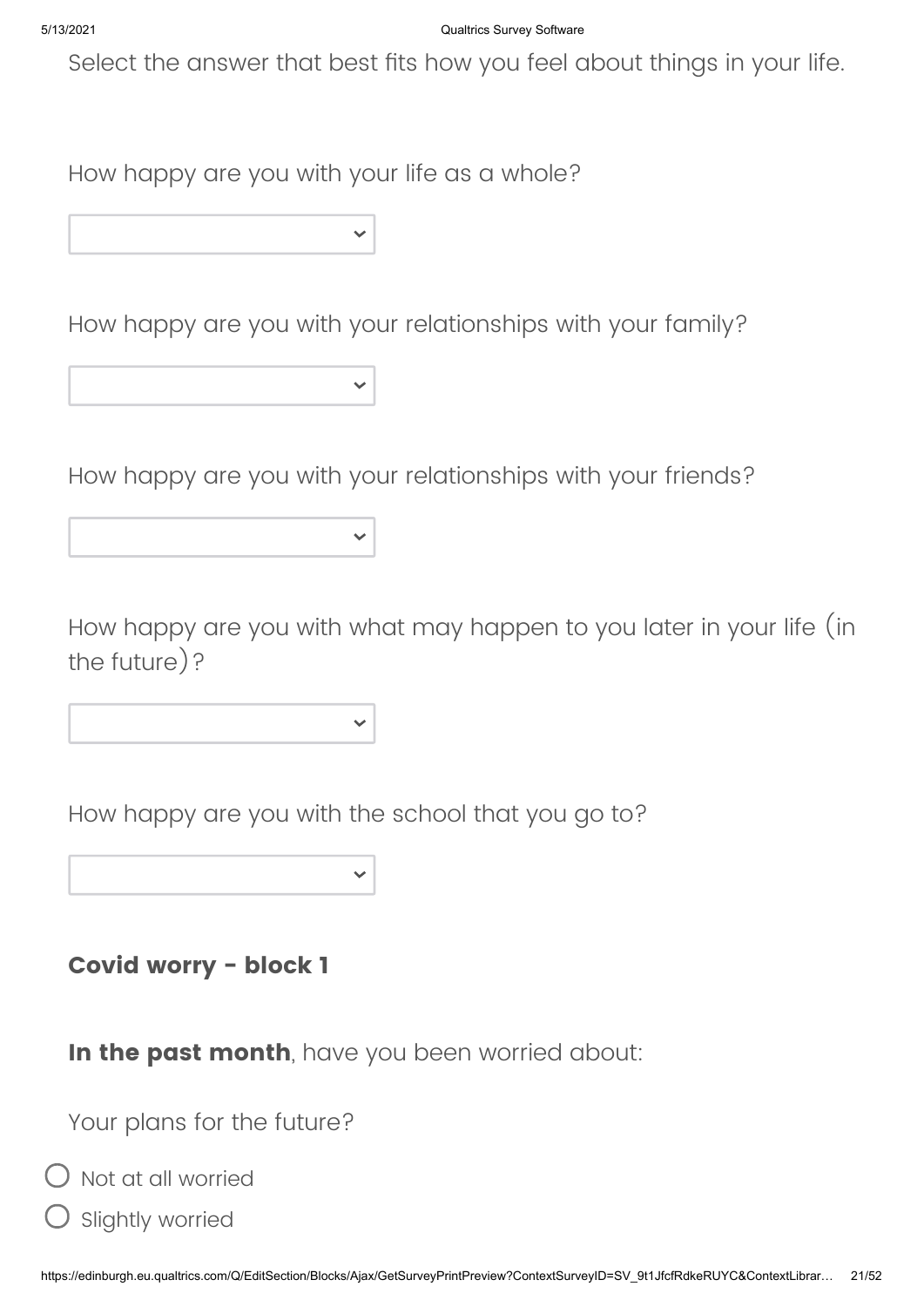Select the answer that best fits how you feel about things in your life.

How happy are you with your life as a whole?

How happy are you with your relationships with your family?

How happy are you with your relationships with your friends?

How happy are you with what may happen to you later in your life (in the future)?

How happy are you with the school that you go to?

**Covid worry - block 1**

**In the past month**, have you been worried about:

Your plans for the future?

Not at all worried

Slightly worried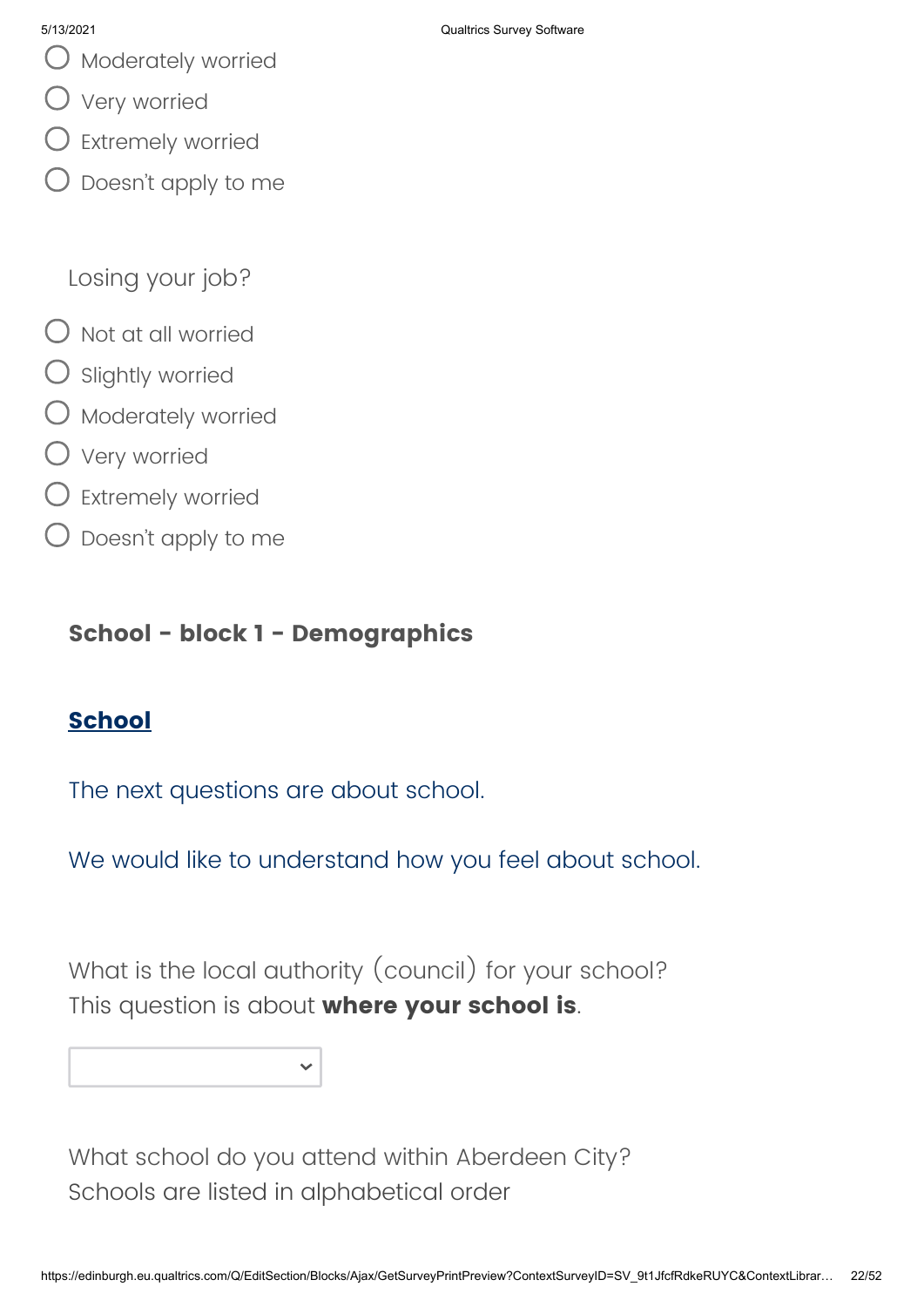- $\bigcup$  Moderately worried
- Very worried
- $\bigcirc$  Extremely worried
- Doesn't apply to me

Losing your job?

- $\bigcirc$  Not at all worried
- $\bigcirc$  Slightly worried
- $\bigcirc$  Moderately worried
- Very worried
- Extremely worried
- $\bigcirc$  Doesn't apply to me

## **School - block 1 - Demographics**

## **School**

The next questions are about school.

We would like to understand how you feel about school.

What is the local authority (council) for your school? This question is about **where your school is**.

What school do you attend within Aberdeen City? Schools are listed in alphabetical order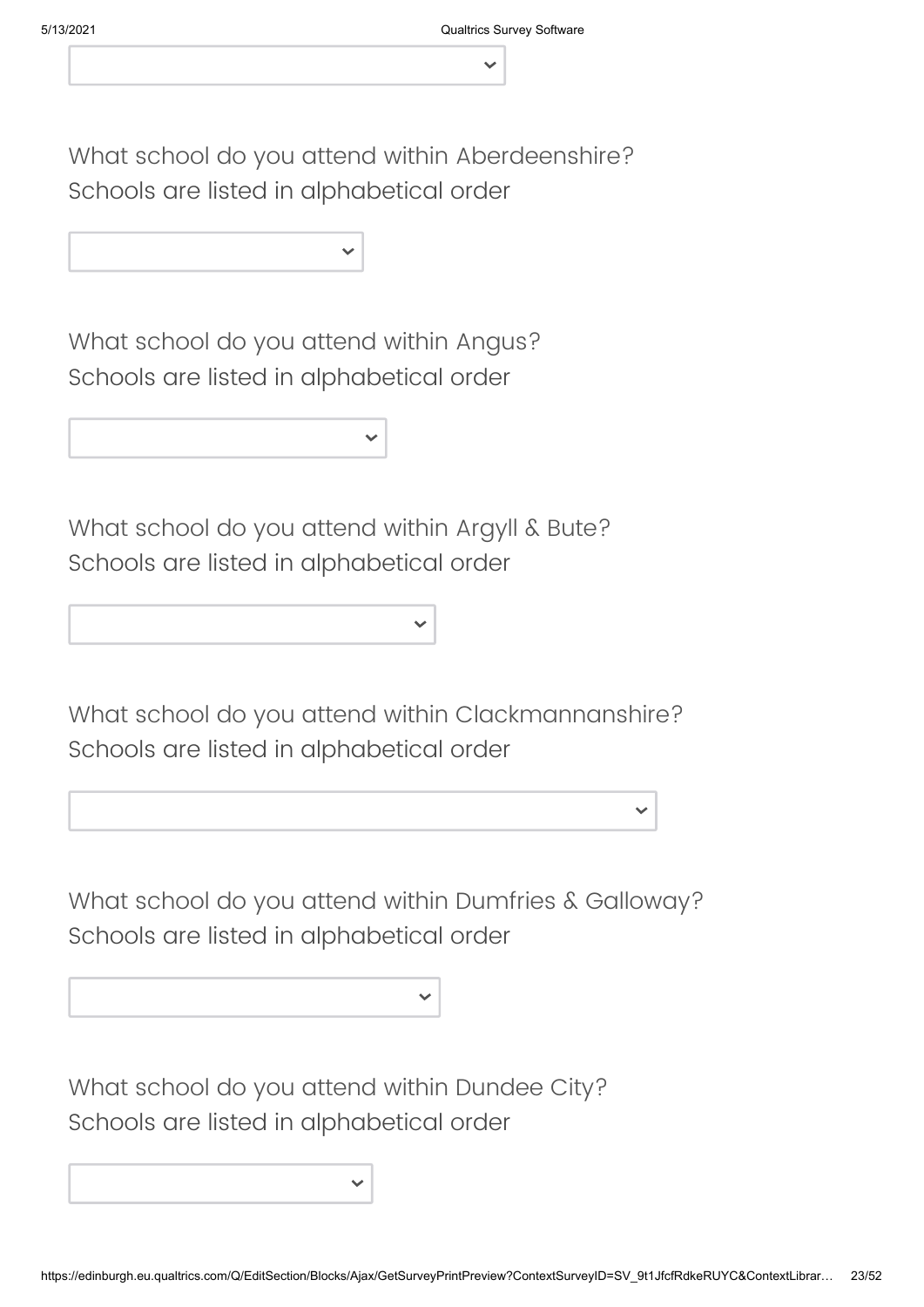What school do you attend within Aberdeenshire? Schools are listed in alphabetical order

What school do you attend within Angus? Schools are listed in alphabetical order

What school do you attend within Argyll & Bute? Schools are listed in alphabetical order

What school do you attend within Clackmannanshire? Schools are listed in alphabetical order

What school do you attend within Dumfries & Galloway? Schools are listed in alphabetical order

What school do you attend within Dundee City? Schools are listed in alphabetical order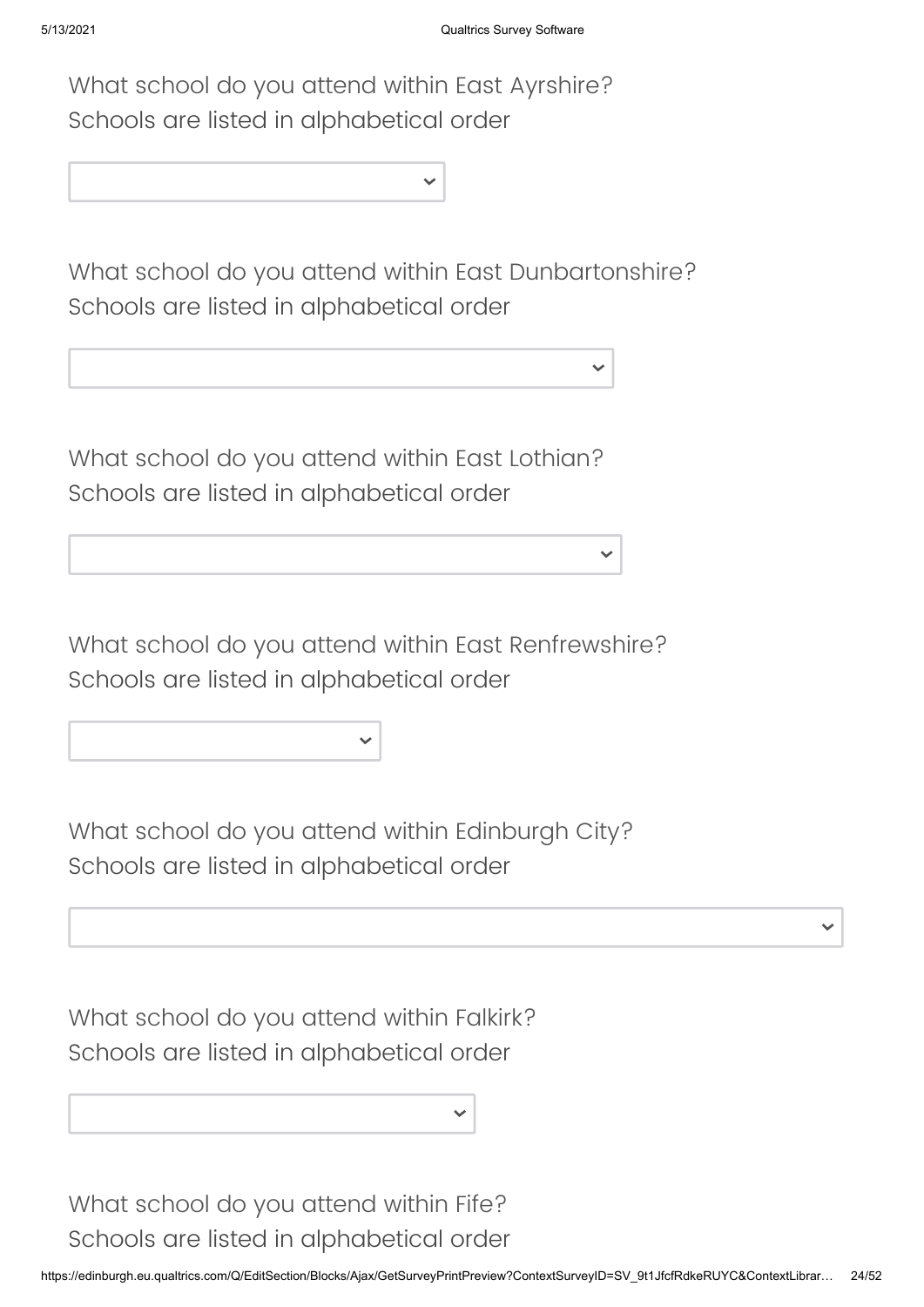What school do you attend within East Ayrshire? Schools are listed in alphabetical order

What school do you attend within East Dunbartonshire? Schools are listed in alphabetical order

What school do you attend within East Lothian? Schools are listed in alphabetical order

What school do you attend within East Renfrewshire? Schools are listed in alphabetical order

What school do you attend within Edinburgh City? Schools are listed in alphabetical order

What school do you attend within Falkirk? Schools are listed in alphabetical order

What school do you attend within Fife? Schools are listed in alphabetical order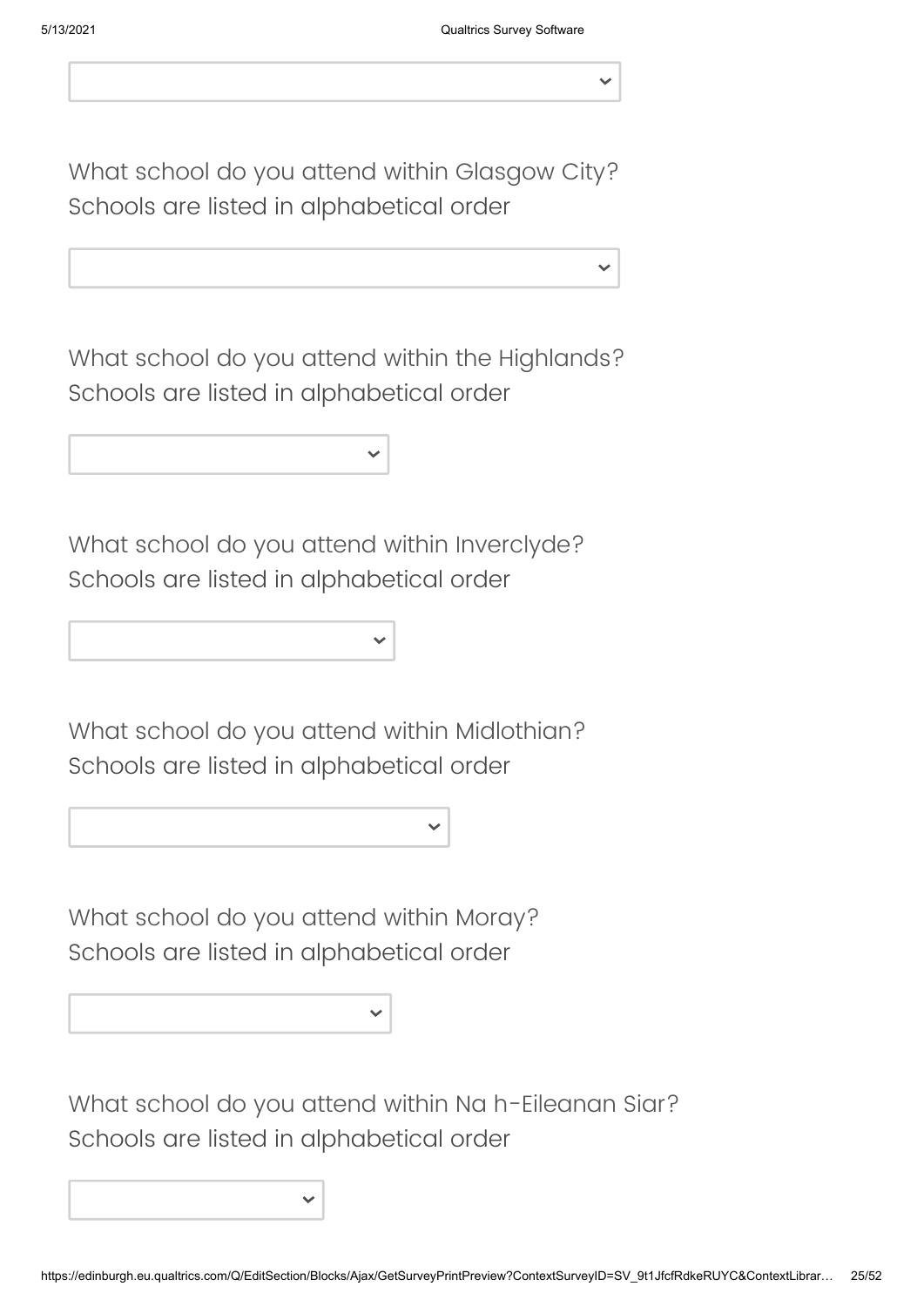What school do you attend within Glasgow City? Schools are listed in alphabetical order

What school do you attend within the Highlands? Schools are listed in alphabetical order

|--|

What school do you attend within Inverclyde? Schools are listed in alphabetical order

What school do you attend within Midlothian? Schools are listed in alphabetical order

What school do you attend within Moray? Schools are listed in alphabetical order

What school do you attend within Na h-Eileanan Siar? Schools are listed in alphabetical order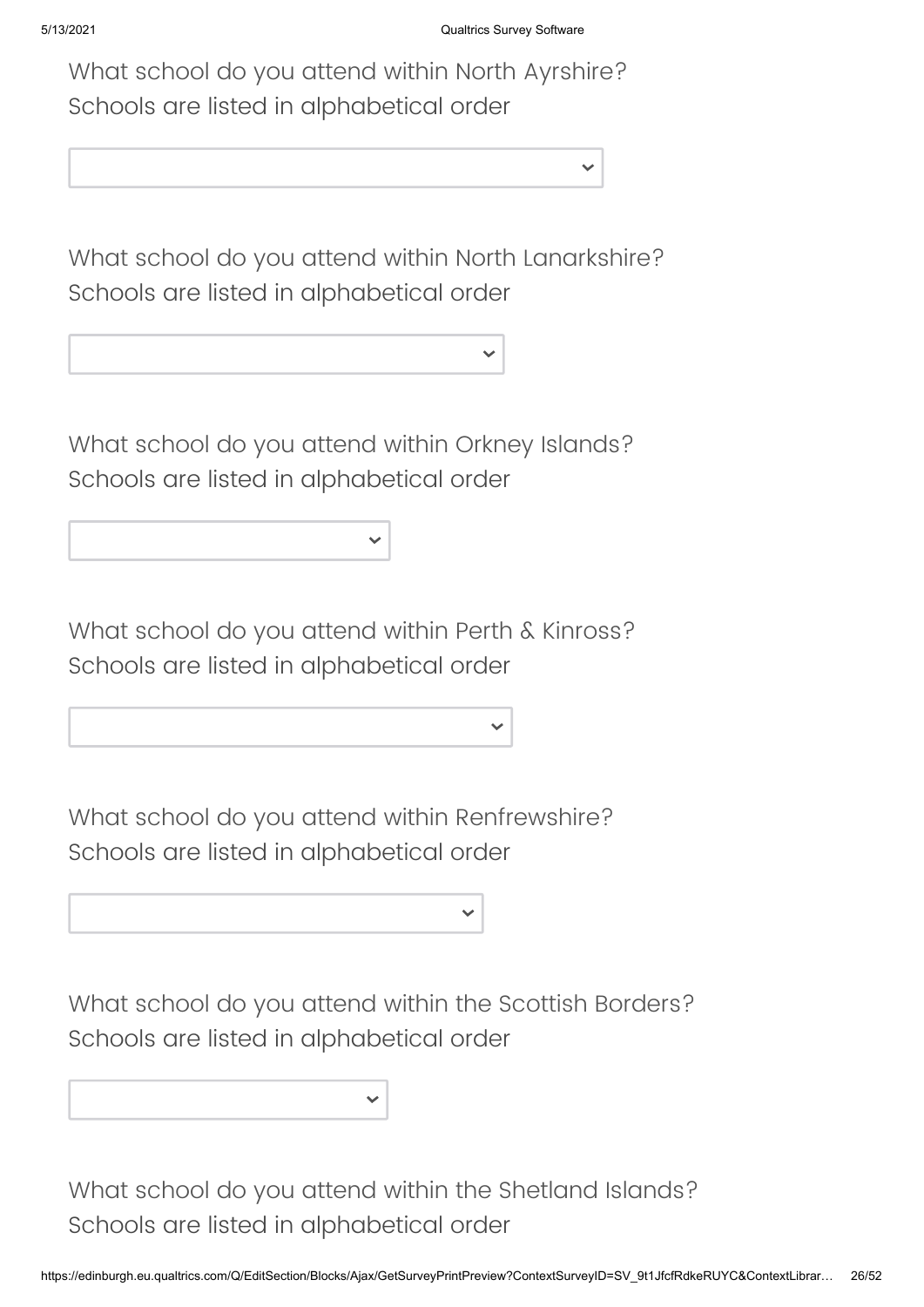What school do you attend within North Ayrshire? Schools are listed in alphabetical order

What school do you attend within North Lanarkshire? Schools are listed in alphabetical order

What school do you attend within Orkney Islands? Schools are listed in alphabetical order

What school do you attend within Perth & Kinross? Schools are listed in alphabetical order

What school do you attend within Renfrewshire? Schools are listed in alphabetical order

What school do you attend within the Scottish Borders? Schools are listed in alphabetical order

What school do you attend within the Shetland Islands? Schools are listed in alphabetical order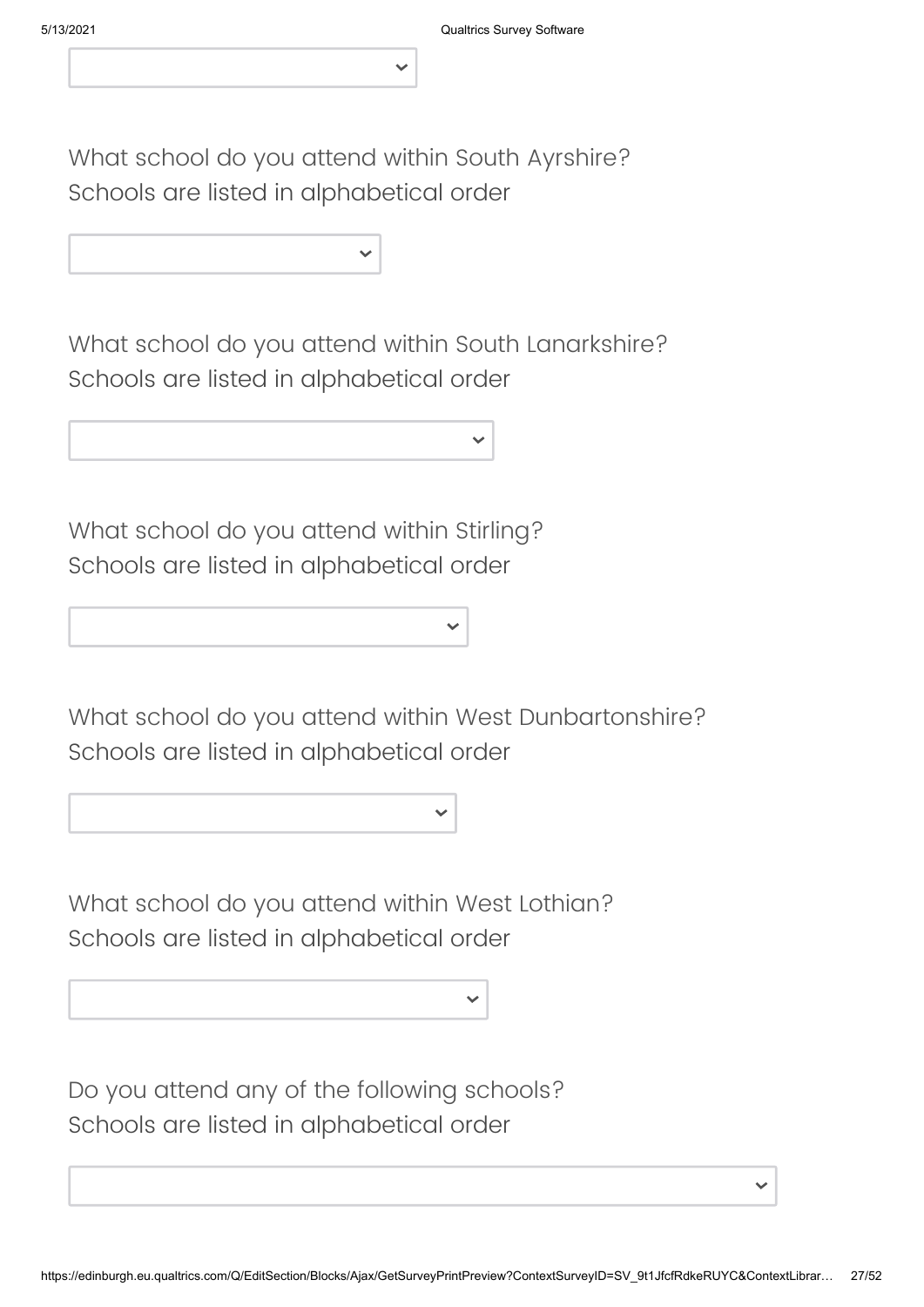What school do you attend within South Ayrshire? Schools are listed in alphabetical order

What school do you attend within South Lanarkshire? Schools are listed in alphabetical order

What school do you attend within Stirling? Schools are listed in alphabetical order

What school do you attend within West Dunbartonshire? Schools are listed in alphabetical order

What school do you attend within West Lothian? Schools are listed in alphabetical order

Do you attend any of the following schools? Schools are listed in alphabetical order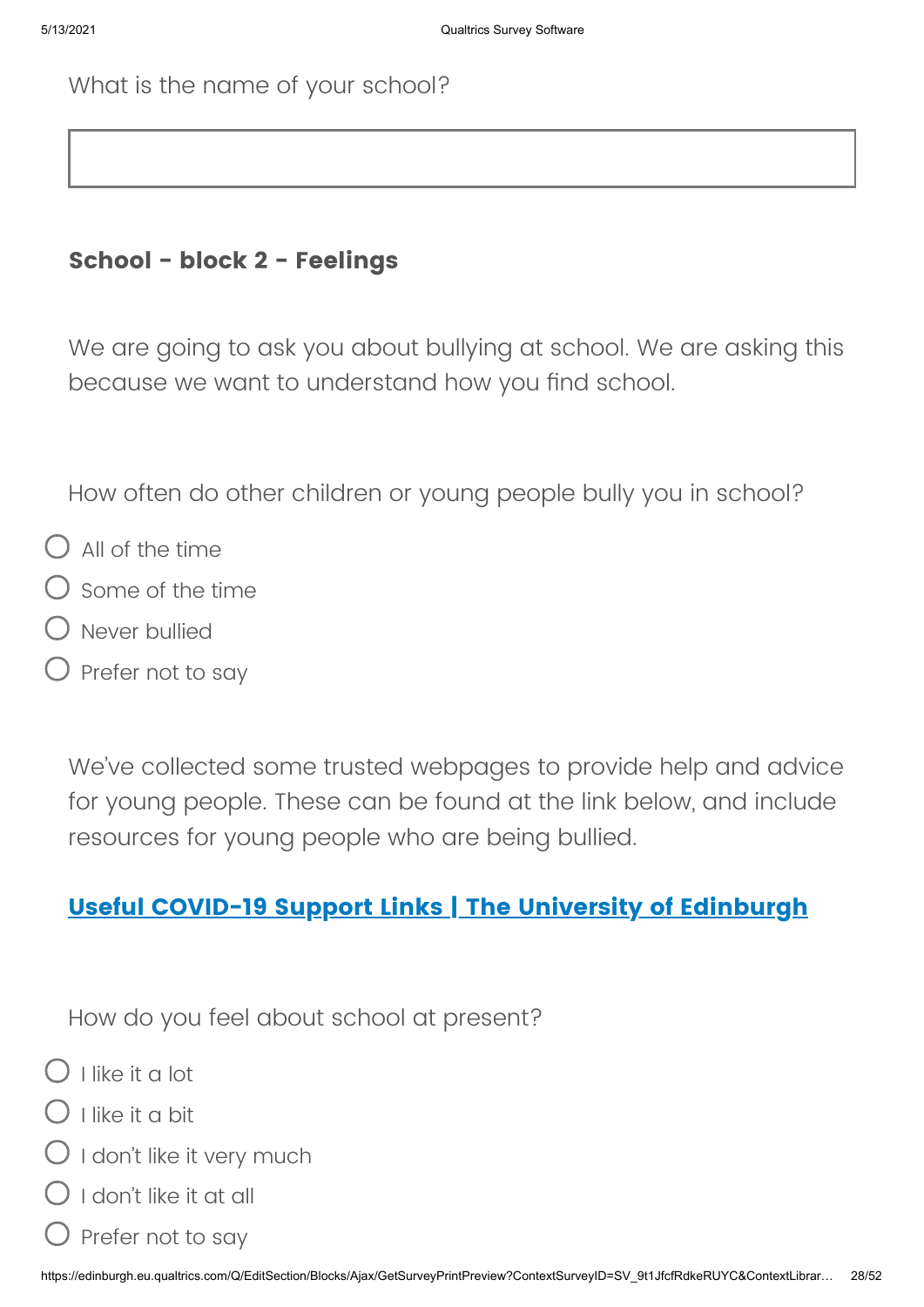### **School - block 2 - Feelings**

We are going to ask you about bullying at school. We are asking this because we want to understand how you find school.

How often do other children or young people bully you in school?

- $\bigcap$  All of the time
- Some of the time
- Never bullied
- Prefer not to say

We've collected some trusted webpages to provide help and advice for young people. These can be found at the link below, and include resources for young people who are being bullied.

## **[Useful COVID-19 Support Links | The University of Edinburgh](https://www.ed.ac.uk/generation-scotland/generation-scotland-volunteers/covidlife-volunteers/useful-covid19-support-links)**

How do you feel about school at present?

 $\bigcap$  I like it a lot

- $\bigcap$  I like it a bit
- ) I don't like it very much
- $\bigcirc$  I don't like it at all
- Prefer not to say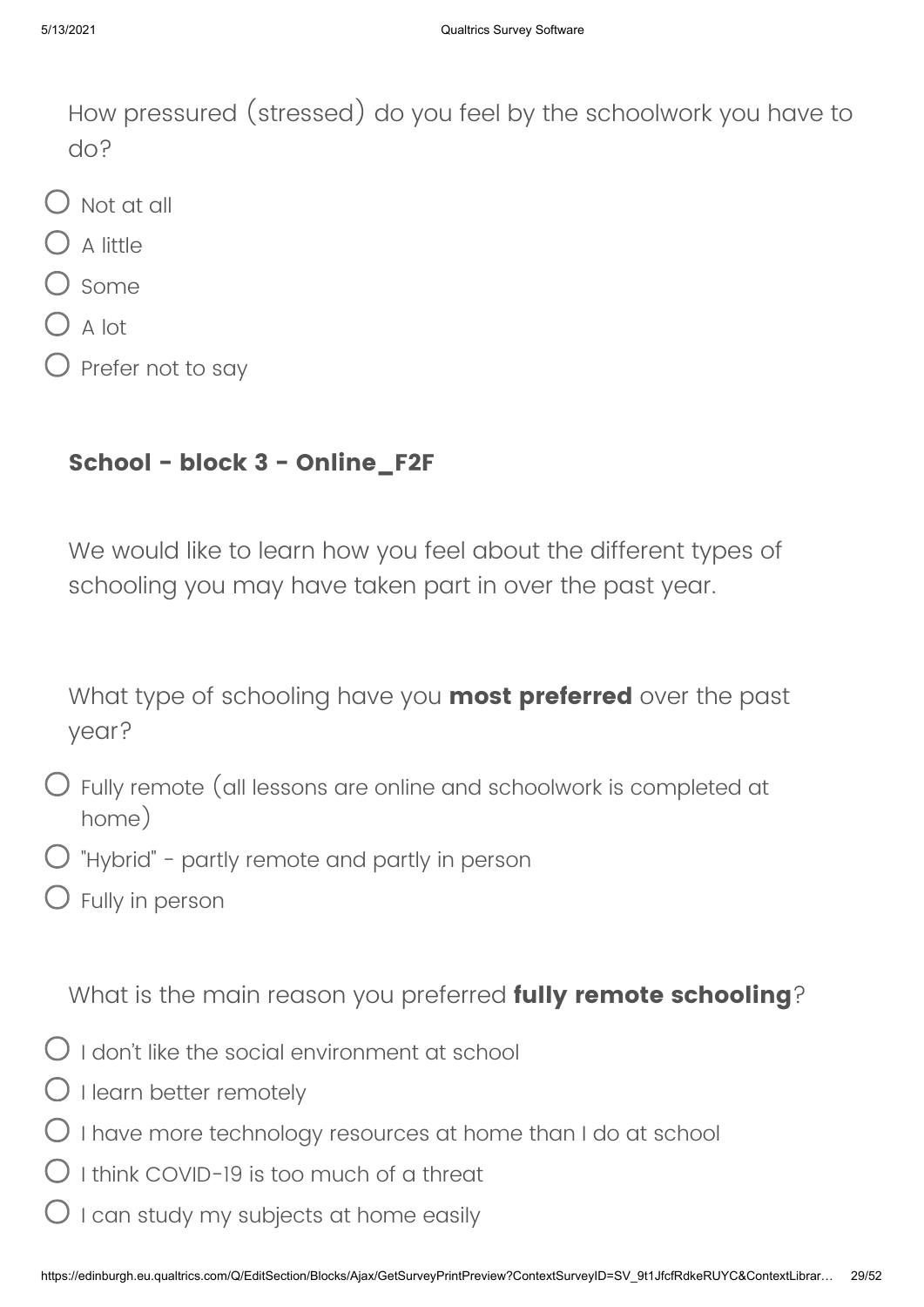How pressured (stressed) do you feel by the schoolwork you have to do?

- Not at all
- $\bigcup$  A little
- ) some
- $O$  A lot
- $\bigcirc$  Prefer not to say

## **School - block 3 - Online\_F2F**

We would like to learn how you feel about the different types of schooling you may have taken part in over the past year.

What type of schooling have you **most preferred** over the past year?

- Fully remote (all lessons are online and schoolwork is completed at home)
- $\bigcirc$  "Hybrid" partly remote and partly in person
- $\bigcirc$  Fully in person

What is the main reason you preferred **fully remote schooling**?

- $\bigcirc$  I don't like the social environment at school
- $\bigcirc$  I learn better remotely
- $\bigcirc$  I have more technology resources at home than I do at school
- $\bigcirc$  I think COVID-19 is too much of a threat
- I can study my subjects at home easily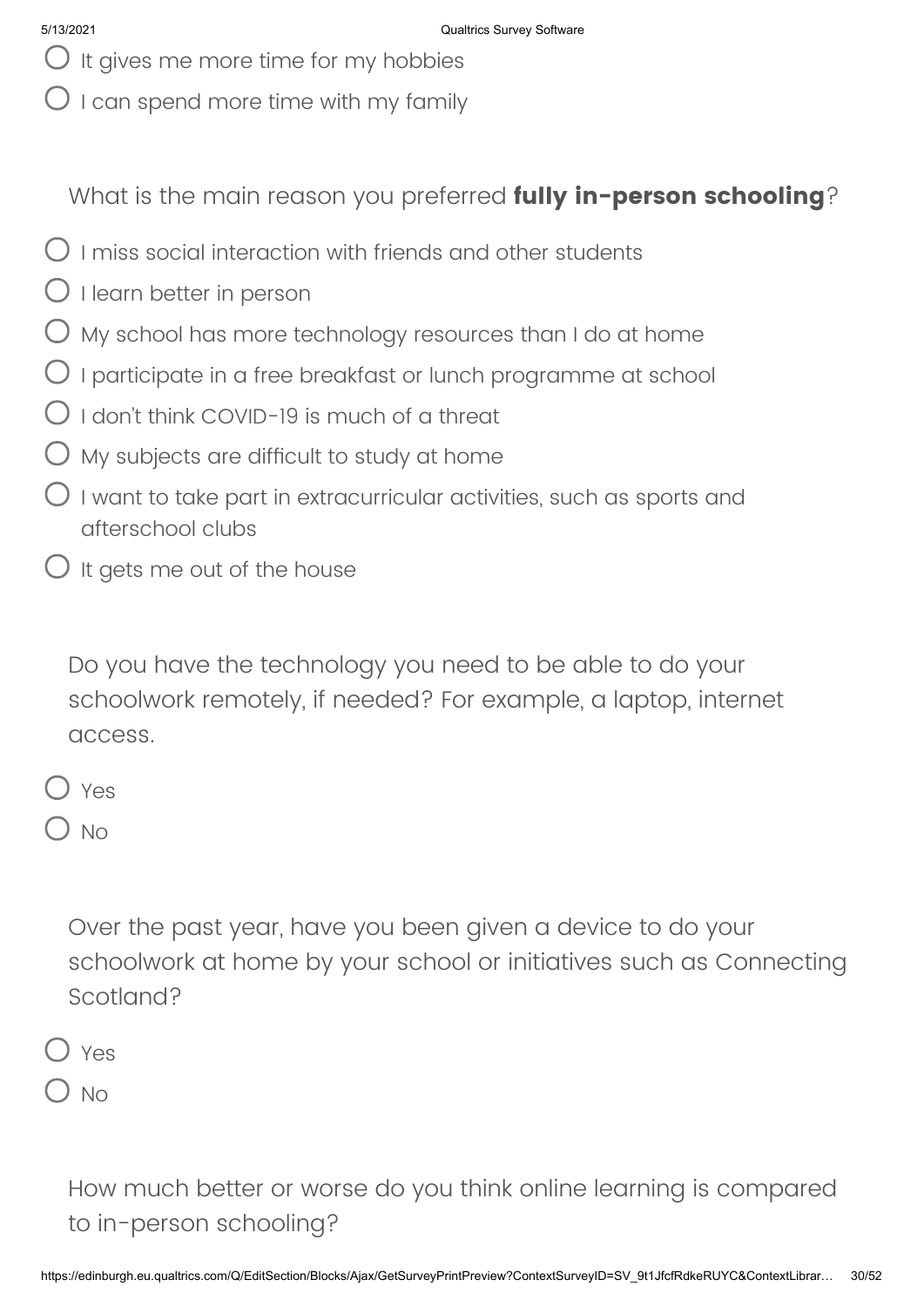- $\bigcup$  It gives me more time for my hobbies
- $O$  I can spend more time with my family

What is the main reason you preferred **fully in-person schooling**?

- $\bigcirc$  I miss social interaction with friends and other students
- $\bigcirc$  I learn better in person
- $O$  My school has more technology resources than I do at home
- $\bigcirc$  I participate in a free breakfast or lunch programme at school
- $\bigcirc$  I don't think COVID-19 is much of a threat
- $O$  My subjects are difficult to study at home
- $\bigcirc$  I want to take part in extracurricular activities, such as sports and afterschool clubs
- $\bigcirc$  It gets me out of the house

Do you have the technology you need to be able to do your schoolwork remotely, if needed? For example, a laptop, internet access.

Yes

) No

Over the past year, have you been given a device to do your schoolwork at home by your school or initiatives such as Connecting Scotland?

Yes

 $\bigcup$  No

How much better or worse do you think online learning is compared to in-person schooling?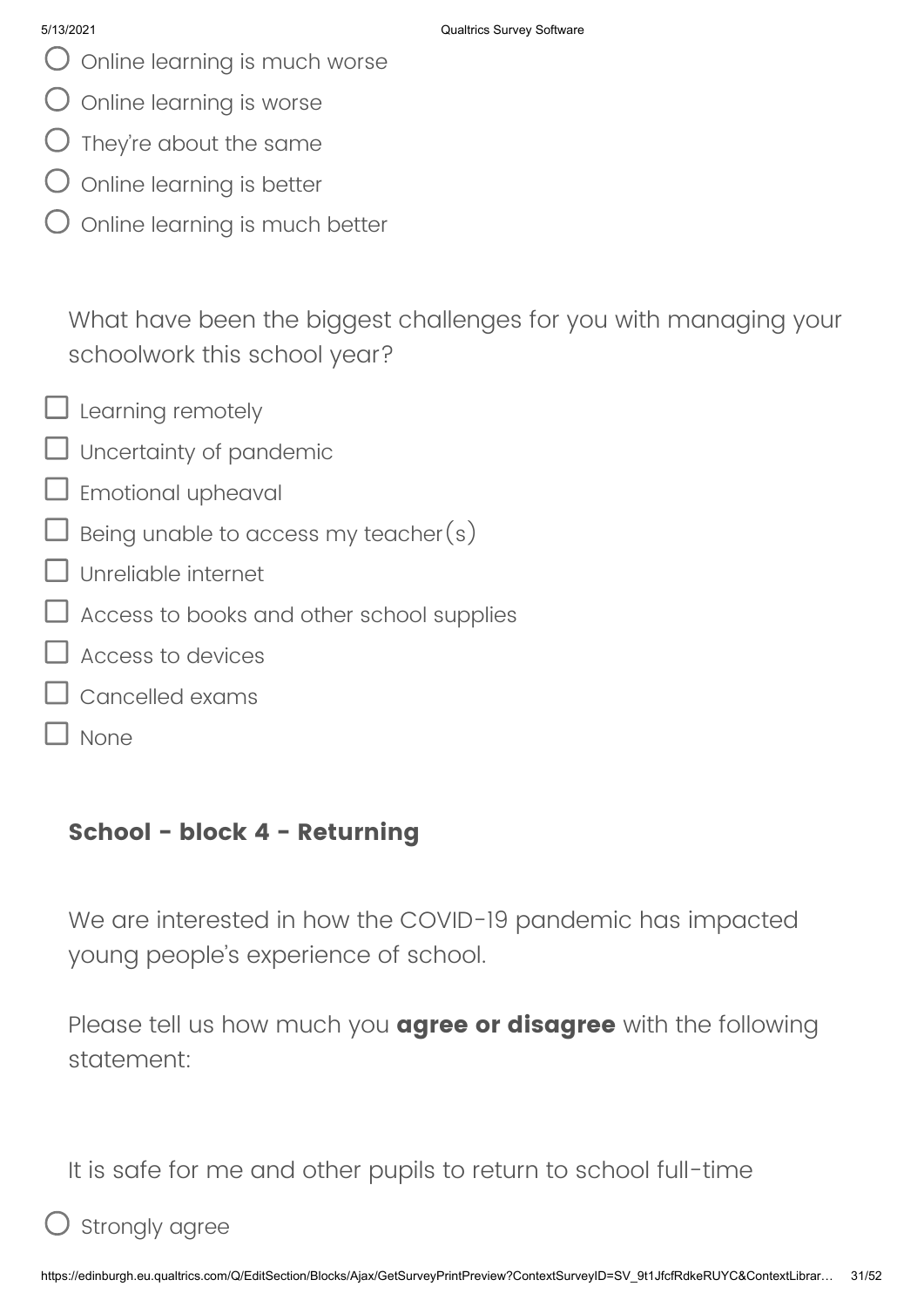- O Online learning is much worse
- $\bigcirc$  online learning is worse
- $\bigcirc$  They're about the same
- Online learning is better
- Online learning is much better

What have been the biggest challenges for you with managing your schoolwork this school year?

 $\Box$  Learning remotely

- Uncertainty of pandemic
- $\Box$  Emotional upheaval
- $\sf J$  Being unable to access my teacher $(s)$
- Unreliable internet
- Access to books and other school supplies
- Access to devices
- Cancelled exams
	- None

## **School - block 4 - Returning**

We are interested in how the COVID-19 pandemic has impacted young people's experience of school.

Please tell us how much you **agree or disagree** with the following statement:

It is safe for me and other pupils to return to school full-time

Strongly agree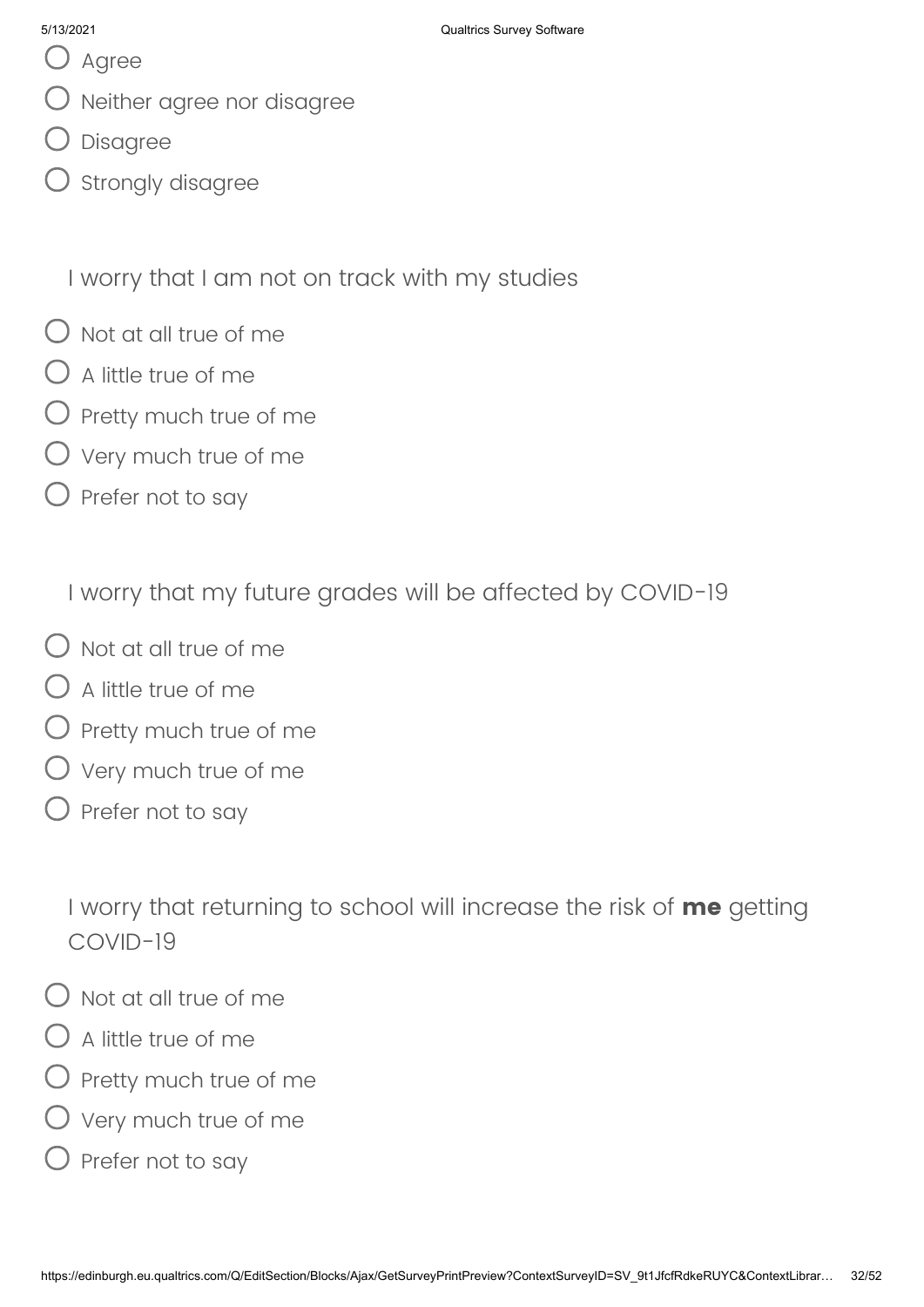- O Agree
- Neither agree nor disagree
- Disagree
- Strongly disagree

I worry that I am not on track with my studies

- $\bigcap$  Not at all true of me
- $\bigcirc$  A little true of me
- $\bigcup$  Pretty much true of me
- $\bigcirc$  Very much true of me
- $\bigcirc$  Prefer not to say

I worry that my future grades will be affected by COVID-19

- $\bigcirc$  Not at all true of me
- $\bigcirc$  A little true of me
- Pretty much true of me
- Very much true of me
- $\bigcirc$  Prefer not to say

I worry that returning to school will increase the risk of **me** getting COVID-19

- $\bigcap$  Not at all true of me
- $\bigcirc$  A little true of me
- ) Pretty much true of me
- Very much true of me
- $\bigcirc$  Prefer not to say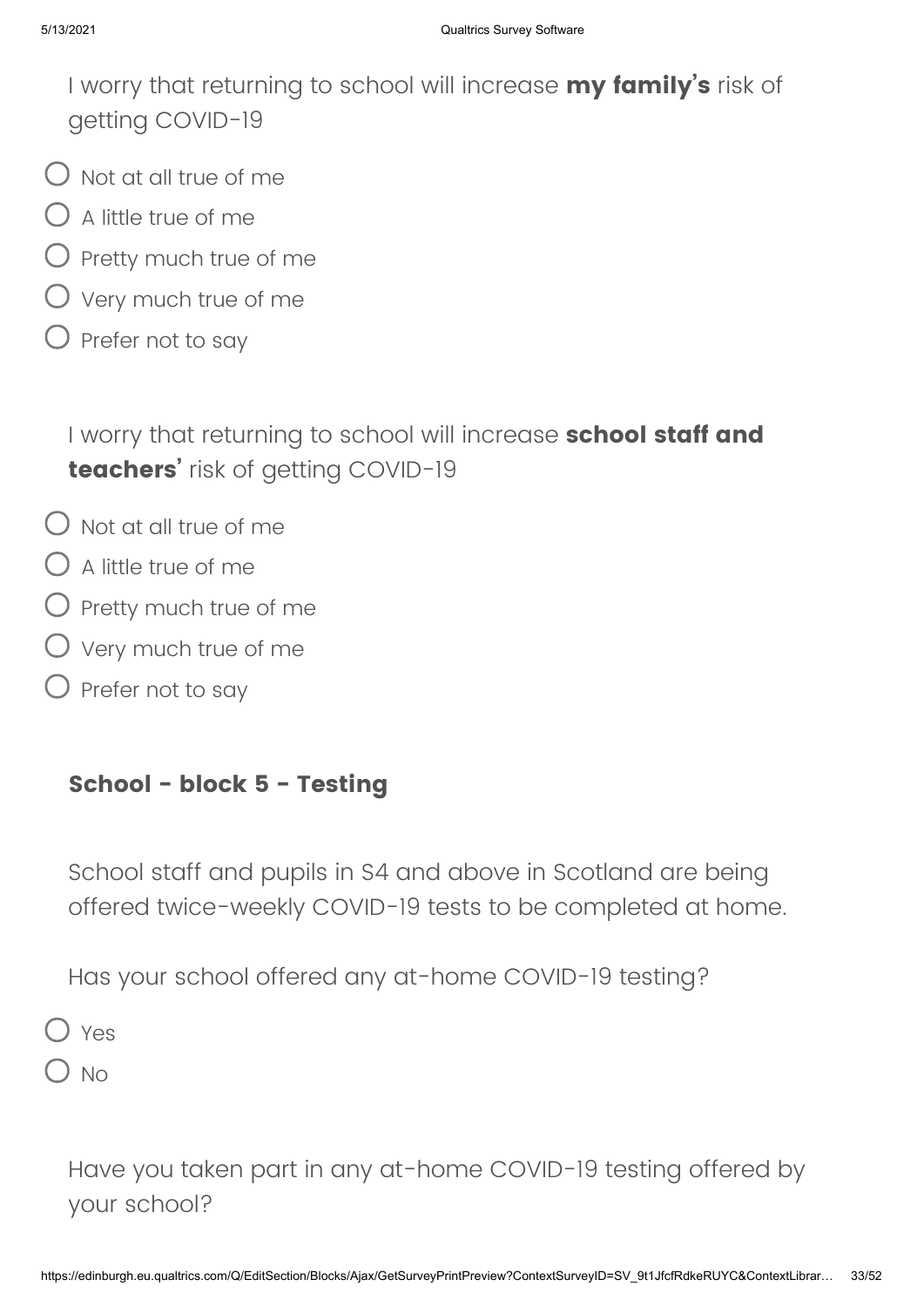I worry that returning to school will increase **my family's** risk of getting COVID-19

- $\bigcup$  Not at all true of me
- $\bigcirc$  A little true of me
- $\bigcirc$  Pretty much true of me
- $\bigcirc$  Very much true of me
- $\bigcirc$  Prefer not to say

I worry that returning to school will increase **school staff and teachers'** risk of getting COVID-19

- Not at all true of me
- $\bigcirc$  A little true of me
- $\bigcirc$  Pretty much true of me
- $\bigcirc$  Very much true of me
- $\bigcirc$  Prefer not to say

### **School - block 5 - Testing**

School staff and pupils in S4 and above in Scotland are being offered twice-weekly COVID-19 tests to be completed at home.

Has your school offered any at-home COVID-19 testing?

Yes

 $\sum$  No

Have you taken part in any at-home COVID-19 testing offered by your school?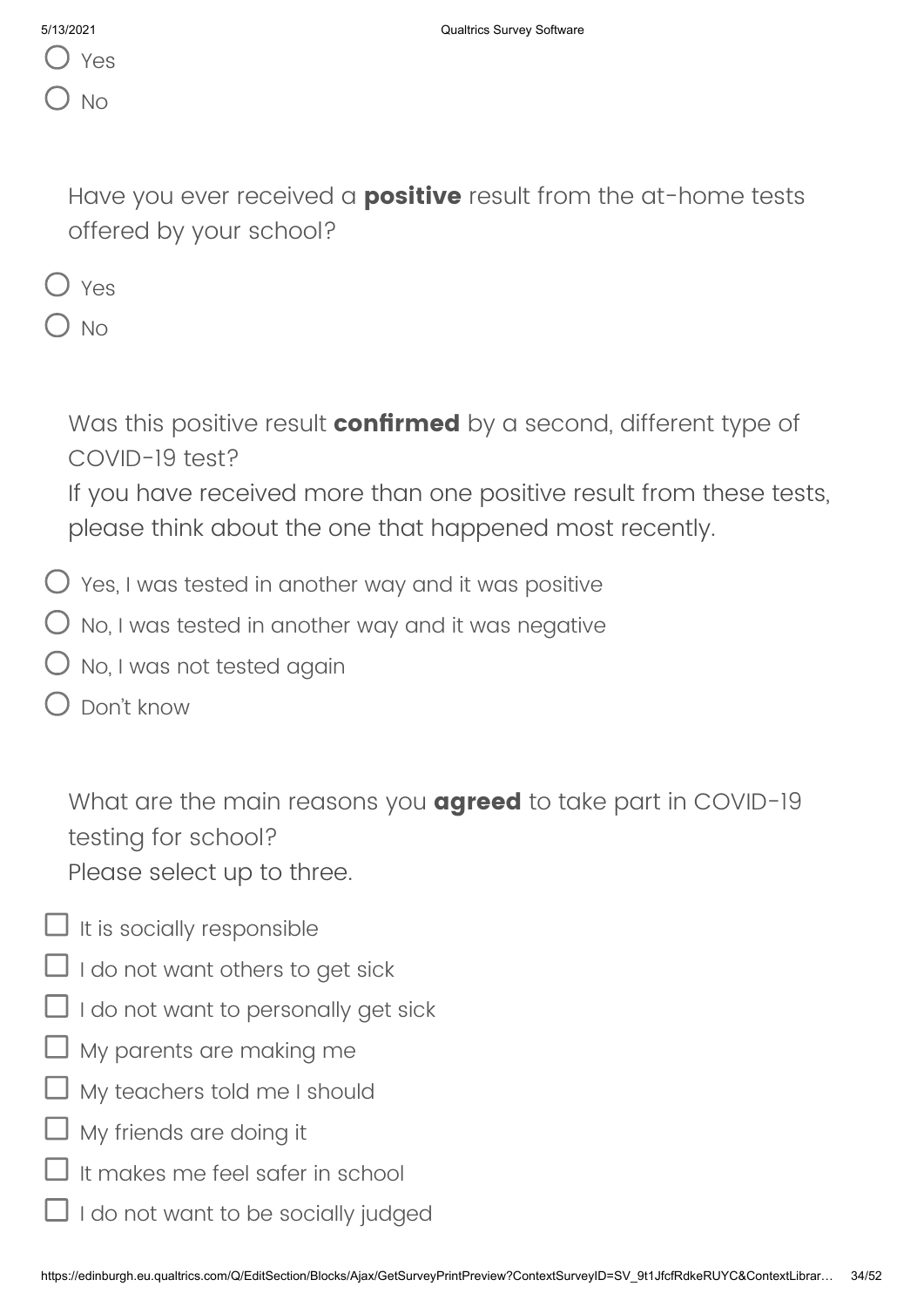| 5/13/2021 |     |
|-----------|-----|
|           | Yes |
|           |     |

Have you ever received a **positive** result from the at-home tests offered by your school?

|--|--|

 $O$  No

Was this positive result **confirmed** by a second, different type of COVID-19 test?

If you have received more than one positive result from these tests, please think about the one that happened most recently.

- $\bigcirc$  Yes, I was tested in another way and it was positive
- $\bigcirc$  No, I was tested in another way and it was negative
- No, I was not tested again
- Don't know

What are the main reasons you **agreed** to take part in COVID-19 testing for school? Please select up to three.

- $\Box$  It is socially responsible
- $\Box$  I do not want others to get sick
- $\Box$  I do not want to personally get sick
- $\Box$  My parents are making me
- My teachers told me I should
- My friends are doing it
- It makes me feel safer in school
- I do not want to be socially judged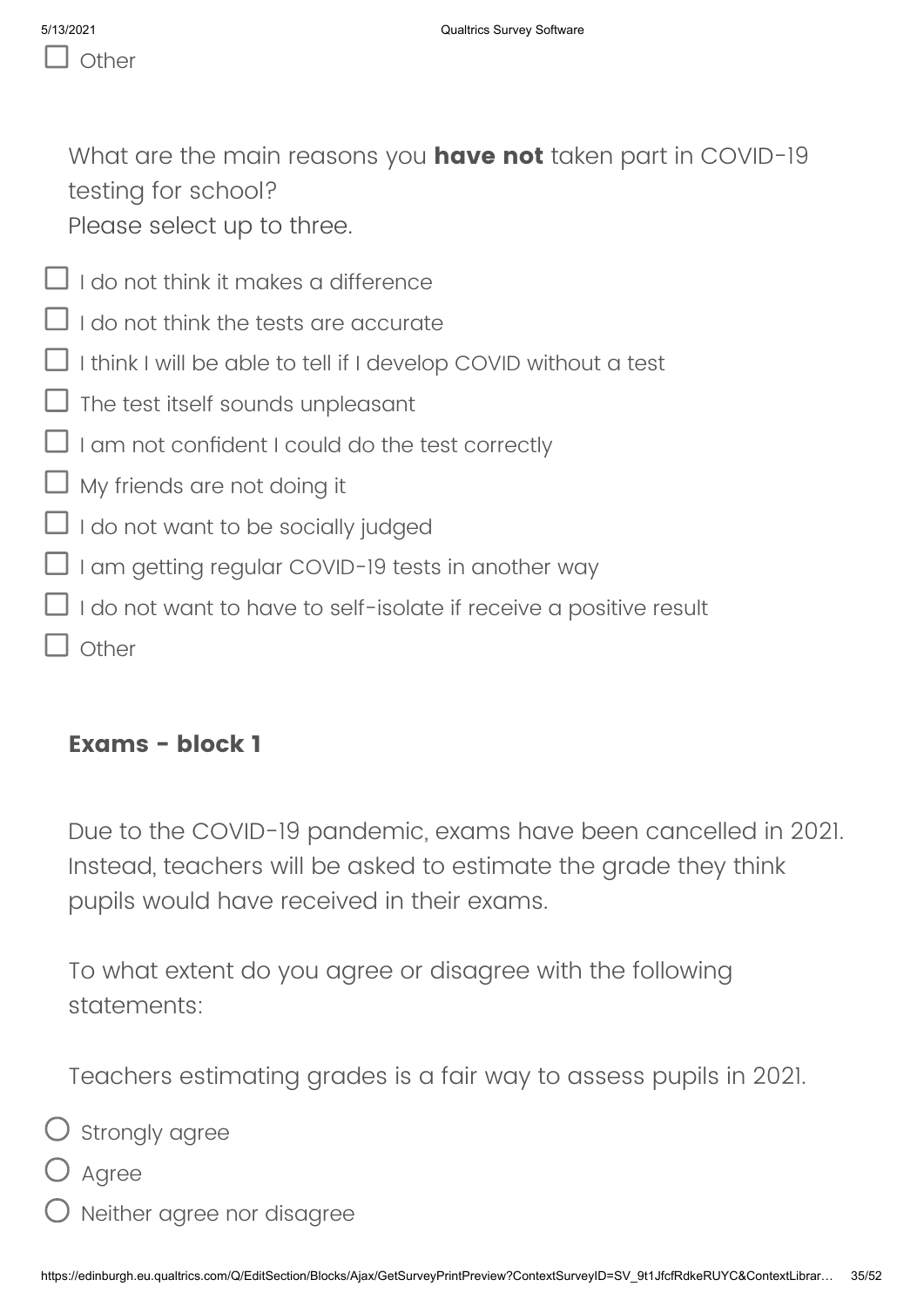What are the main reasons you **have not** taken part in COVID-19 testing for school? Please select up to three.

- $\Box$  I do not think it makes a difference
- $\Box$  I do not think the tests are accurate
- $\Box$  I think I will be able to tell if I develop COVID without a test
- $\Box$  The test itself sounds unpleasant
- $\Box$  I am not confident I could do the test correctly
- My friends are not doing it
- I I do not want to be socially judged
- $\Box$  I am getting regular COVID-19 tests in another way
- $\Box$  I do not want to have to self-isolate if receive a positive result
- T Other

### **Exams - block 1**

Due to the COVID-19 pandemic, exams have been cancelled in 2021. Instead, teachers will be asked to estimate the grade they think pupils would have received in their exams.

To what extent do you agree or disagree with the following statements:

Teachers estimating grades is a fair way to assess pupils in 2021.

 $\bigcirc$  strongly agree

- Agree
- Neither agree nor disagree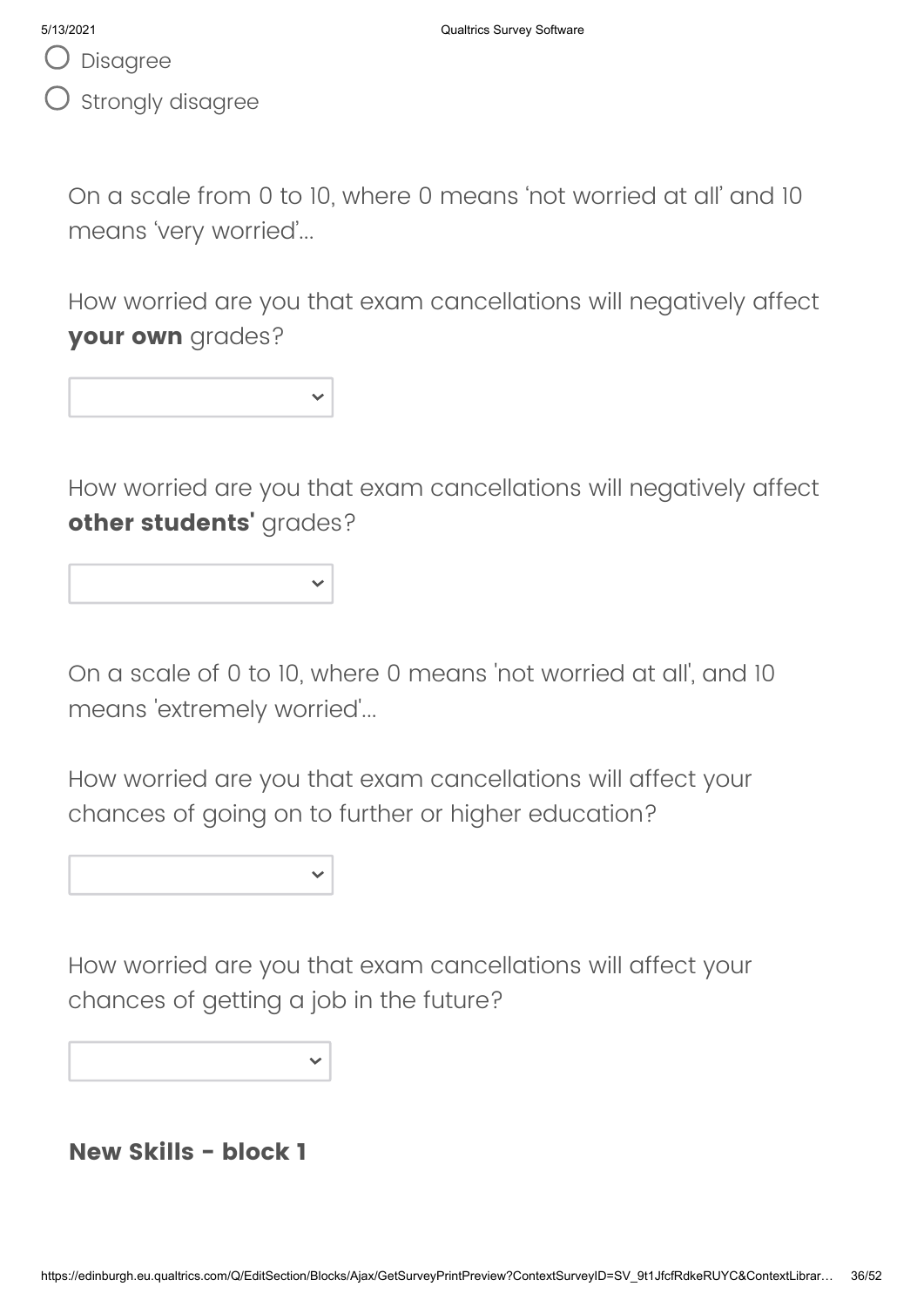Disagree

Strongly disagree

On a scale from 0 to 10, where 0 means 'not worried at all' and 10 means 'very worried'...

How worried are you that exam cancellations will negatively affect **your own** grades?

How worried are you that exam cancellations will negatively affect **other students'** grades?

On a scale of 0 to 10, where 0 means 'not worried at all', and 10 means 'extremely worried'...

How worried are you that exam cancellations will affect your chances of going on to further or higher education?

How worried are you that exam cancellations will affect your chances of getting a job in the future?

**New Skills - block 1**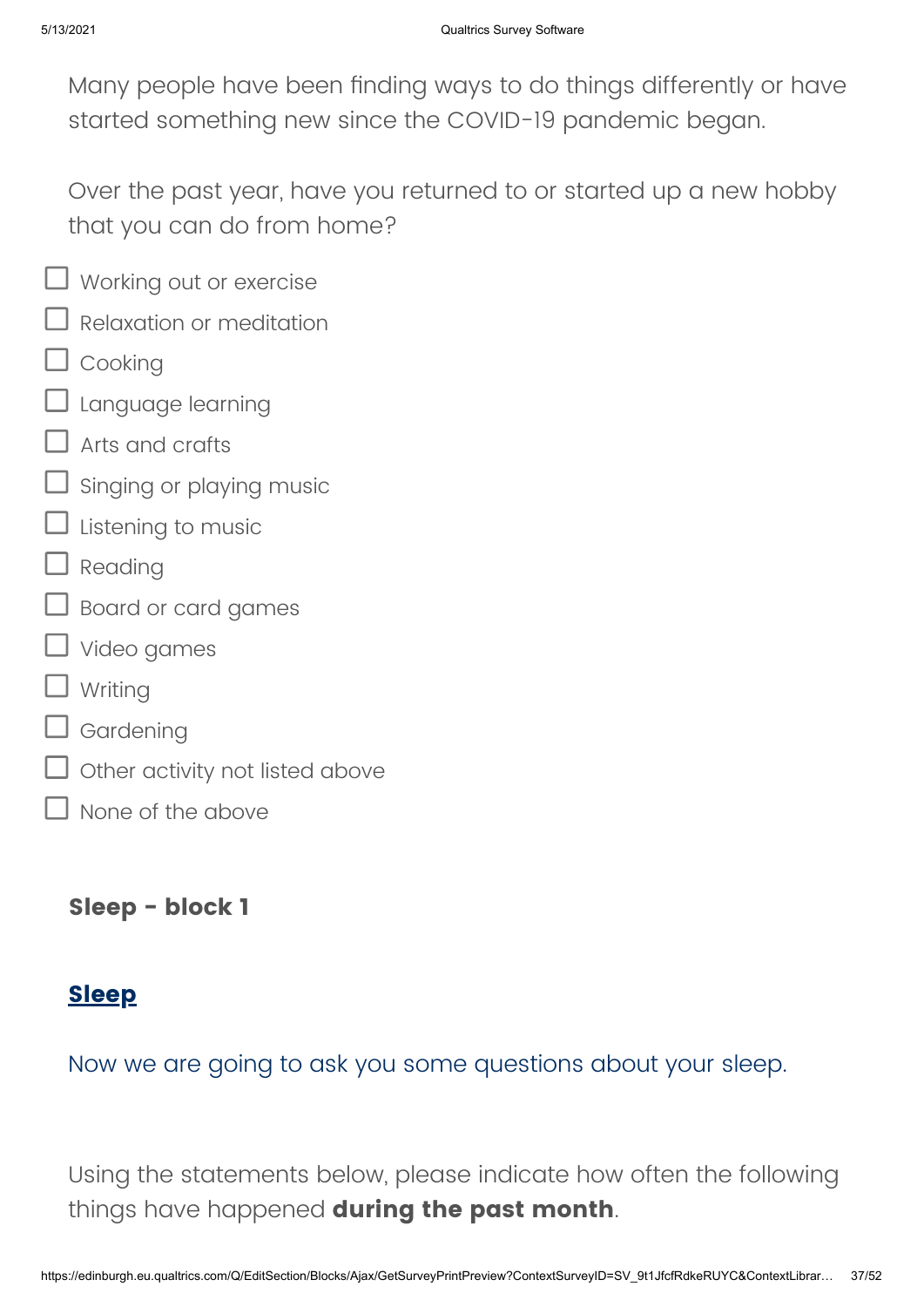Many people have been finding ways to do things differently or have started something new since the COVID-19 pandemic began.

Over the past year, have you returned to or started up a new hobby that you can do from home?

- $\Box$  Working out or exercise
- $\Box$  Relaxation or meditation
- $\Box$  Cooking
- $\Box$  Language learning
- Arts and crafts
- Singing or playing music
- $\Box$  Listening to music
- $\Box$  Reading
- $\Box$  Board or card games
- □ Video games
- $\Box$  Writing
- $\mathsf{\mathsf{I}}$  Gardening
- $\overline{\mathsf{J}}$  Other activity not listed above
- None of the above

**Sleep - block 1**

### **Sleep**

Now we are going to ask you some questions about your sleep.

Using the statements below, please indicate how often the following things have happened **during the past month**.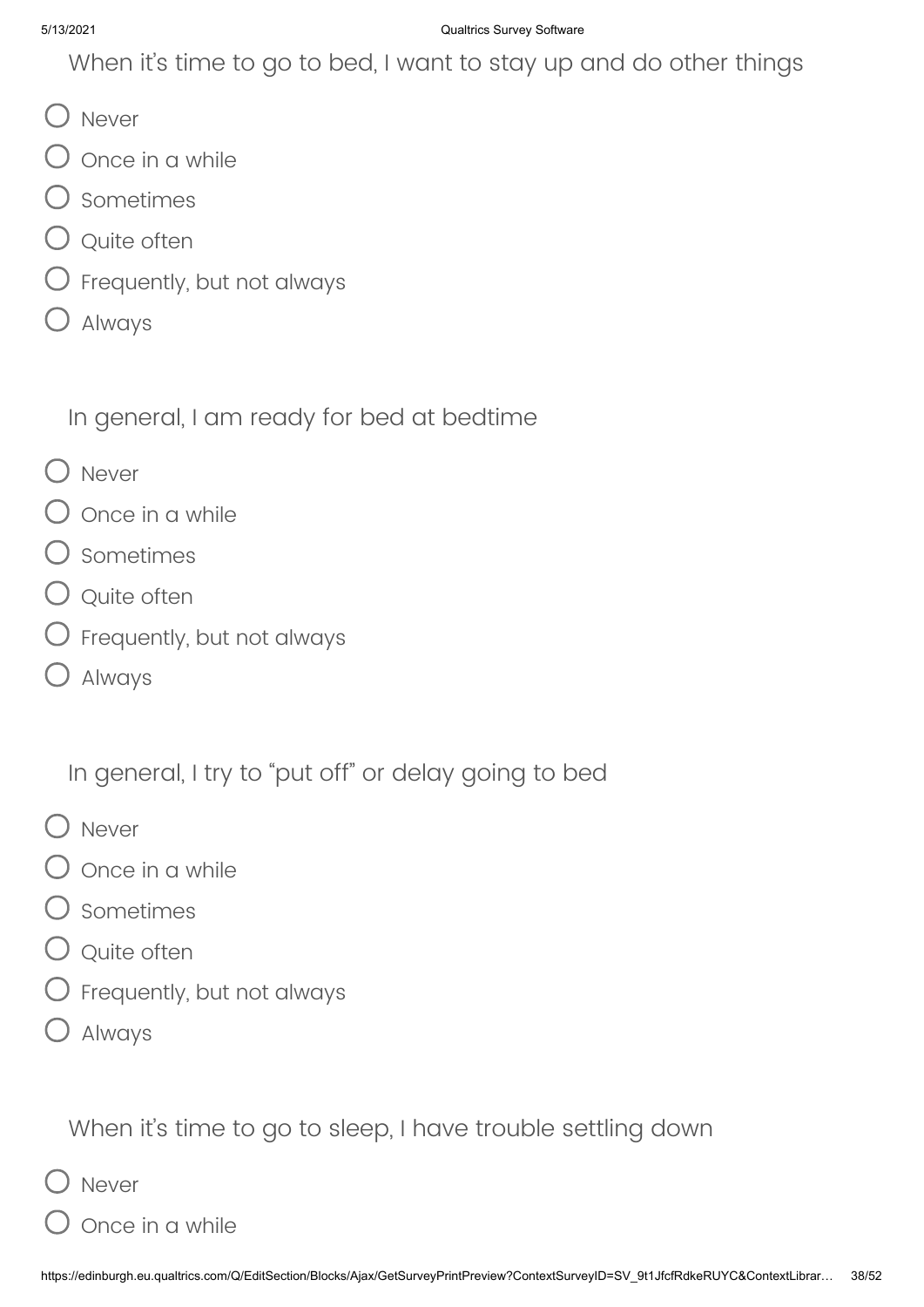When it's time to go to bed, I want to stay up and do other things

- O Never
- $\bigcirc$  once in a while
- $\supset$  Sometimes
- Q Quite often
- $\bigcirc$  Frequently, but not always
- Always

In general, I am ready for bed at bedtime

- O Never
- $\mathsf D$  Once in a while
- Sometimes
- Q Quite often
- $\bigcirc$  Frequently, but not always
- $\bigcirc$  Always

In general, I try to "put off" or delay going to bed

- O Never
- Once in a while
- Sometimes
- Q Quite often
- $\bigcirc$  Frequently, but not always
- Always

When it's time to go to sleep, I have trouble settling down

- ) Never
- Once in a while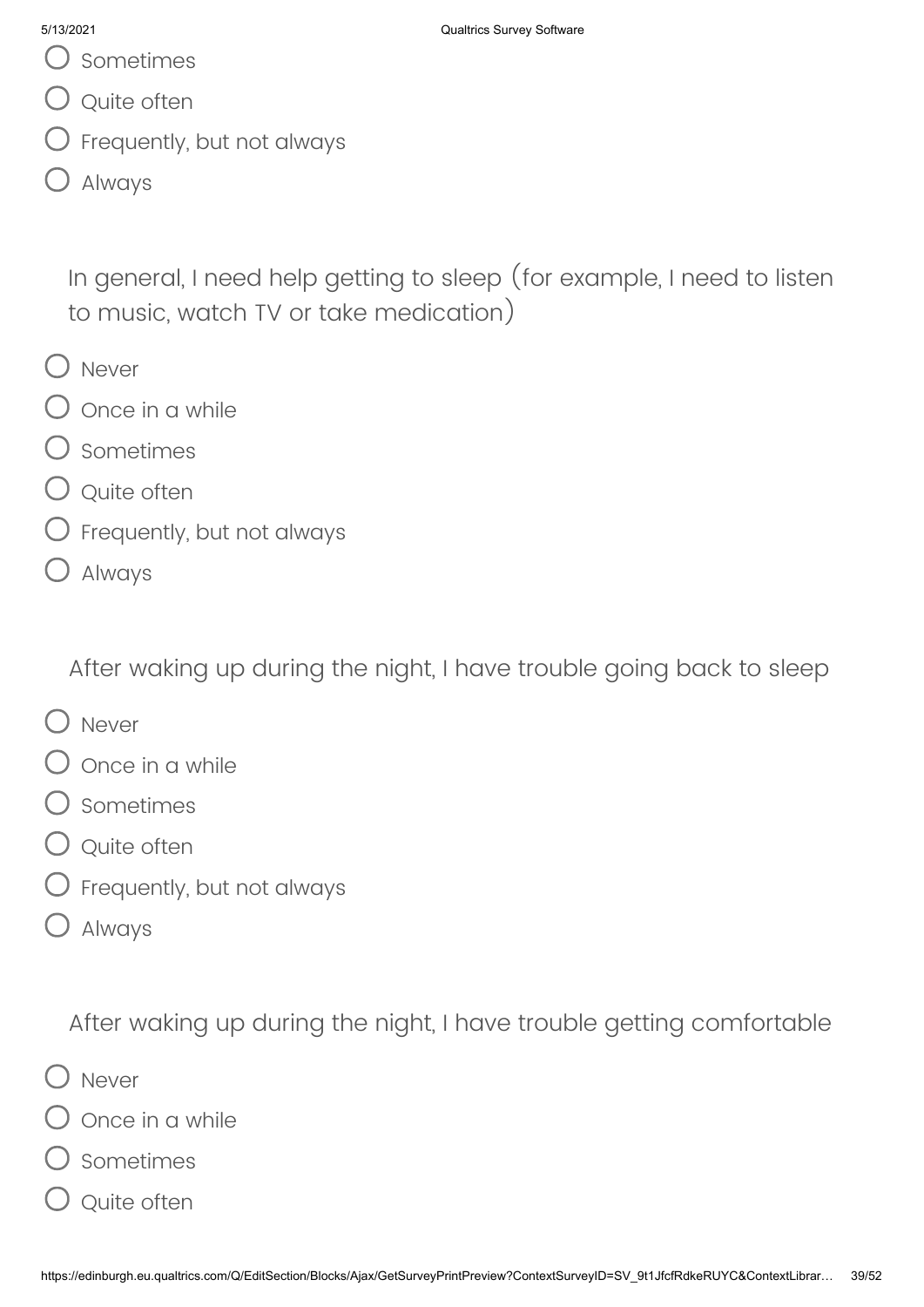Sometimes

- Q Quite often
- $\bigcirc$  Frequently, but not always
- Always

In general, I need help getting to sleep (for example, I need to listen to music, watch TV or take medication)

- O Never
- $\overline{\mathcal{O}}$  Once in a while
- Sometimes
- Q Quite often
- $\bigcirc$  Frequently, but not always
- Always

After waking up during the night, I have trouble going back to sleep

- O Never
- Once in a while
- Sometimes
- $\bigcirc$  Quite often
- $\bigcirc$  Frequently, but not always
- Always

After waking up during the night, I have trouble getting comfortable

- Never
- Once in a while
- O sometimes
- $\overline{\mathsf{)}\,}$  Quite often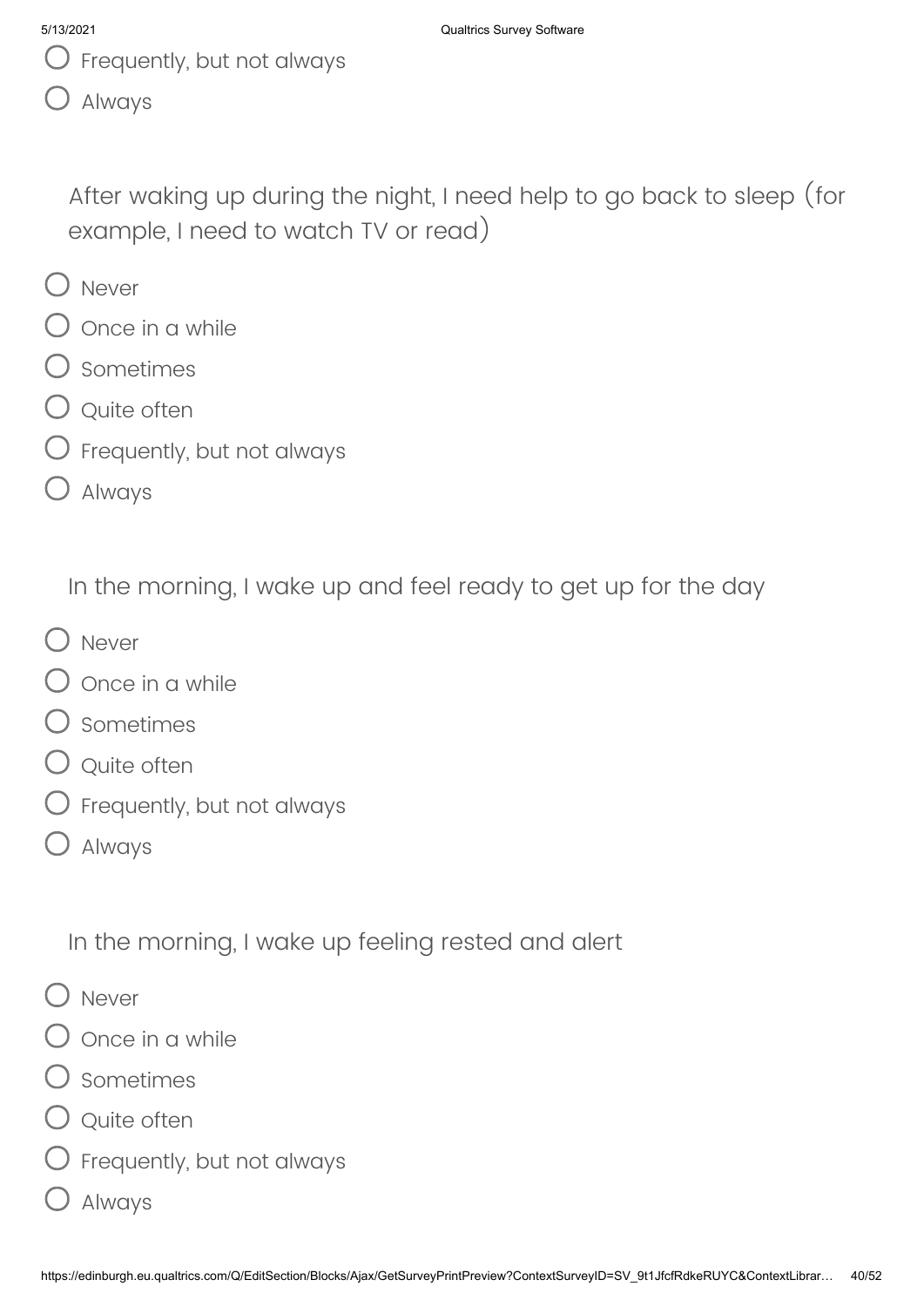- $\bigcup$  Frequently, but not always
- Always

After waking up during the night, I need help to go back to sleep (for example, I need to watch TV or read)

- O Never
- Once in a while
- Sometimes
- Q Quite often
- $\bigcirc$  Frequently, but not always
- Always

In the morning, I wake up and feel ready to get up for the day

- O Never
- $\bigcirc$  once in a while
- O sometimes
- Q Quite often
- $\bigcirc$  Frequently, but not always
- Always

In the morning, I wake up feeling rested and alert

- O Never
- Once in a while
- Sometimes
- Q Quite often
- $\bigcirc$  Frequently, but not always
- Always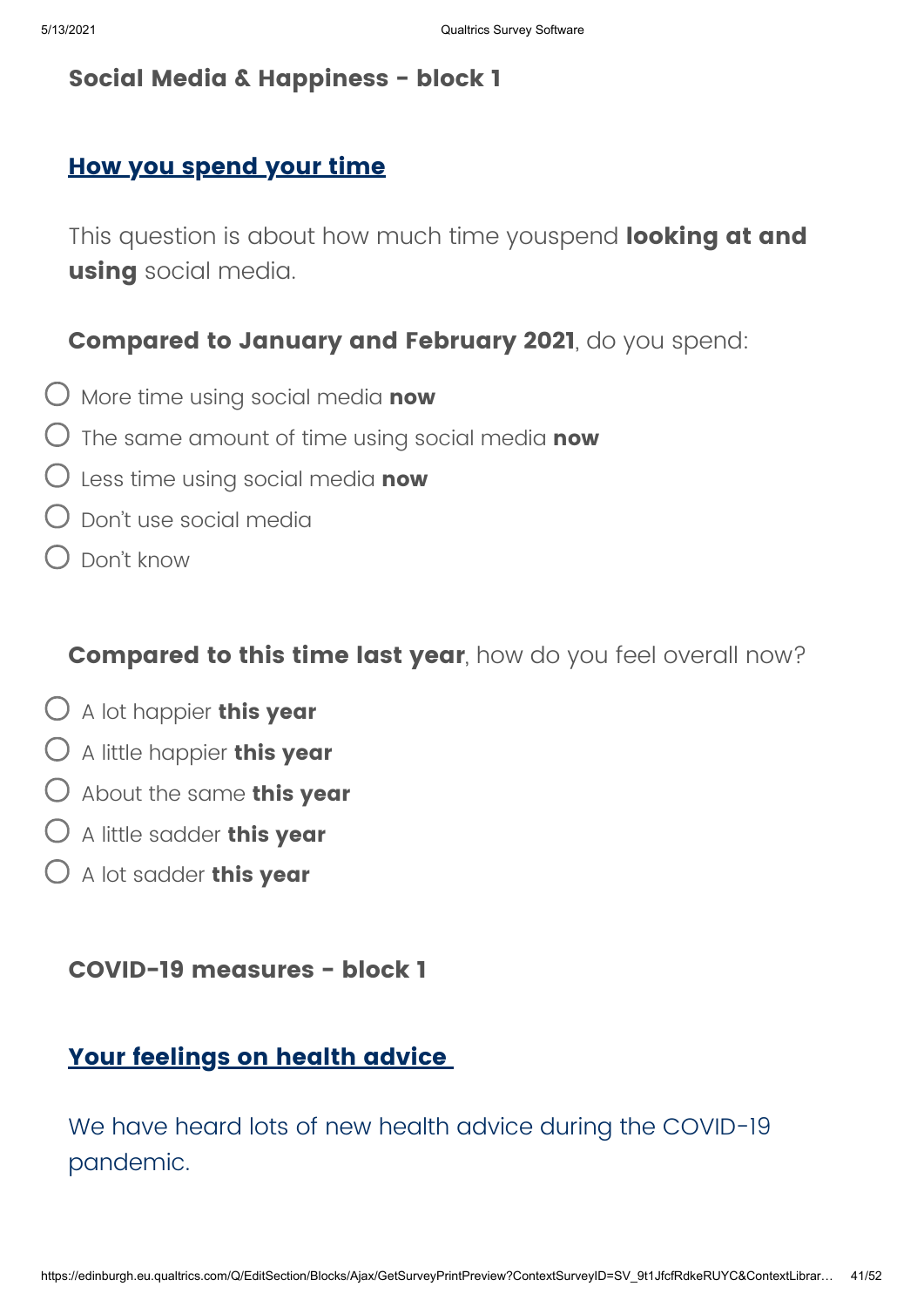## **Social Media & Happiness - block 1**

## **How you spend your time**

This question is about how much time youspend **looking at and using** social media.

### **Compared to January and February 2021**, do you spend:

- More time using social media **now**
- The same amount of time using social media **now**
- Less time using social media **now**
- Don't use social media
- Don't know

### **Compared to this time last year**, how do you feel overall now?

- A lot happier **this year**
- A little happier **this year**
- About the same **this year**
- A little sadder **this year**
- A lot sadder **this year**

### **COVID-19 measures - block 1**

## **Your feelings on health advice**

We have heard lots of new health advice during the COVID-19 pandemic.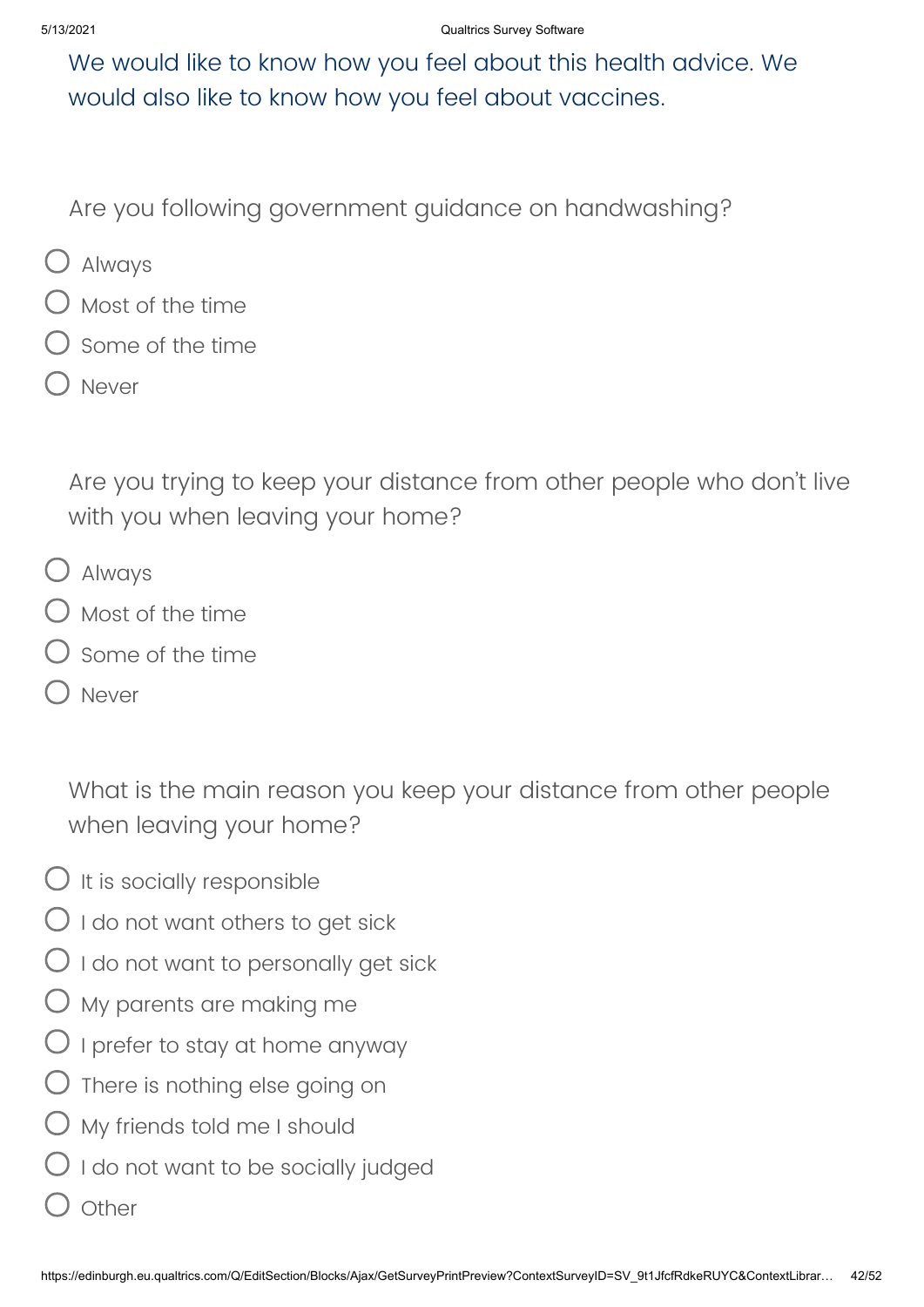We would like to know how you feel about this health advice. We would also like to know how you feel about vaccines.

Are you following government guidance on handwashing?

- Always
- Most of the time
- Some of the time
- Never

Are you trying to keep your distance from other people who don't live with you when leaving your home?

- Always
- $\bigcirc$  Most of the time
- Some of the time
- Never

What is the main reason you keep your distance from other people when leaving your home?

- $O$  It is socially responsible
- $\bigcirc$  I do not want others to get sick
- $\bigcirc$  I do not want to personally get sick
- My parents are making me
- $\bigcirc$  I prefer to stay at home anyway
- $O$  There is nothing else going on
- $\bigcirc$  My friends told me I should
- $\bigcirc$  I do not want to be socially judged
- **Other**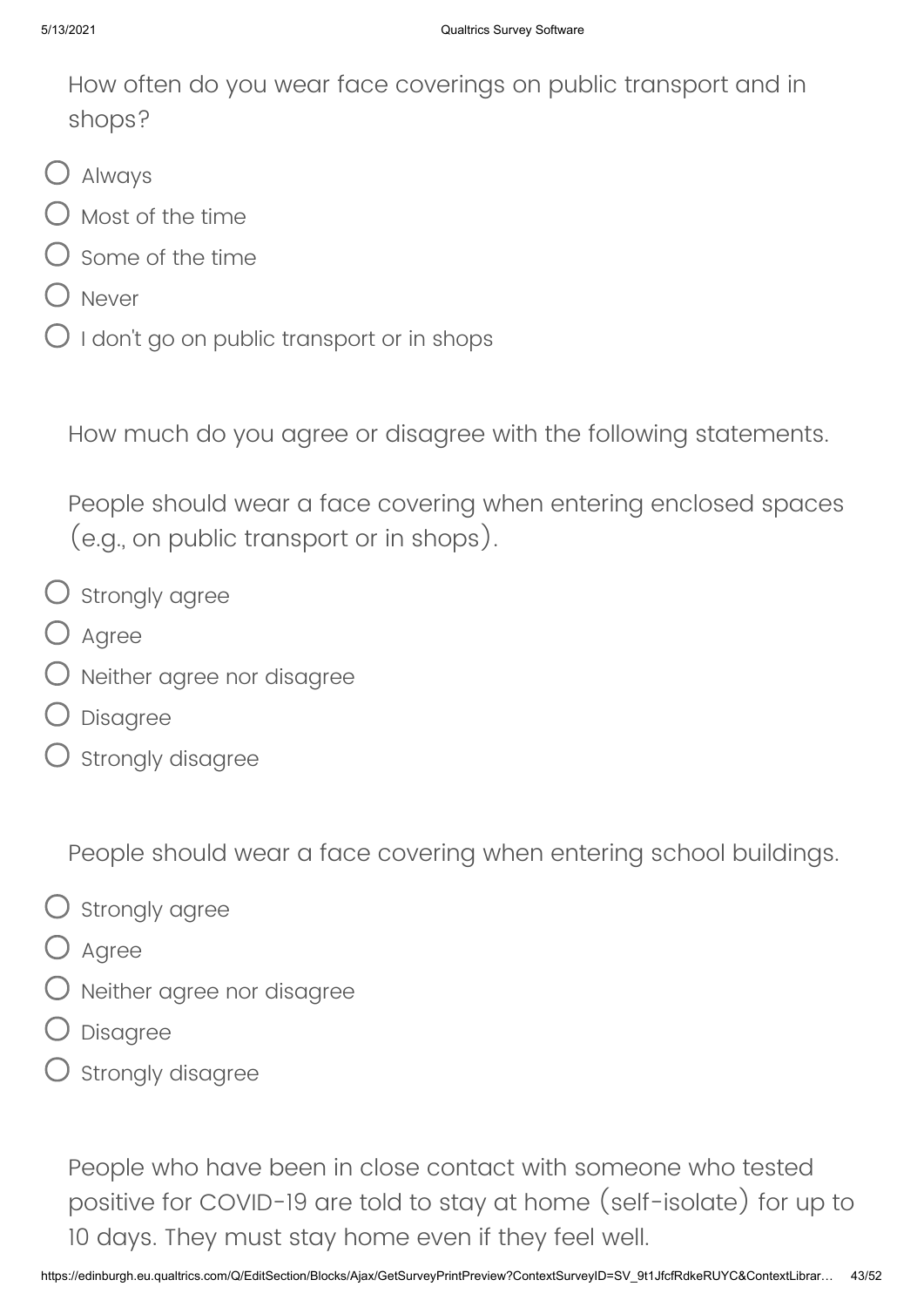How often do you wear face coverings on public transport and in shops?

- Always
- Most of the time
- Some of the time
- D Never
- $O$  I don't go on public transport or in shops

How much do you agree or disagree with the following statements.

People should wear a face covering when entering enclosed spaces (e.g., on public transport or in shops).

- $\bigcirc$  strongly agree
- O Agree
- $\bigcirc$  Neither agree nor disagree
- Disagree
- Strongly disagree

People should wear a face covering when entering school buildings.

- $\bigcirc$  Strongly agree
- O Agree
- Neither agree nor disagree
- Disagree
- Strongly disagree

People who have been in close contact with someone who tested positive for COVID-19 are told to stay at home (self-isolate) for up to 10 days. They must stay home even if they feel well.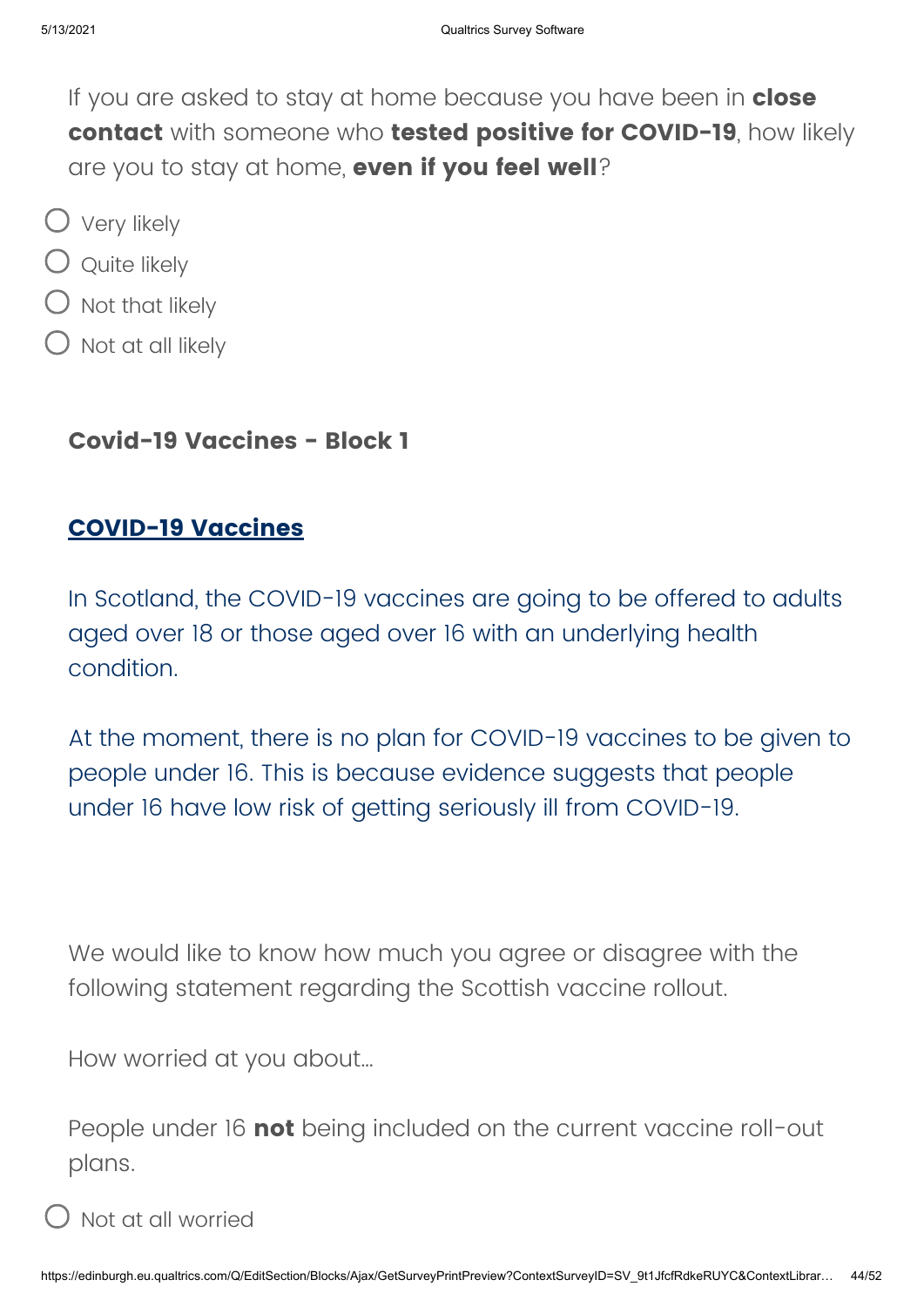If you are asked to stay at home because you have been in **close contact** with someone who **tested positive for COVID-19**, how likely are you to stay at home, **even if you feel well**?

- Very likely
- $\bigcirc$  Quite likely
- $\bigcirc$  Not that likely
- $\bigcup$  Not at all likely

## **Covid-19 Vaccines - Block 1**

## **COVID-19 Vaccines**

In Scotland, the COVID-19 vaccines are going to be offered to adults aged over 18 or those aged over 16 with an underlying health condition.

At the moment, there is no plan for COVID-19 vaccines to be given to people under 16. This is because evidence suggests that people under 16 have low risk of getting seriously ill from COVID-19.

We would like to know how much you agree or disagree with the following statement regarding the Scottish vaccine rollout.

How worried at you about…

People under 16 **not** being included on the current vaccine roll-out plans.

Not at all worried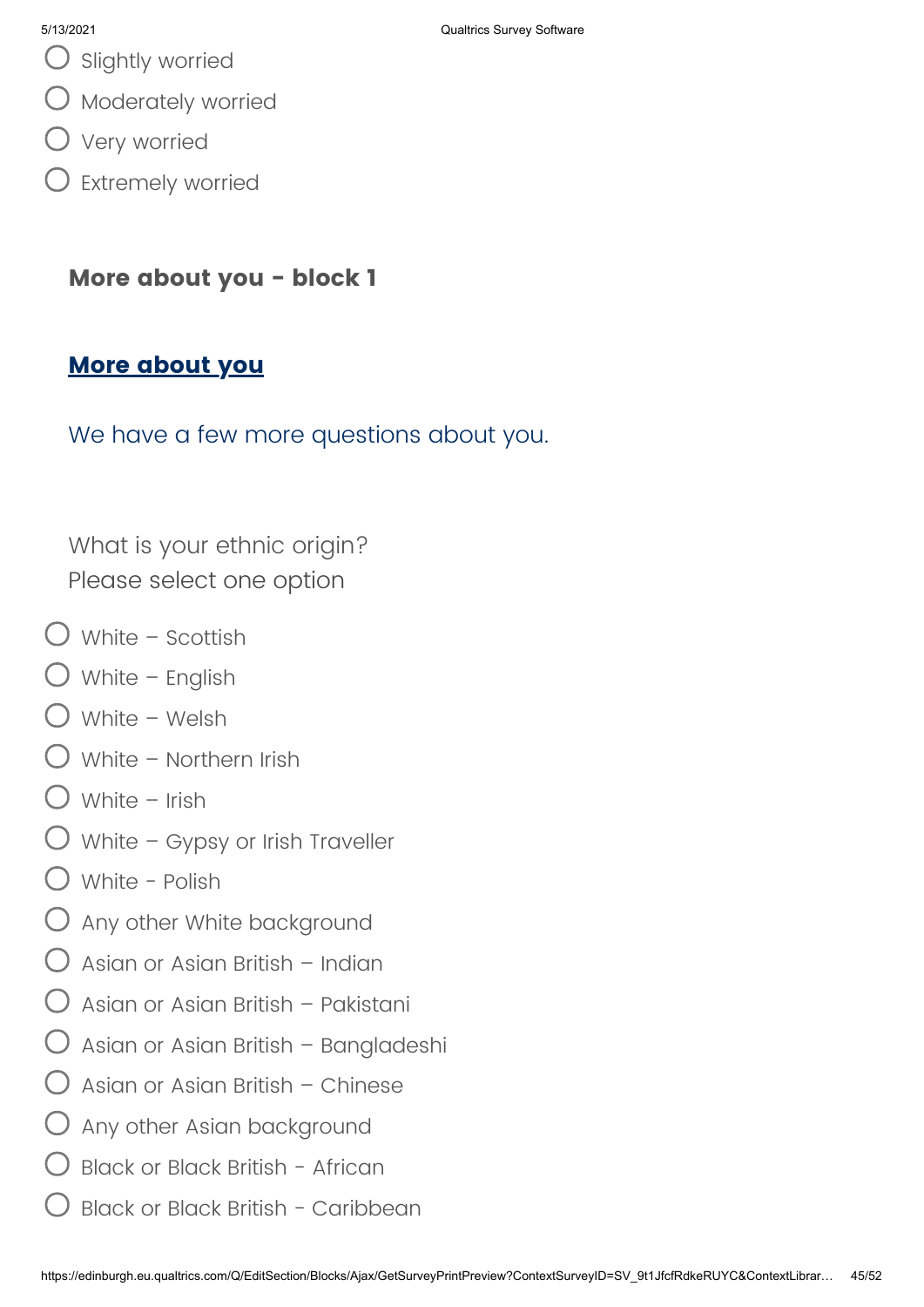- $O$  Slightly worried
- Moderately worried
- Very worried
- $\bigcirc$  Extremely worried

## **More about you - block 1**

## **More about you**

We have a few more questions about you.

What is your ethnic origin? Please select one option

- $\bigcup$  White Scottish
- $\bigcup$  White English
- White Welsh
- $\bigcirc$  White Northern Irish
- $\bigcirc$  White Irish
- White Gypsy or Irish Traveller
- White Polish
- $\bigcirc$  Any other White background
- $\bigcap$  Asian or Asian British Indian
- Asian or Asian British Pakistani
- $\bigcirc$  Asian or Asian British Bangladeshi
- $\bigcirc$  Asian or Asian British Chinese
- $\bigcirc$  Any other Asian background
- Black or Black British African
- Black or Black British Caribbean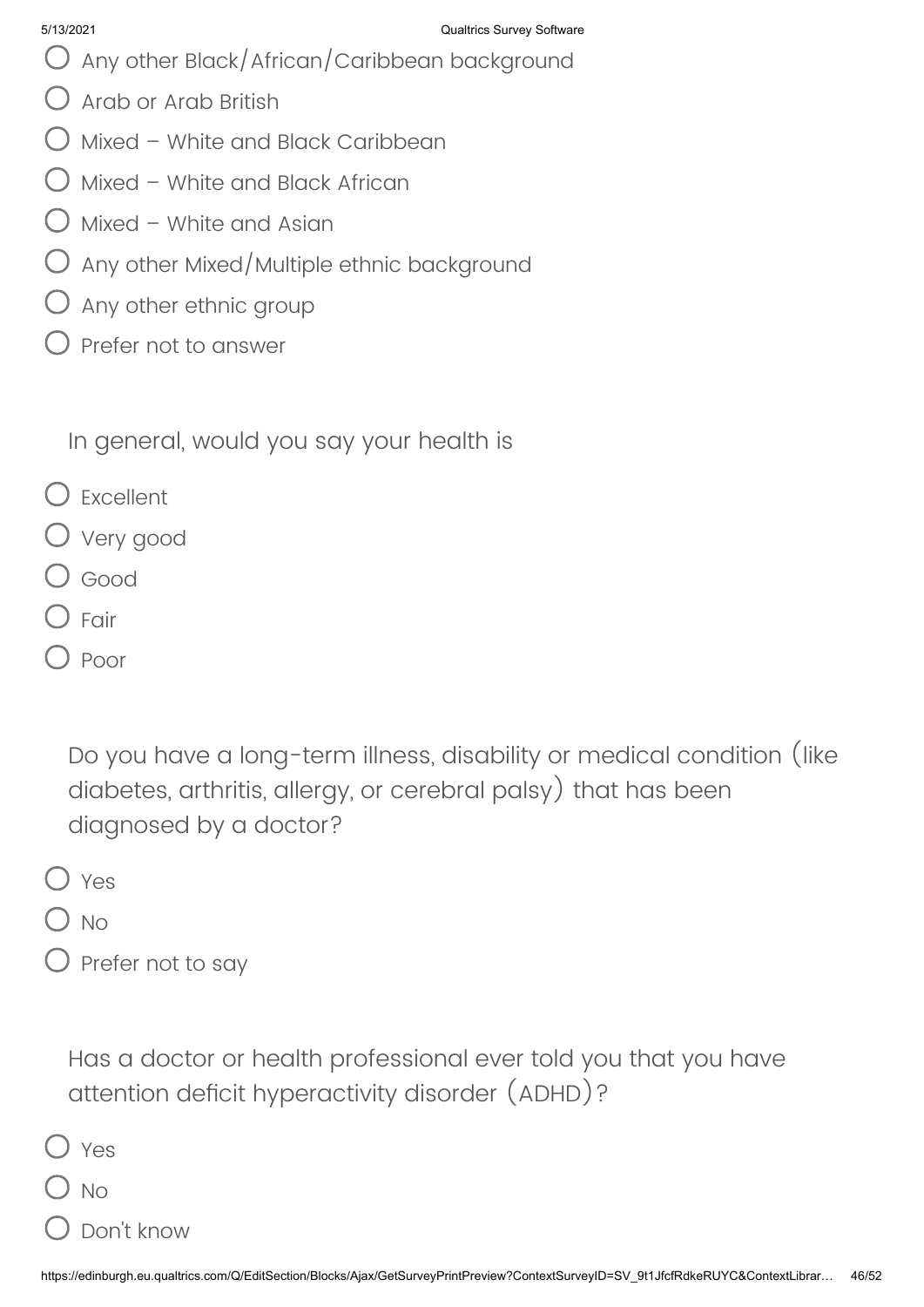- Any other Black/African/Caribbean background
- Arab or Arab British
- $\bigcirc$  Mixed White and Black Caribbean
- Mixed White and Black African
- $\bigcirc$  Mixed White and Asian
- $\bigcirc$  Any other Mixed/Multiple ethnic background
- $\bigcirc$  Any other ethnic group
- Prefer not to answer

In general, would you say your health is

- Excellent
- Very good
- O Good
- Fair
- Poor

Do you have a long-term illness, disability or medical condition (like diabetes, arthritis, allergy, or cerebral palsy) that has been diagnosed by a doctor?

- O Yes
- $\bigcup$  No
- $\bigcirc$  Prefer not to say

Has a doctor or health professional ever told you that you have attention deficit hyperactivity disorder (ADHD)?

| Yes       |
|-----------|
| <b>No</b> |

Don't know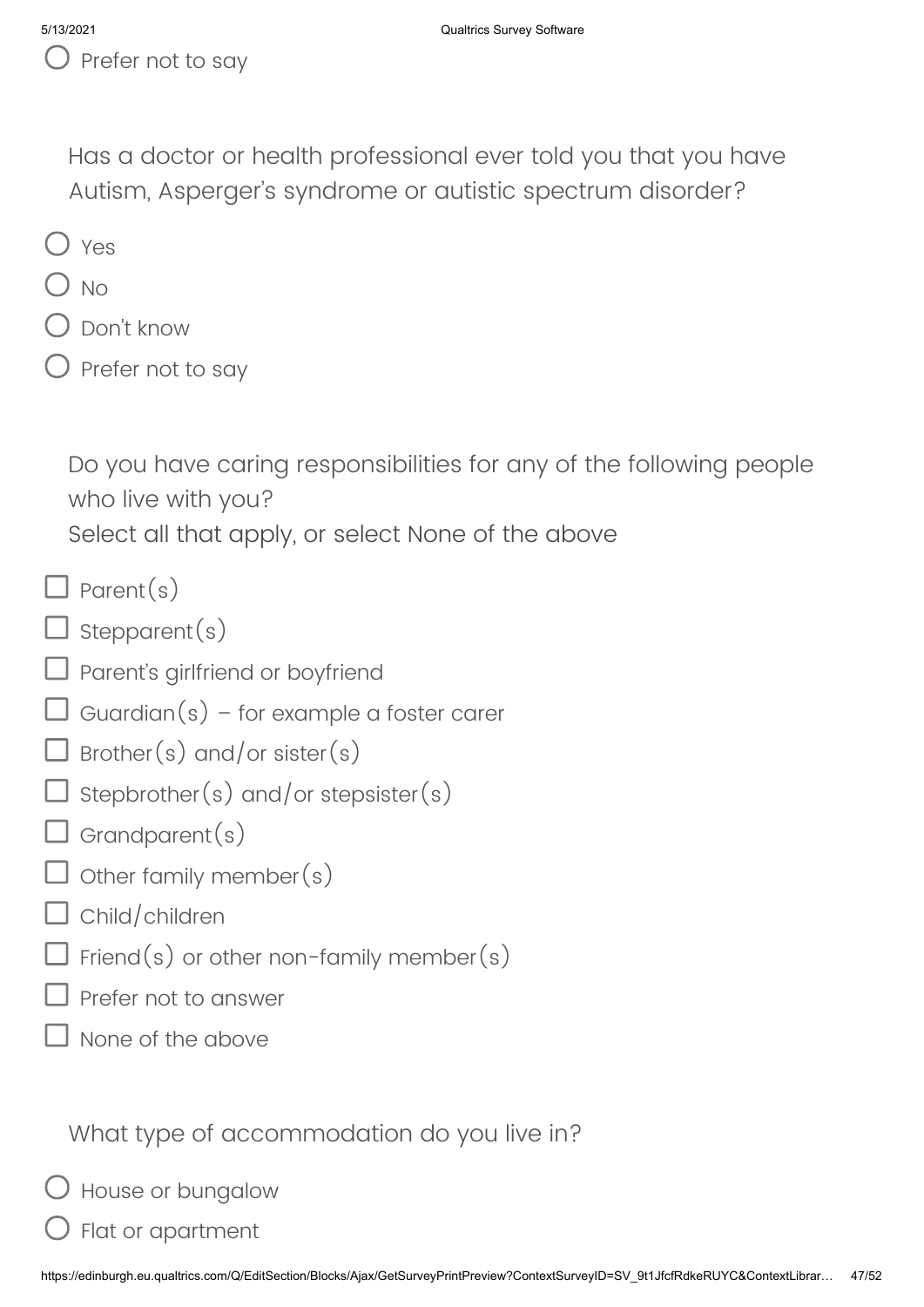$\bigcup$  Prefer not to say

Has a doctor or health professional ever told you that you have Autism, Asperger's syndrome or autistic spectrum disorder?

- O Yes
- ) No
- Don't know
- $\bigcirc$  Prefer not to say

Do you have caring responsibilities for any of the following people who live with you?

Select all that apply, or select None of the above

- $\Box$  Parent(s)
- $\Box$  stepparent(s)
- $\Box$  Parent's girlfriend or boyfriend
- $\Box$  Guardian(s) for example a foster carer
- $\Box$  Brother(s) and/or sister(s)
- $\Box$  stepbrother(s) and/or stepsister(s)
- $\Box$  Grandparent $(s)$
- $\exists$  Other family member(s)
- $\Box$  Child/children
- $\Box$  Friend(s) or other non-family member(s)
- Prefer not to answer
- None of the above

What type of accommodation do you live in?

- House or bungalow
- Flat or apartment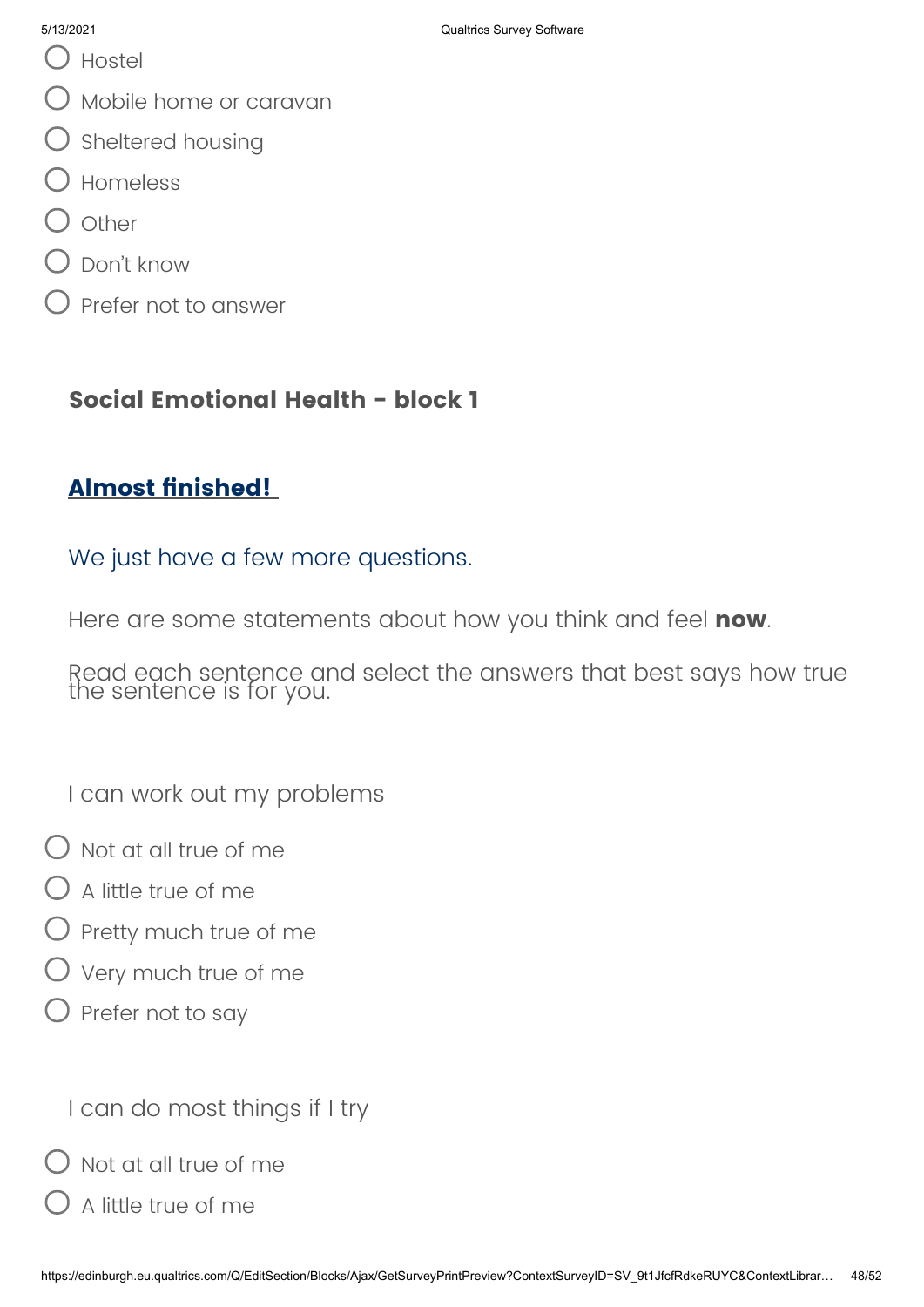- Hostel
- Mobile home or caravan
- $\bigcirc$  Sheltered housing
- Homeless
- **Other**
- Don't know
- Prefer not to answer

## **Social Emotional Health - block 1**

# **Almost finished!**

### We just have a few more questions.

Here are some statements about how you think and feel **now**.

Read each sentence and select the answers that best says how true the sentence is for you.

I can work out my problems

- $\bigcap$  Not at all true of me
- $\bigcup$  A little true of me
- $\bigcirc$  Pretty much true of me
- Very much true of me
- $\bigcirc$  Prefer not to say

I can do most things if I try

 $\bigcirc$  Not at all true of me

A little true of me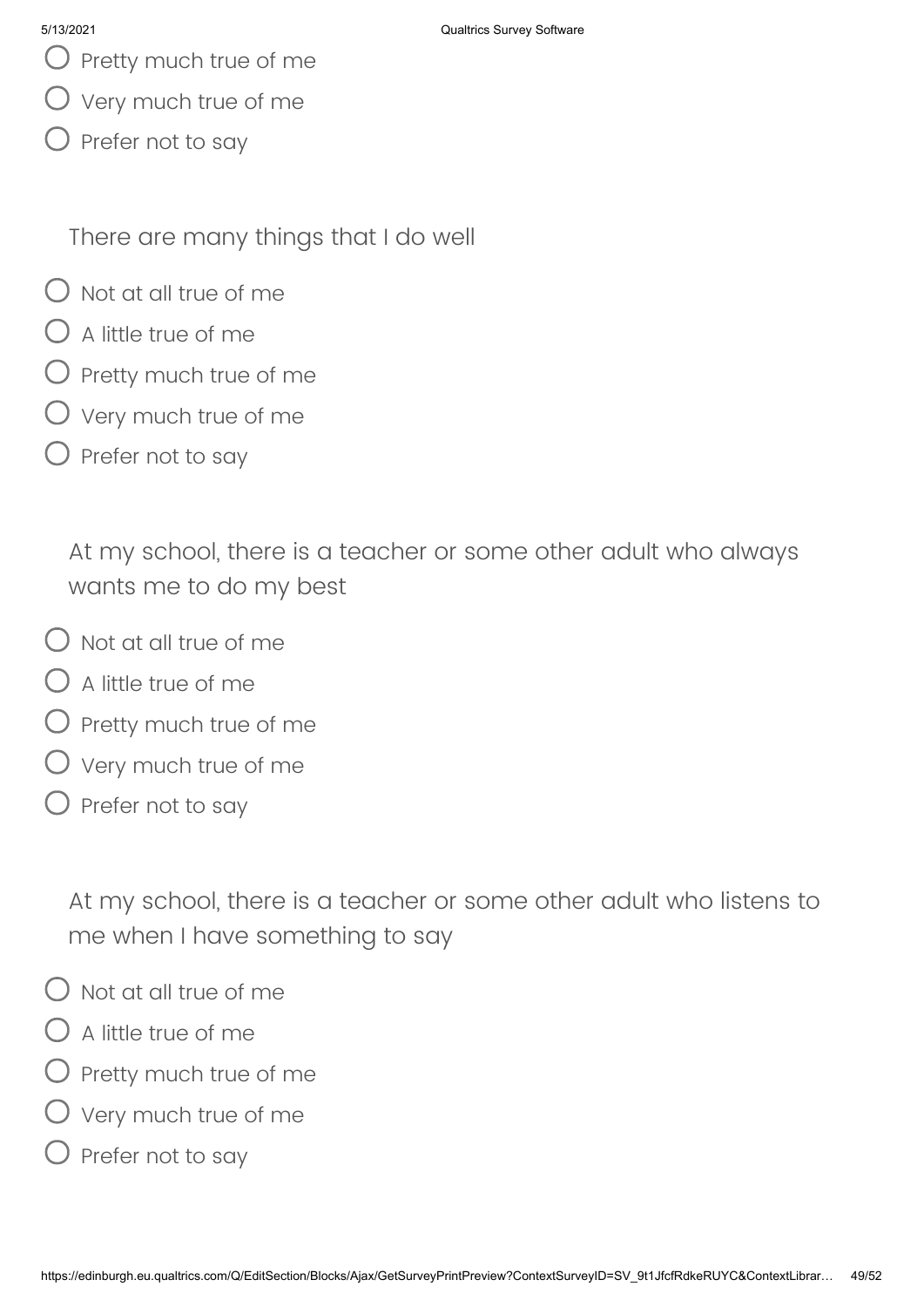- $\bigcirc$  Pretty much true of me
- Very much true of me
- $\bigcirc$  Prefer not to say

There are many things that I do well

- $\Omega$  Not at all true of me
- $\bigcap$  A little true of me
- $\bigcirc$  Pretty much true of me
- Very much true of me
- $\bigcirc$  Prefer not to say

At my school, there is a teacher or some other adult who always wants me to do my best

- $\bigcap$  Not at all true of me
- $\bigcirc$  A little true of me
- $\bigcirc$  Pretty much true of me
- Very much true of me
- $\bigcirc$  Prefer not to say

At my school, there is a teacher or some other adult who listens to me when I have something to say

- $\overline{\phantom{a}}$  Not at all true of me
- $)$  A little true of me
- Pretty much true of me
- Very much true of me
- Prefer not to say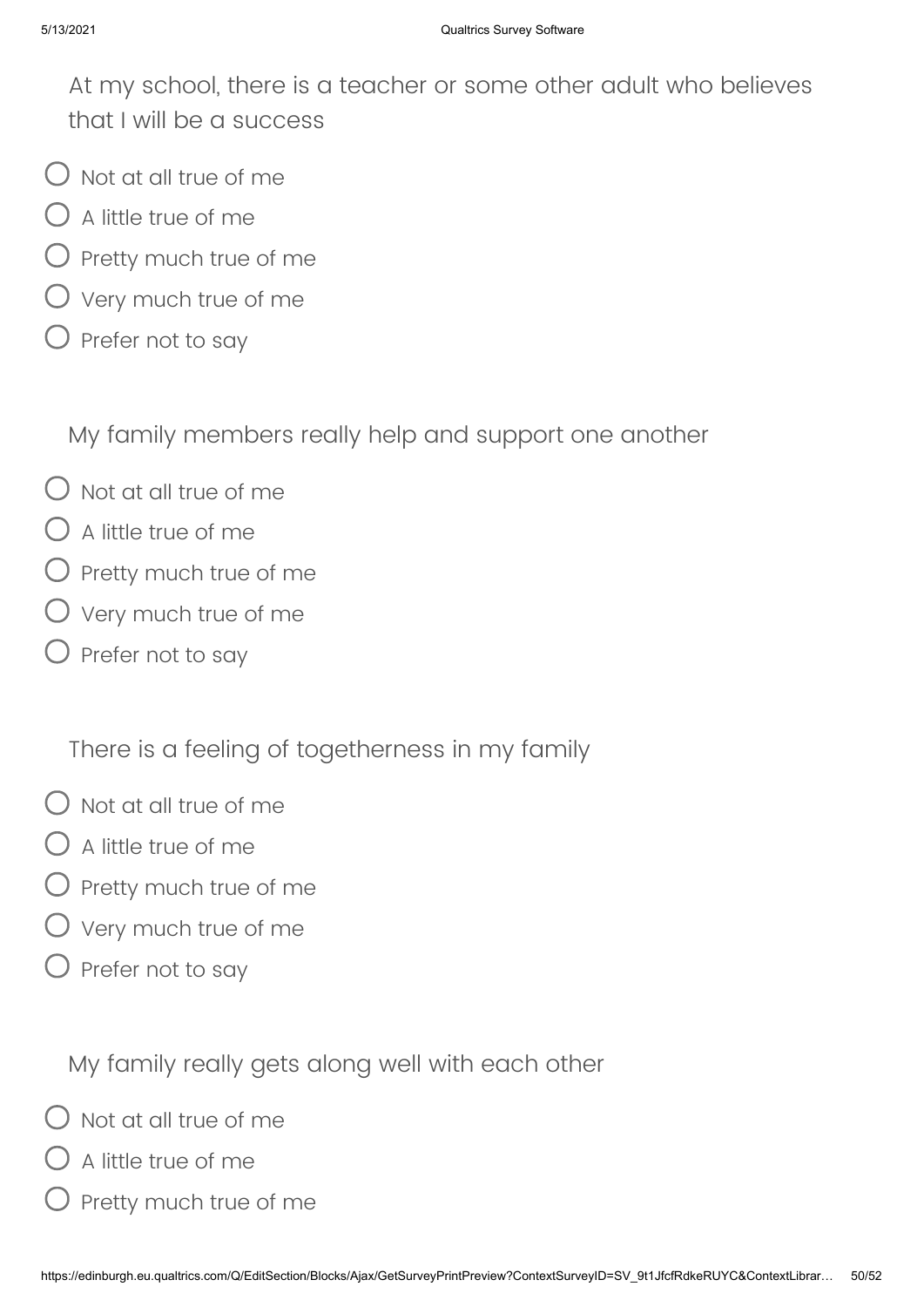At my school, there is a teacher or some other adult who believes that I will be a success

- $\bigcup$  Not at all true of me
- $\bigcirc$  A little true of me
- ) Pretty much true of me
- $\bigcirc$  Very much true of me
- $\bigcirc$  Prefer not to say

My family members really help and support one another

- $\bigcirc$  Not at all true of me
- $\bigcirc$  A little true of me
- $\bigcirc$  Pretty much true of me
- $\bigcirc$  Very much true of me
- $\bigcirc$  Prefer not to say

There is a feeling of togetherness in my family

- $\bigcirc$  Not at all true of me
- $\bigcirc$  A little true of me
- $\bigcirc$  Pretty much true of me
- $\bigcirc$  Very much true of me
- $\bigcirc$  Prefer not to say

My family really gets along well with each other

- Not at all true of me
- $\bigcirc$  A little true of me
- Pretty much true of me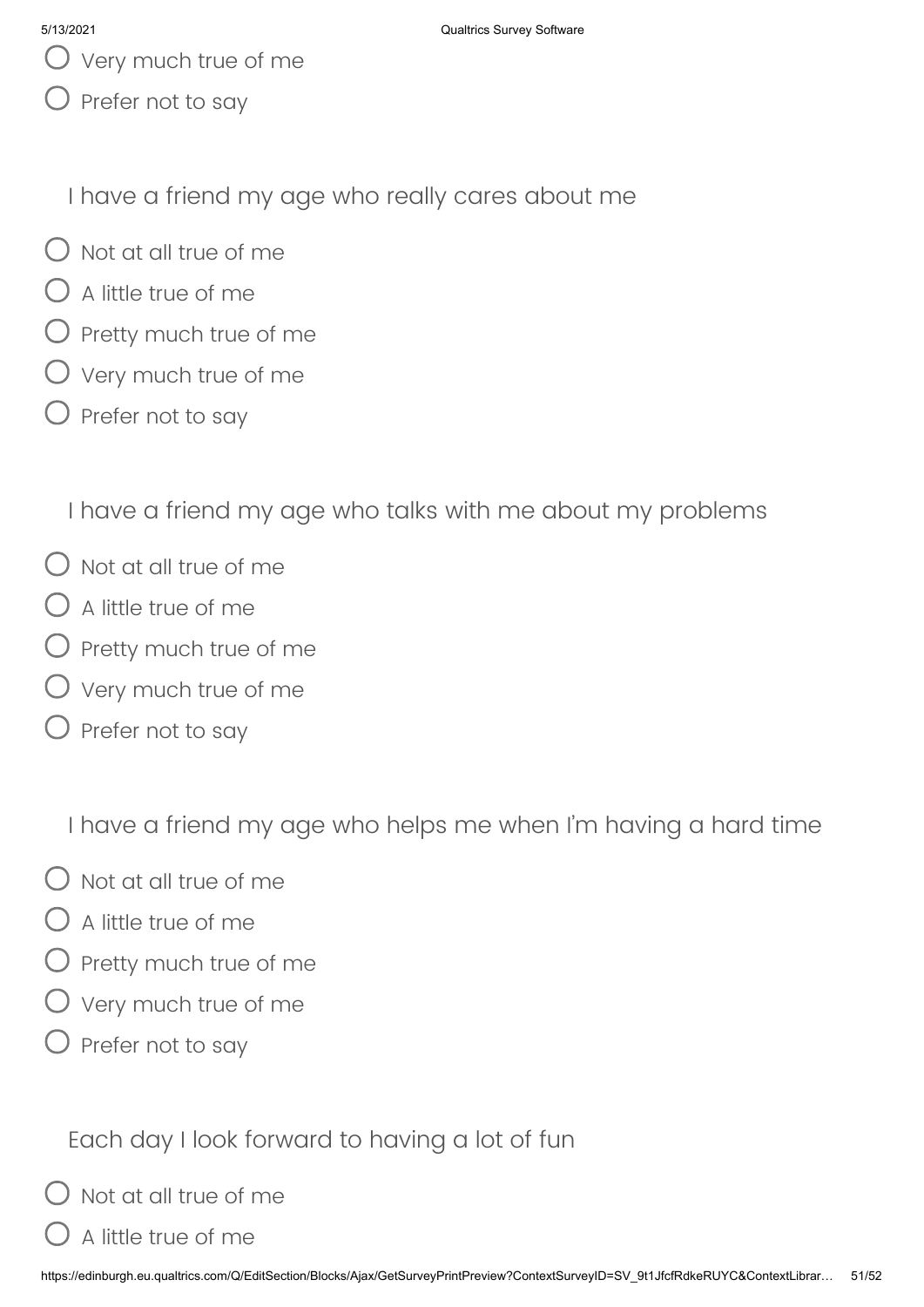- $\bigcup$  Very much true of me
- $\bigcirc$  Prefer not to say

I have a friend my age who really cares about me

- $\bigcap$  Not at all true of me
- $\bigcirc$  A little true of me
- $\bigcirc$  Pretty much true of me
- $\bigcirc$  Very much true of me
- $\bigcirc$  Prefer not to say

I have a friend my age who talks with me about my problems

- $\bigcirc$  Not at all true of me
- $\bigcirc$  A little true of me
- $O$  Pretty much true of me
- $\bigcirc$  Very much true of me
- $\bigcirc$  Prefer not to say

I have a friend my age who helps me when I'm having a hard time

- $\bigcirc$  Not at all true of me
- $\bigcirc$  A little true of me
- $\bigcirc$  Pretty much true of me
- $\bigcirc$  Very much true of me
- $\bigcirc$  Prefer not to say

Each day I look forward to having a lot of fun

 $O$  Not at all true of me

A little true of me